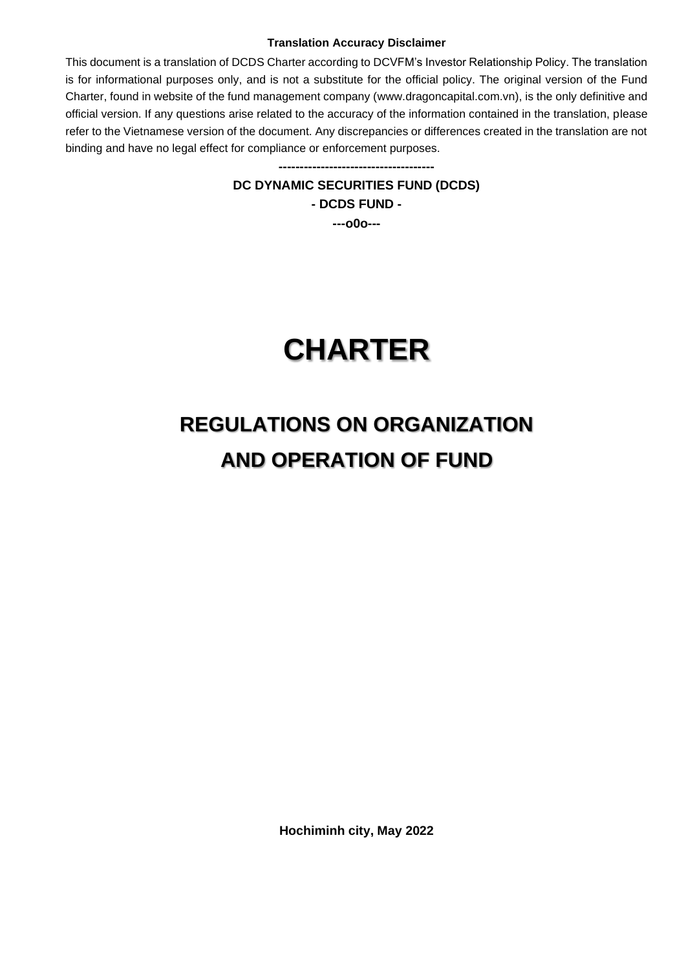#### **Translation Accuracy Disclaimer**

This document is a translation of DCDS Charter according to DCVFM's Investor Relationship Policy. The translation is for informational purposes only, and is not a substitute for the official policy. The original version of the Fund Charter, found in website of the fund management company (www.dragoncapital.com.vn), is the only definitive and official version. If any questions arise related to the accuracy of the information contained in the translation, please refer to the Vietnamese version of the document. Any discrepancies or differences created in the translation are not binding and have no legal effect for compliance or enforcement purposes.

> **DC DYNAMIC SECURITIES FUND (DCDS) - DCDS FUND -**

**-------------------------------------**

**---o0o---**

# **CHARTER**

# **REGULATIONS ON ORGANIZATION AND OPERATION OF FUND**

**Hochiminh city, May 2022**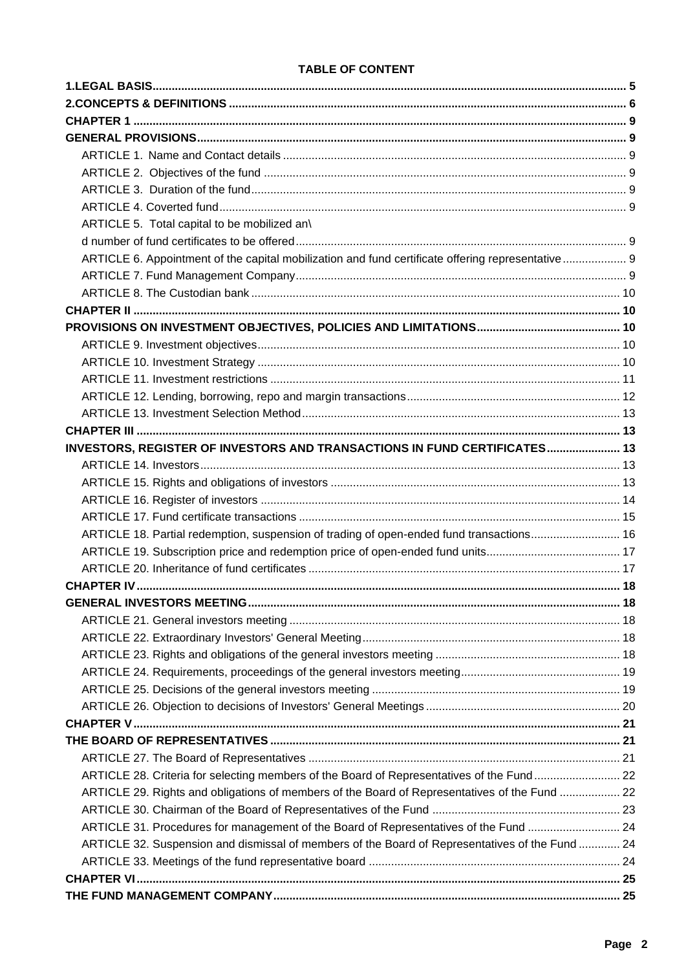#### **TABLE OF CONTENT**

| ARTICLE 5. Total capital to be mobilized an\                                                      |  |
|---------------------------------------------------------------------------------------------------|--|
|                                                                                                   |  |
| ARTICLE 6. Appointment of the capital mobilization and fund certificate offering representative 9 |  |
|                                                                                                   |  |
|                                                                                                   |  |
|                                                                                                   |  |
|                                                                                                   |  |
|                                                                                                   |  |
|                                                                                                   |  |
|                                                                                                   |  |
|                                                                                                   |  |
|                                                                                                   |  |
|                                                                                                   |  |
| INVESTORS, REGISTER OF INVESTORS AND TRANSACTIONS IN FUND CERTIFICATES 13                         |  |
|                                                                                                   |  |
|                                                                                                   |  |
|                                                                                                   |  |
|                                                                                                   |  |
|                                                                                                   |  |
| ARTICLE 18. Partial redemption, suspension of trading of open-ended fund transactions 16          |  |
|                                                                                                   |  |
|                                                                                                   |  |
|                                                                                                   |  |
|                                                                                                   |  |
|                                                                                                   |  |
|                                                                                                   |  |
|                                                                                                   |  |
|                                                                                                   |  |
|                                                                                                   |  |
|                                                                                                   |  |
|                                                                                                   |  |
|                                                                                                   |  |
|                                                                                                   |  |
| ARTICLE 28. Criteria for selecting members of the Board of Representatives of the Fund 22         |  |
| ARTICLE 29. Rights and obligations of members of the Board of Representatives of the Fund  22     |  |
|                                                                                                   |  |
| ARTICLE 31. Procedures for management of the Board of Representatives of the Fund  24             |  |
| ARTICLE 32. Suspension and dismissal of members of the Board of Representatives of the Fund  24   |  |
|                                                                                                   |  |
|                                                                                                   |  |
|                                                                                                   |  |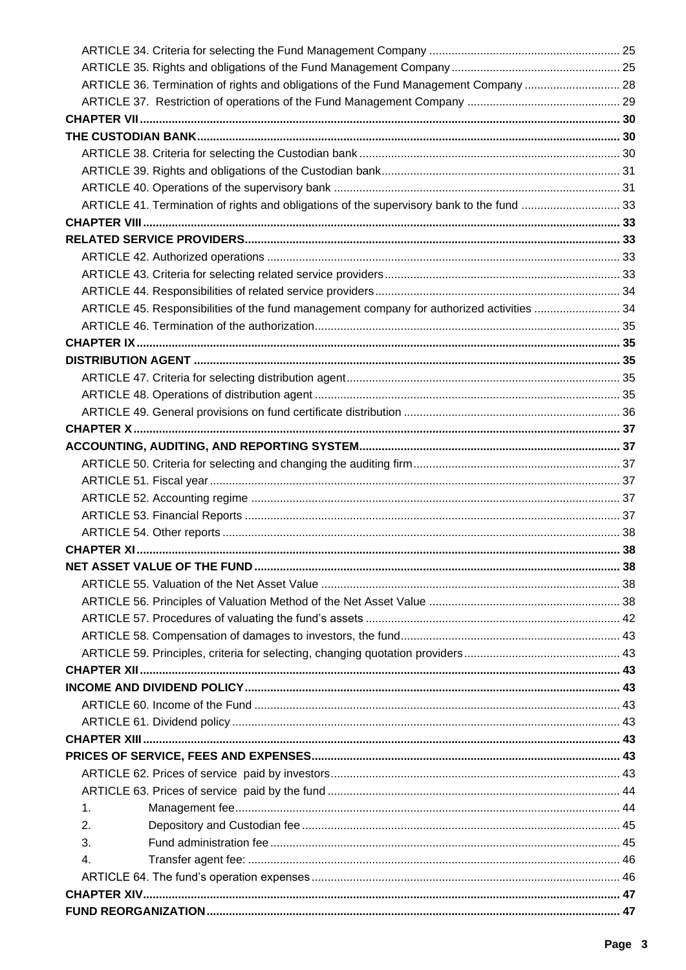| 4.                                                                                        |  |
|-------------------------------------------------------------------------------------------|--|
| 3.                                                                                        |  |
| 2.                                                                                        |  |
| 1.                                                                                        |  |
|                                                                                           |  |
|                                                                                           |  |
|                                                                                           |  |
|                                                                                           |  |
|                                                                                           |  |
|                                                                                           |  |
|                                                                                           |  |
|                                                                                           |  |
|                                                                                           |  |
|                                                                                           |  |
|                                                                                           |  |
|                                                                                           |  |
|                                                                                           |  |
|                                                                                           |  |
|                                                                                           |  |
|                                                                                           |  |
|                                                                                           |  |
|                                                                                           |  |
|                                                                                           |  |
|                                                                                           |  |
|                                                                                           |  |
|                                                                                           |  |
|                                                                                           |  |
|                                                                                           |  |
|                                                                                           |  |
|                                                                                           |  |
|                                                                                           |  |
|                                                                                           |  |
| ARTICLE 45. Responsibilities of the fund management company for authorized activities  34 |  |
|                                                                                           |  |
|                                                                                           |  |
|                                                                                           |  |
|                                                                                           |  |
|                                                                                           |  |
| ARTICLE 41. Termination of rights and obligations of the supervisory bank to the fund  33 |  |
|                                                                                           |  |
|                                                                                           |  |
|                                                                                           |  |
|                                                                                           |  |
|                                                                                           |  |
|                                                                                           |  |
| ARTICLE 36. Termination of rights and obligations of the Fund Management Company  28      |  |
|                                                                                           |  |
|                                                                                           |  |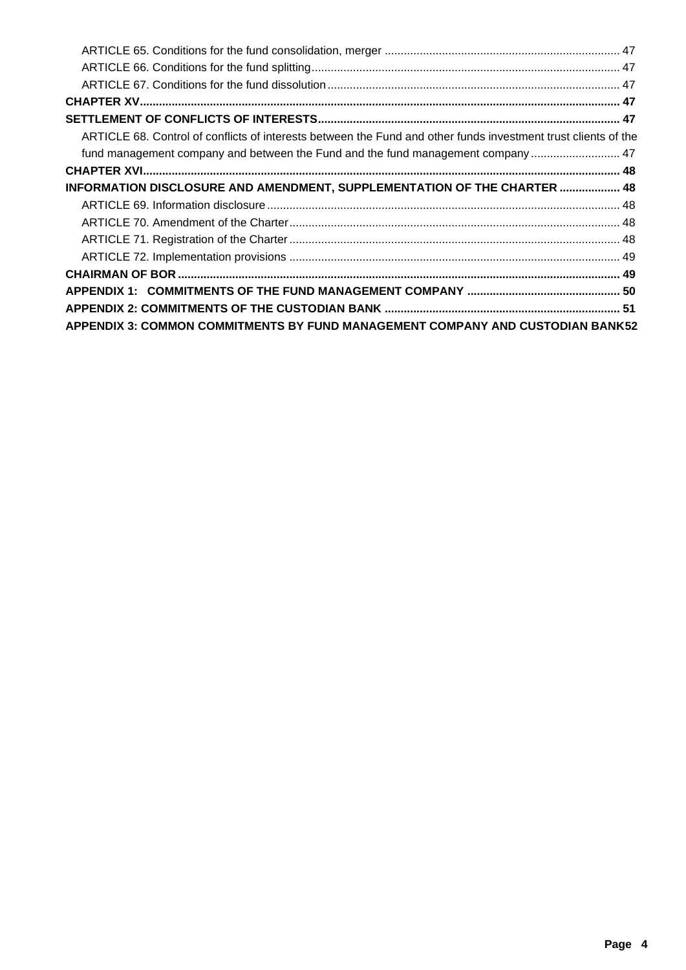| ARTICLE 68. Control of conflicts of interests between the Fund and other funds investment trust clients of the |  |
|----------------------------------------------------------------------------------------------------------------|--|
| fund management company and between the Fund and the fund management company  47                               |  |
|                                                                                                                |  |
| INFORMATION DISCLOSURE AND AMENDMENT, SUPPLEMENTATION OF THE CHARTER  48                                       |  |
|                                                                                                                |  |
|                                                                                                                |  |
|                                                                                                                |  |
|                                                                                                                |  |
|                                                                                                                |  |
|                                                                                                                |  |
|                                                                                                                |  |
| <b>APPENDIX 3: COMMON COMMITMENTS BY FUND MANAGEMENT COMPANY AND CUSTODIAN BANK52</b>                          |  |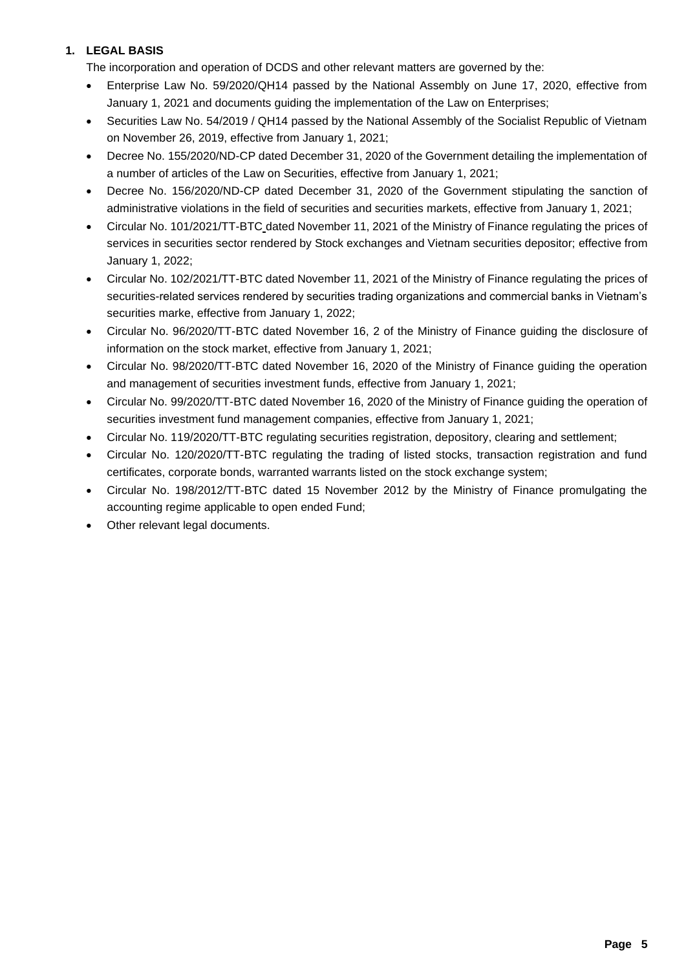# **1. LEGAL BASIS**

The incorporation and operation of DCDS and other relevant matters are governed by the:

- Enterprise Law No. 59/2020/QH14 passed by the National Assembly on June 17, 2020, effective from January 1, 2021 and documents guiding the implementation of the Law on Enterprises;
- Securities Law No. 54/2019 / QH14 passed by the National Assembly of the Socialist Republic of Vietnam on November 26, 2019, effective from January 1, 2021;
- Decree No. 155/2020/ND-CP dated December 31, 2020 of the Government detailing the implementation of a number of articles of the Law on Securities, effective from January 1, 2021;
- Decree No. 156/2020/ND-CP dated December 31, 2020 of the Government stipulating the sanction of administrative violations in the field of securities and securities markets, effective from January 1, 2021;
- Circular No. 101/2021/TT-BTC dated November 11, 2021 of the Ministry of Finance regulating the prices of services in securities sector rendered by Stock exchanges and Vietnam securities depositor; effective from January 1, 2022;
- Circular No. 102/2021/TT-BTC dated November 11, 2021 of the Ministry of Finance regulating the prices of securities-related services rendered by securities trading organizations and commercial banks in Vietnam's securities marke, effective from January 1, 2022;
- Circular No. 96/2020/TT-BTC dated November 16, 2 of the Ministry of Finance guiding the disclosure of information on the stock market, effective from January 1, 2021;
- Circular No. 98/2020/TT-BTC dated November 16, 2020 of the Ministry of Finance guiding the operation and management of securities investment funds, effective from January 1, 2021;
- Circular No. 99/2020/TT-BTC dated November 16, 2020 of the Ministry of Finance guiding the operation of securities investment fund management companies, effective from January 1, 2021;
- Circular No. 119/2020/TT-BTC regulating securities registration, depository, clearing and settlement;
- Circular No. 120/2020/TT-BTC regulating the trading of listed stocks, transaction registration and fund certificates, corporate bonds, warranted warrants listed on the stock exchange system;
- Circular No. 198/2012/TT-BTC dated 15 November 2012 by the Ministry of Finance promulgating the accounting regime applicable to open ended Fund;
- Other relevant legal documents.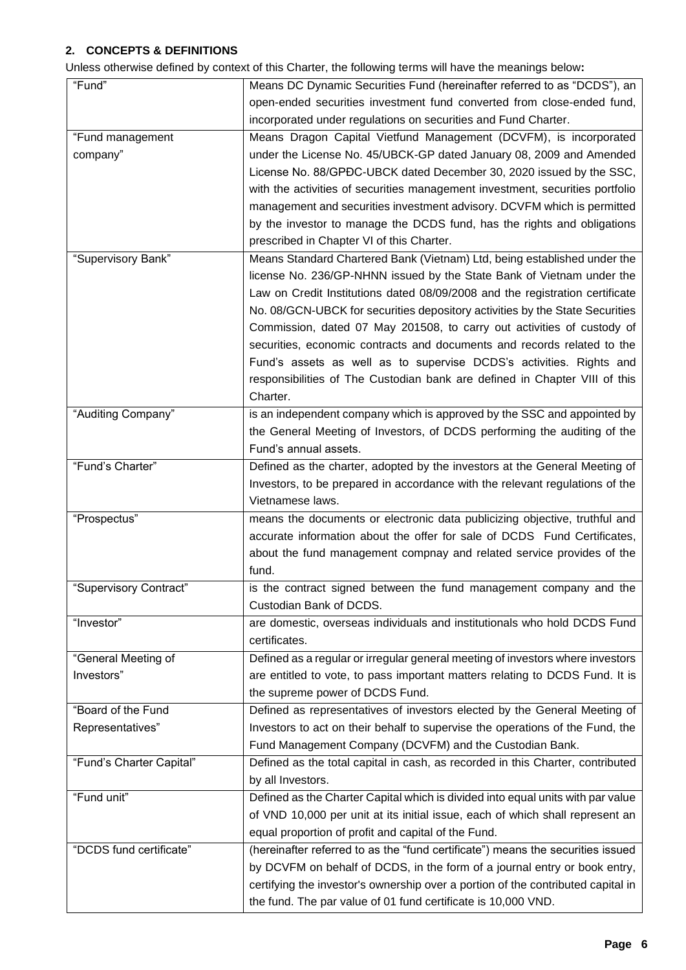# **2. CONCEPTS & DEFINITIONS**

Unless otherwise defined by context of this Charter, the following terms will have the meanings below**:**

| "Fund"                   | Means DC Dynamic Securities Fund (hereinafter referred to as "DCDS"), an         |
|--------------------------|----------------------------------------------------------------------------------|
|                          | open-ended securities investment fund converted from close-ended fund,           |
|                          | incorporated under regulations on securities and Fund Charter.                   |
| "Fund management         | Means Dragon Capital Vietfund Management (DCVFM), is incorporated                |
| company"                 | under the License No. 45/UBCK-GP dated January 08, 2009 and Amended              |
|                          | License No. 88/GPDC-UBCK dated December 30, 2020 issued by the SSC,              |
|                          | with the activities of securities management investment, securities portfolio    |
|                          | management and securities investment advisory. DCVFM which is permitted          |
|                          | by the investor to manage the DCDS fund, has the rights and obligations          |
|                          | prescribed in Chapter VI of this Charter.                                        |
| "Supervisory Bank"       | Means Standard Chartered Bank (Vietnam) Ltd, being established under the         |
|                          |                                                                                  |
|                          | license No. 236/GP-NHNN issued by the State Bank of Vietnam under the            |
|                          | Law on Credit Institutions dated 08/09/2008 and the registration certificate     |
|                          | No. 08/GCN-UBCK for securities depository activities by the State Securities     |
|                          | Commission, dated 07 May 201508, to carry out activities of custody of           |
|                          | securities, economic contracts and documents and records related to the          |
|                          | Fund's assets as well as to supervise DCDS's activities. Rights and              |
|                          | responsibilities of The Custodian bank are defined in Chapter VIII of this       |
|                          | Charter.                                                                         |
| "Auditing Company"       | is an independent company which is approved by the SSC and appointed by          |
|                          | the General Meeting of Investors, of DCDS performing the auditing of the         |
|                          | Fund's annual assets.                                                            |
| "Fund's Charter"         | Defined as the charter, adopted by the investors at the General Meeting of       |
|                          | Investors, to be prepared in accordance with the relevant regulations of the     |
|                          | Vietnamese laws.                                                                 |
| "Prospectus"             | means the documents or electronic data publicizing objective, truthful and       |
|                          | accurate information about the offer for sale of DCDS Fund Certificates,         |
|                          | about the fund management compnay and related service provides of the            |
|                          | fund.                                                                            |
| "Supervisory Contract"   | is the contract signed between the fund management company and the               |
|                          | Custodian Bank of DCDS.                                                          |
| "Investor"               | are domestic, overseas individuals and institutionals who hold DCDS Fund         |
|                          | certificates.                                                                    |
| "General Meeting of      | Defined as a regular or irregular general meeting of investors where investors   |
| Investors"               |                                                                                  |
|                          | are entitled to vote, to pass important matters relating to DCDS Fund. It is     |
|                          | the supreme power of DCDS Fund.                                                  |
| "Board of the Fund       | Defined as representatives of investors elected by the General Meeting of        |
| Representatives"         | Investors to act on their behalf to supervise the operations of the Fund, the    |
|                          | Fund Management Company (DCVFM) and the Custodian Bank.                          |
| "Fund's Charter Capital" | Defined as the total capital in cash, as recorded in this Charter, contributed   |
|                          | by all Investors.                                                                |
| "Fund unit"              | Defined as the Charter Capital which is divided into equal units with par value  |
|                          | of VND 10,000 per unit at its initial issue, each of which shall represent an    |
|                          | equal proportion of profit and capital of the Fund.                              |
| "DCDS fund certificate"  | (hereinafter referred to as the "fund certificate") means the securities issued  |
|                          | by DCVFM on behalf of DCDS, in the form of a journal entry or book entry,        |
|                          | certifying the investor's ownership over a portion of the contributed capital in |
|                          | the fund. The par value of 01 fund certificate is 10,000 VND.                    |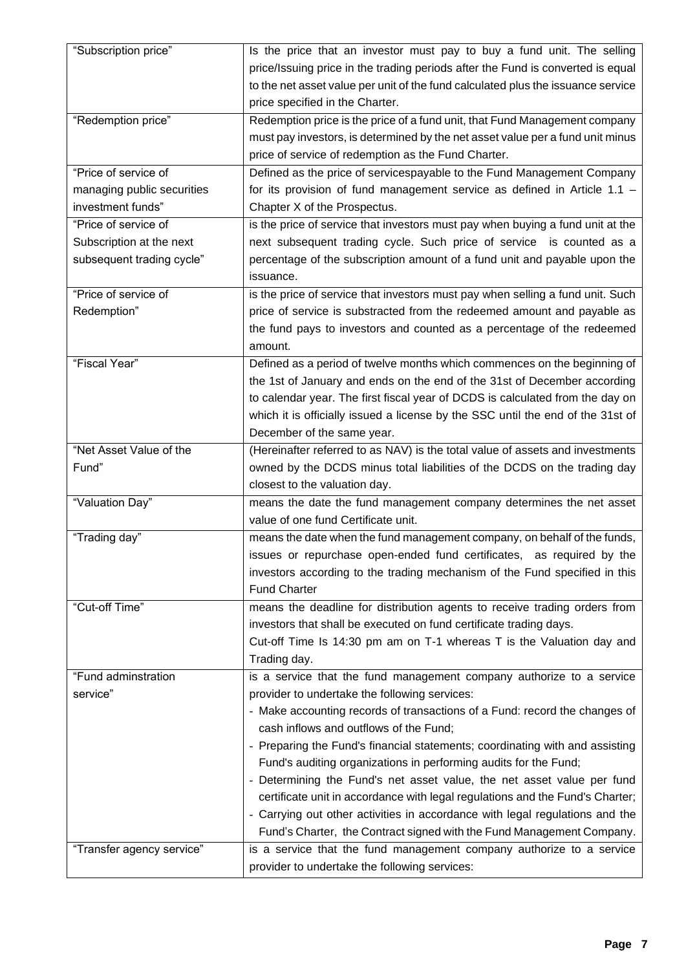| "Subscription price"       | Is the price that an investor must pay to buy a fund unit. The selling           |
|----------------------------|----------------------------------------------------------------------------------|
|                            | price/Issuing price in the trading periods after the Fund is converted is equal  |
|                            | to the net asset value per unit of the fund calculated plus the issuance service |
|                            | price specified in the Charter.                                                  |
| "Redemption price"         | Redemption price is the price of a fund unit, that Fund Management company       |
|                            | must pay investors, is determined by the net asset value per a fund unit minus   |
|                            | price of service of redemption as the Fund Charter.                              |
| "Price of service of       | Defined as the price of servicespayable to the Fund Management Company           |
| managing public securities | for its provision of fund management service as defined in Article 1.1 $-$       |
| investment funds"          | Chapter X of the Prospectus.                                                     |
| "Price of service of       | is the price of service that investors must pay when buying a fund unit at the   |
| Subscription at the next   | next subsequent trading cycle. Such price of service is counted as a             |
| subsequent trading cycle"  | percentage of the subscription amount of a fund unit and payable upon the        |
|                            | issuance.                                                                        |
| "Price of service of       | is the price of service that investors must pay when selling a fund unit. Such   |
| Redemption"                | price of service is substracted from the redeemed amount and payable as          |
|                            | the fund pays to investors and counted as a percentage of the redeemed           |
|                            | amount.                                                                          |
| "Fiscal Year"              | Defined as a period of twelve months which commences on the beginning of         |
|                            | the 1st of January and ends on the end of the 31st of December according         |
|                            | to calendar year. The first fiscal year of DCDS is calculated from the day on    |
|                            | which it is officially issued a license by the SSC until the end of the 31st of  |
|                            | December of the same year.                                                       |
| "Net Asset Value of the    | (Hereinafter referred to as NAV) is the total value of assets and investments    |
|                            |                                                                                  |
|                            |                                                                                  |
| Fund"                      | owned by the DCDS minus total liabilities of the DCDS on the trading day         |
|                            | closest to the valuation day.                                                    |
| "Valuation Day"            | means the date the fund management company determines the net asset              |
|                            | value of one fund Certificate unit.                                              |
| "Trading day"              | means the date when the fund management company, on behalf of the funds,         |
|                            | issues or repurchase open-ended fund certificates, as required by the            |
|                            | investors according to the trading mechanism of the Fund specified in this       |
|                            | <b>Fund Charter</b>                                                              |
| "Cut-off Time"             | means the deadline for distribution agents to receive trading orders from        |
|                            | investors that shall be executed on fund certificate trading days.               |
|                            | Cut-off Time Is 14:30 pm am on T-1 whereas T is the Valuation day and            |
|                            | Trading day.                                                                     |
| "Fund adminstration        | is a service that the fund management company authorize to a service             |
| service"                   | provider to undertake the following services:                                    |
|                            | - Make accounting records of transactions of a Fund: record the changes of       |
|                            | cash inflows and outflows of the Fund;                                           |
|                            | - Preparing the Fund's financial statements; coordinating with and assisting     |
|                            | Fund's auditing organizations in performing audits for the Fund;                 |
|                            | - Determining the Fund's net asset value, the net asset value per fund           |
|                            | certificate unit in accordance with legal regulations and the Fund's Charter;    |
|                            | - Carrying out other activities in accordance with legal regulations and the     |
|                            | Fund's Charter, the Contract signed with the Fund Management Company.            |
| "Transfer agency service"  | is a service that the fund management company authorize to a service             |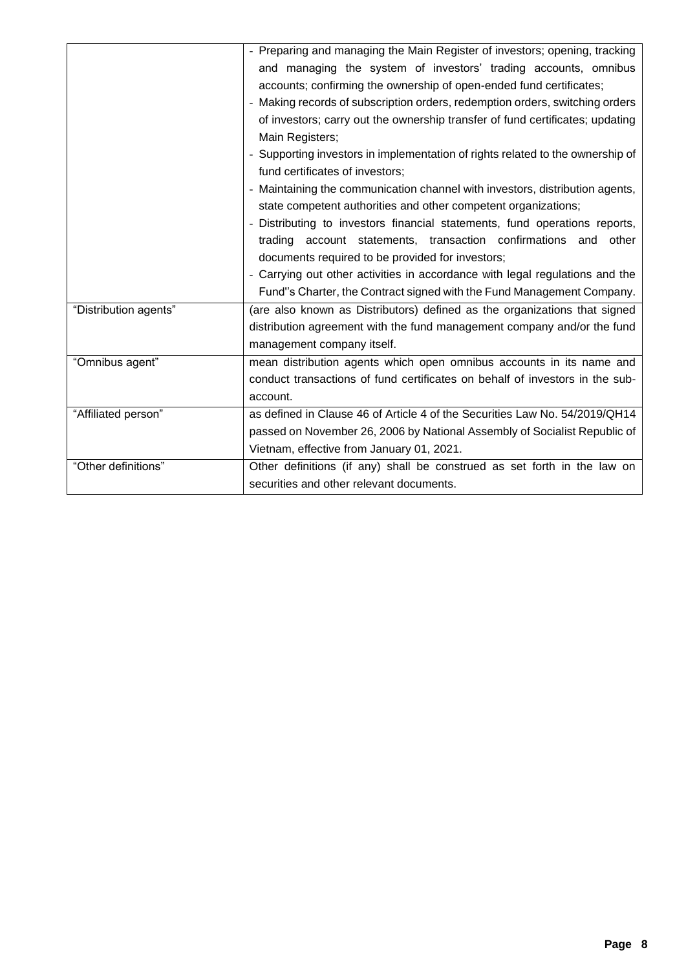|                       | - Preparing and managing the Main Register of investors; opening, tracking     |  |
|-----------------------|--------------------------------------------------------------------------------|--|
|                       | and managing the system of investors' trading accounts, omnibus                |  |
|                       | accounts; confirming the ownership of open-ended fund certificates;            |  |
|                       | - Making records of subscription orders, redemption orders, switching orders   |  |
|                       | of investors; carry out the ownership transfer of fund certificates; updating  |  |
|                       | Main Registers;                                                                |  |
|                       | - Supporting investors in implementation of rights related to the ownership of |  |
|                       | fund certificates of investors;                                                |  |
|                       | - Maintaining the communication channel with investors, distribution agents,   |  |
|                       | state competent authorities and other competent organizations;                 |  |
|                       | - Distributing to investors financial statements, fund operations reports,     |  |
|                       | trading account statements, transaction confirmations and other                |  |
|                       | documents required to be provided for investors;                               |  |
|                       | - Carrying out other activities in accordance with legal regulations and the   |  |
|                       | Fund"s Charter, the Contract signed with the Fund Management Company.          |  |
| "Distribution agents" | (are also known as Distributors) defined as the organizations that signed      |  |
|                       | distribution agreement with the fund management company and/or the fund        |  |
|                       | management company itself.                                                     |  |
| "Omnibus agent"       | mean distribution agents which open omnibus accounts in its name and           |  |
|                       | conduct transactions of fund certificates on behalf of investors in the sub-   |  |
|                       | account.                                                                       |  |
| "Affiliated person"   | as defined in Clause 46 of Article 4 of the Securities Law No. 54/2019/QH14    |  |
|                       | passed on November 26, 2006 by National Assembly of Socialist Republic of      |  |
|                       | Vietnam, effective from January 01, 2021.                                      |  |
| "Other definitions"   | Other definitions (if any) shall be construed as set forth in the law on       |  |
|                       | securities and other relevant documents.                                       |  |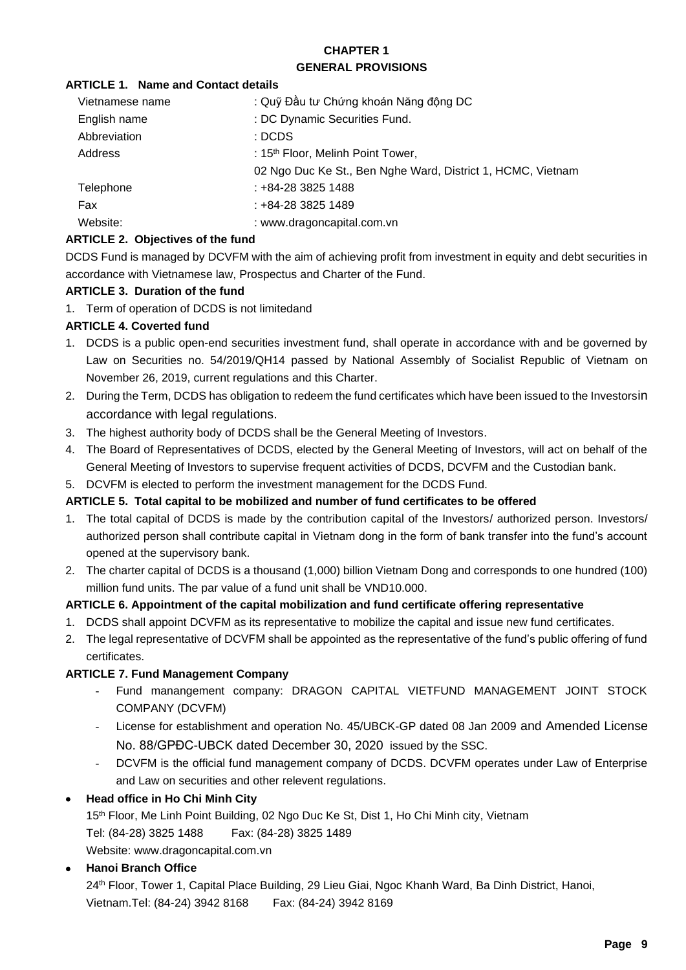#### **CHAPTER 1 GENERAL PROVISIONS**

#### **ARTICLE 1. Name and Contact details**

| Vietnamese name | : Quỹ Đầu tư Chứng khoán Năng động DC                       |
|-----------------|-------------------------------------------------------------|
| English name    | : DC Dynamic Securities Fund.                               |
| Abbreviation    | : DCDS                                                      |
| Address         | : 15 <sup>th</sup> Floor, Melinh Point Tower,               |
|                 | 02 Ngo Duc Ke St., Ben Nghe Ward, District 1, HCMC, Vietnam |
| Telephone       | : +84-28 3825 1488                                          |
| Fax             | : +84-28 3825 1489                                          |
| Website:        | : www.dragoncapital.com.vn                                  |

# **ARTICLE 2. Objectives of the fund**

DCDS Fund is managed by DCVFM with the aim of achieving profit from investment in equity and debt securities in accordance with Vietnamese law, Prospectus and Charter of the Fund.

#### **ARTICLE 3. Duration of the fund**

1. Term of operation of DCDS is not limitedand

# **ARTICLE 4. Coverted fund**

- 1. DCDS is a public open-end securities investment fund, shall operate in accordance with and be governed by Law on Securities no. 54/2019/QH14 passed by National Assembly of Socialist Republic of Vietnam on November 26, 2019, current regulations and this Charter.
- 2. During the Term, DCDS has obligation to redeem the fund certificates which have been issued to the Investorsin accordance with legal regulations.
- 3. The highest authority body of DCDS shall be the General Meeting of Investors.
- 4. The Board of Representatives of DCDS, elected by the General Meeting of Investors, will act on behalf of the General Meeting of Investors to supervise frequent activities of DCDS, DCVFM and the Custodian bank.
- 5. DCVFM is elected to perform the investment management for the DCDS Fund.

#### **ARTICLE 5. Total capital to be mobilized and number of fund certificates to be offered**

- 1. The total capital of DCDS is made by the contribution capital of the Investors/ authorized person. Investors/ authorized person shall contribute capital in Vietnam dong in the form of bank transfer into the fund's account opened at the supervisory bank.
- 2. The charter capital of DCDS is a thousand (1,000) billion Vietnam Dong and corresponds to one hundred (100) million fund units. The par value of a fund unit shall be VND10.000.

# **ARTICLE 6. Appointment of the capital mobilization and fund certificate offering representative**

- 1. DCDS shall appoint DCVFM as its representative to mobilize the capital and issue new fund certificates.
- 2. The legal representative of DCVFM shall be appointed as the representative of the fund's public offering of fund certificates.

#### **ARTICLE 7. Fund Management Company**

- Fund manangement company: DRAGON CAPITAL VIETFUND MANAGEMENT JOINT STOCK COMPANY (DCVFM)
- License for establishment and operation No. 45/UBCK-GP dated 08 Jan 2009 and Amended License No. 88/GPĐC-UBCK dated December 30, 2020 issued by the SSC.
- DCVFM is the official fund management company of DCDS. DCVFM operates under Law of Enterprise and Law on securities and other relevent regulations.

# • **Head office in Ho Chi Minh City**

15<sup>th</sup> Floor, Me Linh Point Building, 02 Ngo Duc Ke St, Dist 1, Ho Chi Minh city, Vietnam Tel: (84-28) 3825 1488 Fax: (84-28) 3825 1489 Website: www.dragoncapital.com.vn

# • **Hanoi Branch Office**

24th Floor, Tower 1, Capital Place Building, 29 Lieu Giai, Ngoc Khanh Ward, Ba Dinh District, Hanoi, Vietnam.Tel: (84-24) 3942 8168 Fax: (84-24) 3942 8169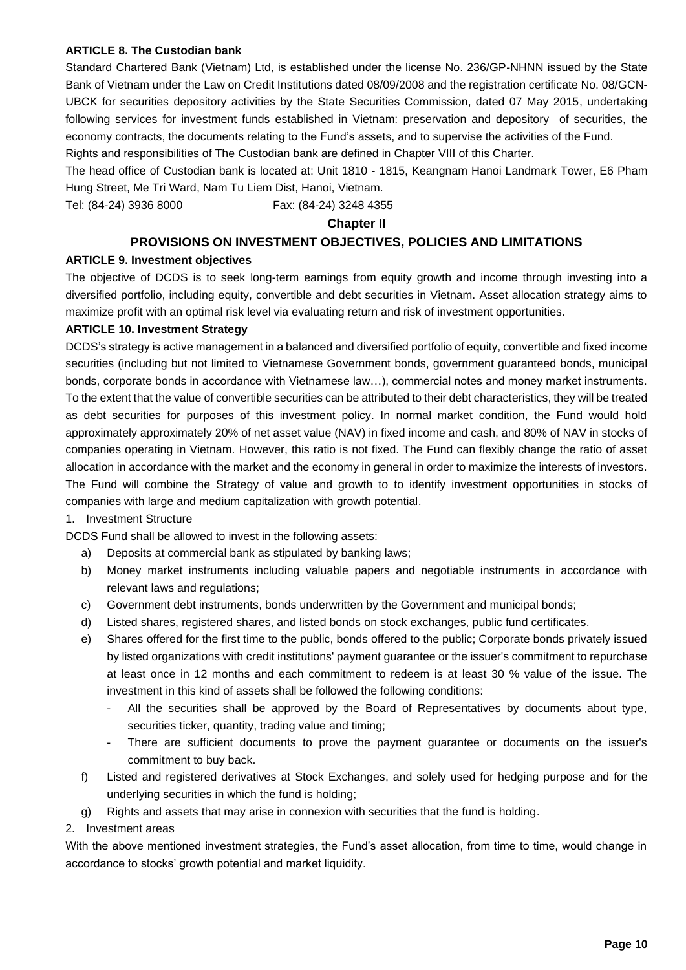#### **ARTICLE 8. The Custodian bank**

Standard Chartered Bank (Vietnam) Ltd, is established under the license No. 236/GP-NHNN issued by the State Bank of Vietnam under the Law on Credit Institutions dated 08/09/2008 and the registration certificate No. 08/GCN-UBCK for securities depository activities by the State Securities Commission, dated 07 May 2015, undertaking following services for investment funds established in Vietnam: preservation and depository of securities, the economy contracts, the documents relating to the Fund's assets, and to supervise the activities of the Fund. Rights and responsibilities of The Custodian bank are defined in Chapter VIII of this Charter.

The head office of Custodian bank is located at: Unit 1810 - 1815, Keangnam Hanoi Landmark Tower, E6 Pham Hung Street, Me Tri Ward, Nam Tu Liem Dist, Hanoi, Vietnam.

Tel: (84-24) 3936 8000 Fax: (84-24) 3248 4355

#### **Chapter II**

#### **PROVISIONS ON INVESTMENT OBJECTIVES, POLICIES AND LIMITATIONS**

#### **ARTICLE 9. Investment objectives**

The objective of DCDS is to seek long-term earnings from equity growth and income through investing into a diversified portfolio, including equity, convertible and debt securities in Vietnam. Asset allocation strategy aims to maximize profit with an optimal risk level via evaluating return and risk of investment opportunities.

#### **ARTICLE 10. Investment Strategy**

DCDS's strategy is active management in a balanced and diversified portfolio of equity, convertible and fixed income securities (including but not limited to Vietnamese Government bonds, government guaranteed bonds, municipal bonds, corporate bonds in accordance with Vietnamese law…), commercial notes and money market instruments. To the extent that the value of convertible securities can be attributed to their debt characteristics, they will be treated as debt securities for purposes of this investment policy. In normal market condition, the Fund would hold approximately approximately 20% of net asset value (NAV) in fixed income and cash, and 80% of NAV in stocks of companies operating in Vietnam. However, this ratio is not fixed. The Fund can flexibly change the ratio of asset allocation in accordance with the market and the economy in general in order to maximize the interests of investors. The Fund will combine the Strategy of value and growth to to identify investment opportunities in stocks of companies with large and medium capitalization with growth potential.

#### 1. Investment Structure

DCDS Fund shall be allowed to invest in the following assets:

- a) Deposits at commercial bank as stipulated by banking laws;
- b) Money market instruments including valuable papers and negotiable instruments in accordance with relevant laws and regulations;
- c) Government debt instruments, bonds underwritten by the Government and municipal bonds;
- d) Listed shares, registered shares, and listed bonds on stock exchanges, public fund certificates.
- e) Shares offered for the first time to the public, bonds offered to the public; Corporate bonds privately issued by listed organizations with credit institutions' payment guarantee or the issuer's commitment to repurchase at least once in 12 months and each commitment to redeem is at least 30 % value of the issue. The investment in this kind of assets shall be followed the following conditions:
	- All the securities shall be approved by the Board of Representatives by documents about type, securities ticker, quantity, trading value and timing;
	- There are sufficient documents to prove the payment guarantee or documents on the issuer's commitment to buy back.
- f) Listed and registered derivatives at Stock Exchanges, and solely used for hedging purpose and for the underlying securities in which the fund is holding;
- g) Rights and assets that may arise in connexion with securities that the fund is holding.

#### 2. Investment areas

With the above mentioned investment strategies, the Fund's asset allocation, from time to time, would change in accordance to stocks' growth potential and market liquidity.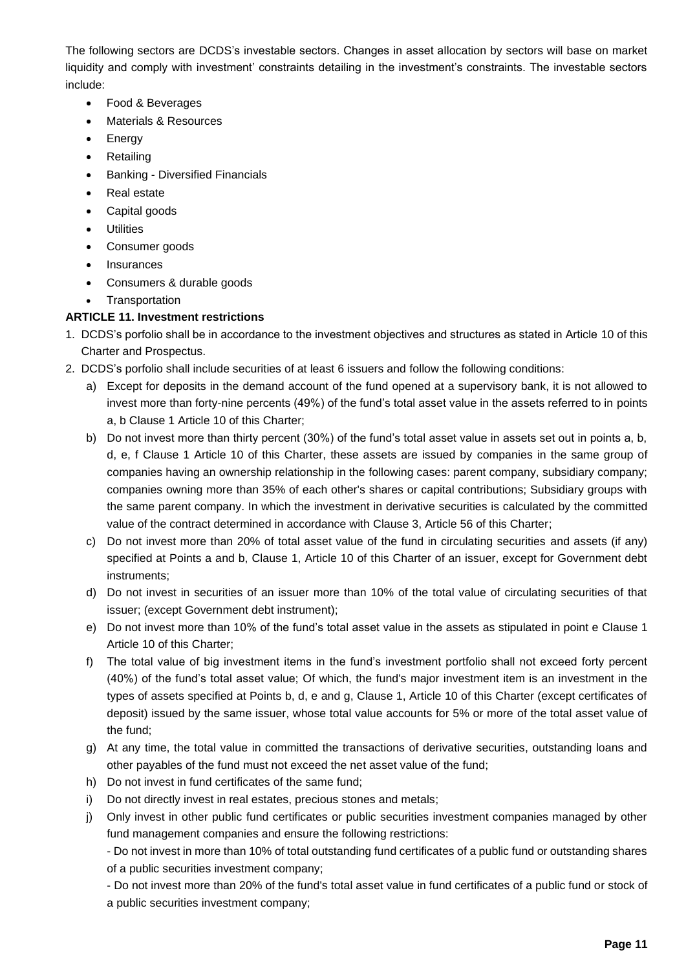The following sectors are DCDS's investable sectors. Changes in asset allocation by sectors will base on market liquidity and comply with investment' constraints detailing in the investment's constraints. The investable sectors include:

- Food & Beverages
- Materials & Resources
- **Energy**
- Retailing
- Banking Diversified Financials
- Real estate
- Capital goods
- **Utilities**
- Consumer goods
- Insurances
- Consumers & durable goods
- Transportation

# **ARTICLE 11. Investment restrictions**

- 1. DCDS's porfolio shall be in accordance to the investment objectives and structures as stated in Article 10 of this Charter and Prospectus.
- 2. DCDS's porfolio shall include securities of at least 6 issuers and follow the following conditions:
	- a) Except for deposits in the demand account of the fund opened at a supervisory bank, it is not allowed to invest more than forty-nine percents (49%) of the fund's total asset value in the assets referred to in points a, b Clause 1 Article 10 of this Charter;
	- b) Do not invest more than thirty percent (30%) of the fund's total asset value in assets set out in points a, b, d, e, f Clause 1 Article 10 of this Charter, these assets are issued by companies in the same group of companies having an ownership relationship in the following cases: parent company, subsidiary company; companies owning more than 35% of each other's shares or capital contributions; Subsidiary groups with the same parent company. In which the investment in derivative securities is calculated by the committed value of the contract determined in accordance with Clause 3, Article 56 of this Charter;
	- c) Do not invest more than 20% of total asset value of the fund in circulating securities and assets (if any) specified at Points a and b, Clause 1, Article 10 of this Charter of an issuer, except for Government debt instruments;
	- d) Do not invest in securities of an issuer more than 10% of the total value of circulating securities of that issuer; (except Government debt instrument);
	- e) Do not invest more than 10% of the fund's total asset value in the assets as stipulated in point e Clause 1 Article 10 of this Charter;
	- f) The total value of big investment items in the fund's investment portfolio shall not exceed forty percent (40%) of the fund's total asset value; Of which, the fund's major investment item is an investment in the types of assets specified at Points b, d, e and g, Clause 1, Article 10 of this Charter (except certificates of deposit) issued by the same issuer, whose total value accounts for 5% or more of the total asset value of the fund;
	- g) At any time, the total value in committed the transactions of derivative securities, outstanding loans and other payables of the fund must not exceed the net asset value of the fund;
	- h) Do not invest in fund certificates of the same fund;
	- i) Do not directly invest in real estates, precious stones and metals;
	- j) Only invest in other public fund certificates or public securities investment companies managed by other fund management companies and ensure the following restrictions:

- Do not invest in more than 10% of total outstanding fund certificates of a public fund or outstanding shares of a public securities investment company;

- Do not invest more than 20% of the fund's total asset value in fund certificates of a public fund or stock of a public securities investment company;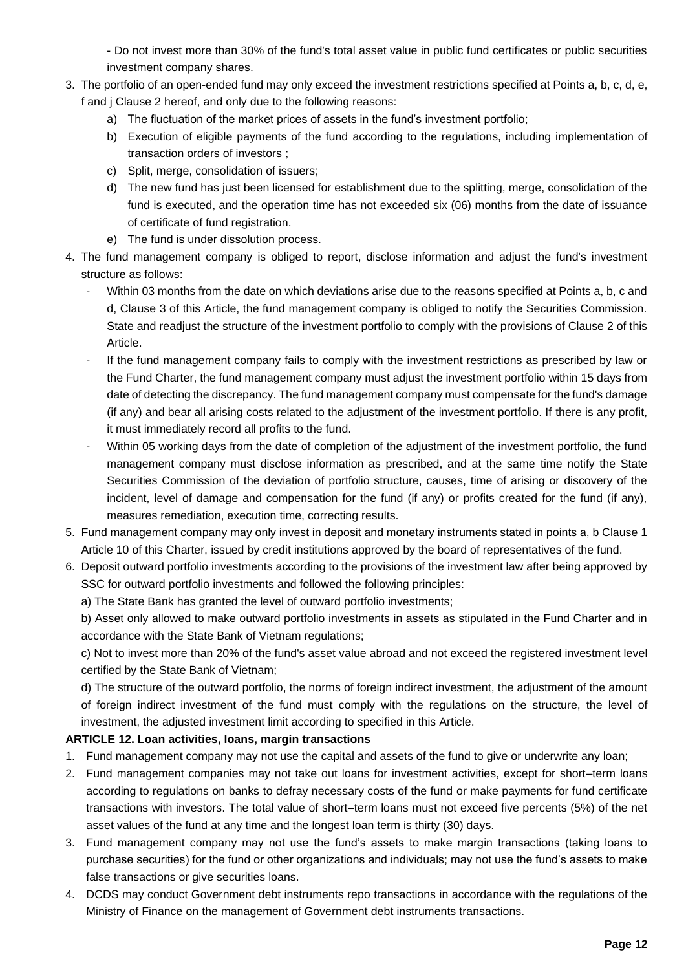- Do not invest more than 30% of the fund's total asset value in public fund certificates or public securities investment company shares.

- 3. The portfolio of an open-ended fund may only exceed the investment restrictions specified at Points a, b, c, d, e, f and j Clause 2 hereof, and only due to the following reasons:
	- a) The fluctuation of the market prices of assets in the fund's investment portfolio;
	- b) Execution of eligible payments of the fund according to the regulations, including implementation of transaction orders of investors ;
	- c) Split, merge, consolidation of issuers;
	- d) The new fund has just been licensed for establishment due to the splitting, merge, consolidation of the fund is executed, and the operation time has not exceeded six (06) months from the date of issuance of certificate of fund registration.
	- e) The fund is under dissolution process.
- 4. The fund management company is obliged to report, disclose information and adjust the fund's investment structure as follows:
	- Within 03 months from the date on which deviations arise due to the reasons specified at Points a, b, c and d, Clause 3 of this Article, the fund management company is obliged to notify the Securities Commission. State and readjust the structure of the investment portfolio to comply with the provisions of Clause 2 of this Article.
	- If the fund management company fails to comply with the investment restrictions as prescribed by law or the Fund Charter, the fund management company must adjust the investment portfolio within 15 days from date of detecting the discrepancy. The fund management company must compensate for the fund's damage (if any) and bear all arising costs related to the adjustment of the investment portfolio. If there is any profit, it must immediately record all profits to the fund.
	- Within 05 working days from the date of completion of the adjustment of the investment portfolio, the fund management company must disclose information as prescribed, and at the same time notify the State Securities Commission of the deviation of portfolio structure, causes, time of arising or discovery of the incident, level of damage and compensation for the fund (if any) or profits created for the fund (if any), measures remediation, execution time, correcting results.
- 5. Fund management company may only invest in deposit and monetary instruments stated in points a, b Clause 1 Article 10 of this Charter, issued by credit institutions approved by the board of representatives of the fund.
- 6. Deposit outward portfolio investments according to the provisions of the investment law after being approved by SSC for outward portfolio investments and followed the following principles:

a) The State Bank has granted the level of outward portfolio investments;

b) Asset only allowed to make outward portfolio investments in assets as stipulated in the Fund Charter and in accordance with the State Bank of Vietnam regulations;

c) Not to invest more than 20% of the fund's asset value abroad and not exceed the registered investment level certified by the State Bank of Vietnam;

d) The structure of the outward portfolio, the norms of foreign indirect investment, the adjustment of the amount of foreign indirect investment of the fund must comply with the regulations on the structure, the level of investment, the adjusted investment limit according to specified in this Article.

# **ARTICLE 12. Loan activities, loans, margin transactions**

- 1. Fund management company may not use the capital and assets of the fund to give or underwrite any loan;
- 2. Fund management companies may not take out loans for investment activities, except for short–term loans according to regulations on banks to defray necessary costs of the fund or make payments for fund certificate transactions with investors. The total value of short–term loans must not exceed five percents (5%) of the net asset values of the fund at any time and the longest loan term is thirty (30) days.
- 3. Fund management company may not use the fund's assets to make margin transactions (taking loans to purchase securities) for the fund or other organizations and individuals; may not use the fund's assets to make false transactions or give securities loans.
- 4. DCDS may conduct Government debt instruments repo transactions in accordance with the regulations of the Ministry of Finance on the management of Government debt instruments transactions.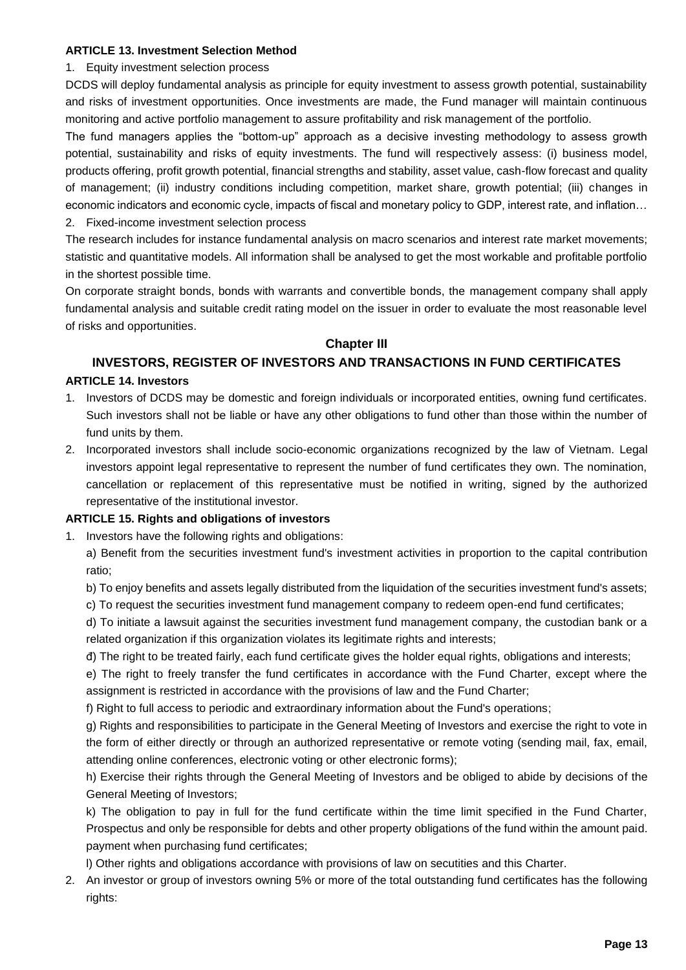#### **ARTICLE 13. Investment Selection Method**

#### 1. Equity investment selection process

DCDS will deploy fundamental analysis as principle for equity investment to assess growth potential, sustainability and risks of investment opportunities. Once investments are made, the Fund manager will maintain continuous monitoring and active portfolio management to assure profitability and risk management of the portfolio.

The fund managers applies the "bottom-up" approach as a decisive investing methodology to assess growth potential, sustainability and risks of equity investments. The fund will respectively assess: (i) business model, products offering, profit growth potential, financial strengths and stability, asset value, cash-flow forecast and quality of management; (ii) industry conditions including competition, market share, growth potential; (iii) changes in economic indicators and economic cycle, impacts of fiscal and monetary policy to GDP, interest rate, and inflation… 2. Fixed-income investment selection process

The research includes for instance fundamental analysis on macro scenarios and interest rate market movements; statistic and quantitative models. All information shall be analysed to get the most workable and profitable portfolio in the shortest possible time.

On corporate straight bonds, bonds with warrants and convertible bonds, the management company shall apply fundamental analysis and suitable credit rating model on the issuer in order to evaluate the most reasonable level of risks and opportunities.

# **Chapter III**

# **INVESTORS, REGISTER OF INVESTORS AND TRANSACTIONS IN FUND CERTIFICATES**

# **ARTICLE 14. Investors**

- 1. Investors of DCDS may be domestic and foreign individuals or incorporated entities, owning fund certificates. Such investors shall not be liable or have any other obligations to fund other than those within the number of fund units by them.
- 2. Incorporated investors shall include socio-economic organizations recognized by the law of Vietnam. Legal investors appoint legal representative to represent the number of fund certificates they own. The nomination, cancellation or replacement of this representative must be notified in writing, signed by the authorized representative of the institutional investor.

#### **ARTICLE 15. Rights and obligations of investors**

1. Investors have the following rights and obligations:

a) Benefit from the securities investment fund's investment activities in proportion to the capital contribution ratio;

b) To enjoy benefits and assets legally distributed from the liquidation of the securities investment fund's assets;

c) To request the securities investment fund management company to redeem open-end fund certificates;

d) To initiate a lawsuit against the securities investment fund management company, the custodian bank or a related organization if this organization violates its legitimate rights and interests;

đ) The right to be treated fairly, each fund certificate gives the holder equal rights, obligations and interests;

e) The right to freely transfer the fund certificates in accordance with the Fund Charter, except where the assignment is restricted in accordance with the provisions of law and the Fund Charter;

f) Right to full access to periodic and extraordinary information about the Fund's operations;

g) Rights and responsibilities to participate in the General Meeting of Investors and exercise the right to vote in the form of either directly or through an authorized representative or remote voting (sending mail, fax, email, attending online conferences, electronic voting or other electronic forms);

h) Exercise their rights through the General Meeting of Investors and be obliged to abide by decisions of the General Meeting of Investors;

k) The obligation to pay in full for the fund certificate within the time limit specified in the Fund Charter, Prospectus and only be responsible for debts and other property obligations of the fund within the amount paid. payment when purchasing fund certificates;

l) Other rights and obligations accordance with provisions of law on secutities and this Charter.

2. An investor or group of investors owning 5% or more of the total outstanding fund certificates has the following rights: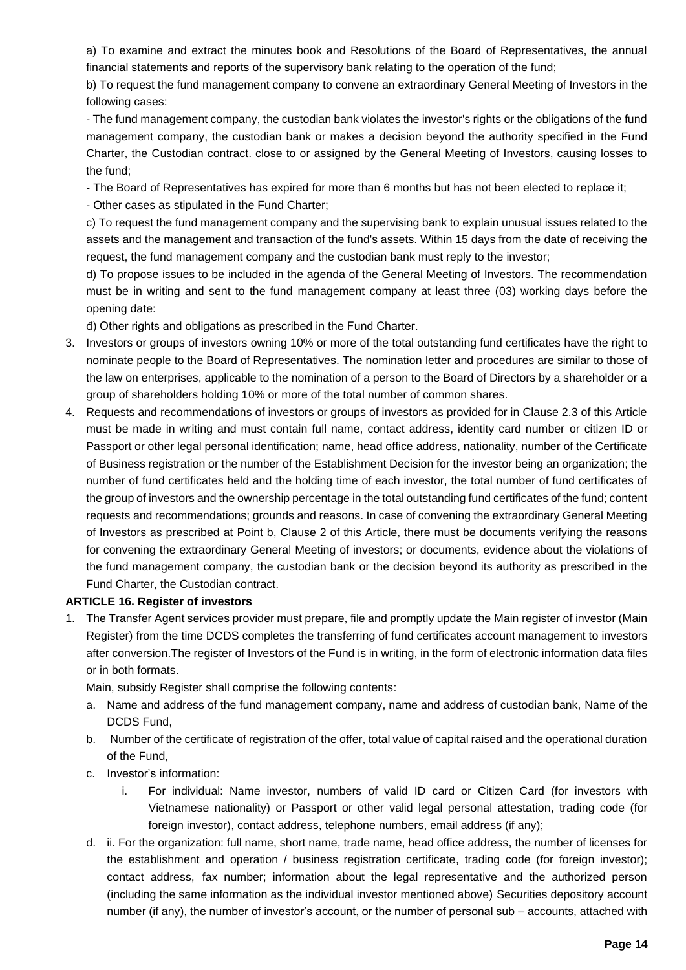a) To examine and extract the minutes book and Resolutions of the Board of Representatives, the annual financial statements and reports of the supervisory bank relating to the operation of the fund;

b) To request the fund management company to convene an extraordinary General Meeting of Investors in the following cases:

- The fund management company, the custodian bank violates the investor's rights or the obligations of the fund management company, the custodian bank or makes a decision beyond the authority specified in the Fund Charter, the Custodian contract. close to or assigned by the General Meeting of Investors, causing losses to the fund;

- The Board of Representatives has expired for more than 6 months but has not been elected to replace it;

- Other cases as stipulated in the Fund Charter;

c) To request the fund management company and the supervising bank to explain unusual issues related to the assets and the management and transaction of the fund's assets. Within 15 days from the date of receiving the request, the fund management company and the custodian bank must reply to the investor;

d) To propose issues to be included in the agenda of the General Meeting of Investors. The recommendation must be in writing and sent to the fund management company at least three (03) working days before the opening date:

đ) Other rights and obligations as prescribed in the Fund Charter.

- 3. Investors or groups of investors owning 10% or more of the total outstanding fund certificates have the right to nominate people to the Board of Representatives. The nomination letter and procedures are similar to those of the law on enterprises, applicable to the nomination of a person to the Board of Directors by a shareholder or a group of shareholders holding 10% or more of the total number of common shares.
- 4. Requests and recommendations of investors or groups of investors as provided for in Clause 2.3 of this Article must be made in writing and must contain full name, contact address, identity card number or citizen ID or Passport or other legal personal identification; name, head office address, nationality, number of the Certificate of Business registration or the number of the Establishment Decision for the investor being an organization; the number of fund certificates held and the holding time of each investor, the total number of fund certificates of the group of investors and the ownership percentage in the total outstanding fund certificates of the fund; content requests and recommendations; grounds and reasons. In case of convening the extraordinary General Meeting of Investors as prescribed at Point b, Clause 2 of this Article, there must be documents verifying the reasons for convening the extraordinary General Meeting of investors; or documents, evidence about the violations of the fund management company, the custodian bank or the decision beyond its authority as prescribed in the Fund Charter, the Custodian contract.

#### **ARTICLE 16. Register of investors**

1. The Transfer Agent services provider must prepare, file and promptly update the Main register of investor (Main Register) from the time DCDS completes the transferring of fund certificates account management to investors after conversion.The register of Investors of the Fund is in writing, in the form of electronic information data files or in both formats.

Main, subsidy Register shall comprise the following contents:

- a. Name and address of the fund management company, name and address of custodian bank, Name of the DCDS Fund,
- b. Number of the certificate of registration of the offer, total value of capital raised and the operational duration of the Fund,
- c. Investor's information:
	- i. For individual: Name investor, numbers of valid ID card or [Citizen Card](https://www.citizencard.com/) (for investors with Vietnamese nationality) or Passport or other valid legal personal attestation, trading code (for foreign investor), contact address, telephone numbers, email address (if any);
- d. ii. For the organization: full name, short name, trade name, head office address, the number of licenses for the establishment and operation / business registration certificate, trading code (for foreign investor); contact address, fax number; information about the legal representative and the authorized person (including the same information as the individual investor mentioned above) Securities depository account number (if any), the number of investor's account, or the number of personal sub – accounts, attached with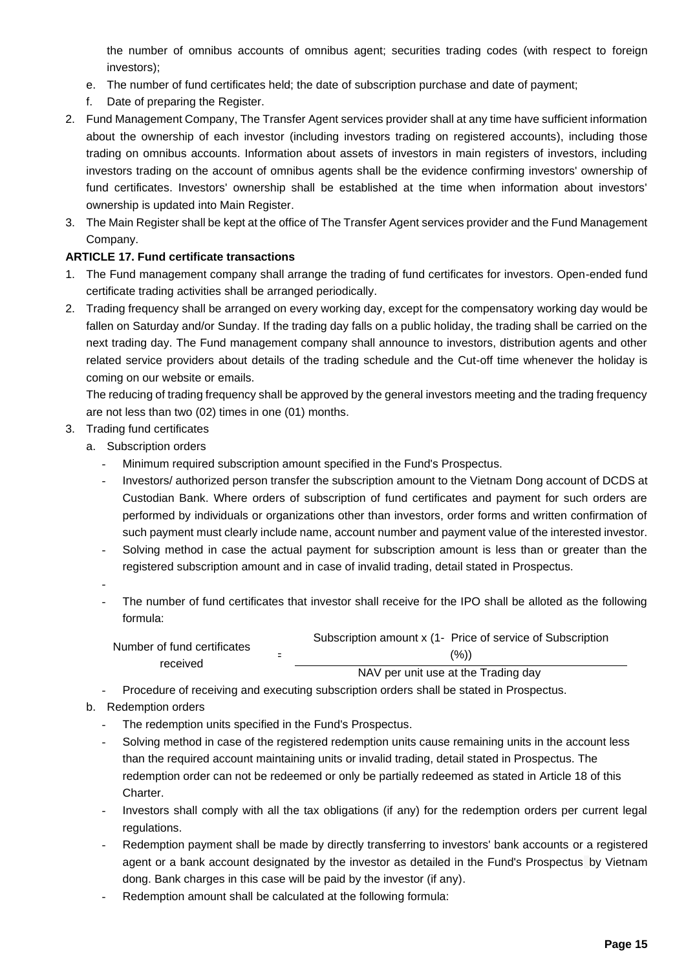the number of omnibus accounts of omnibus agent; securities trading codes (with respect to foreign investors);

- e. The number of fund certificates held; the date of subscription purchase and date of payment;
- f. Date of preparing the Register.
- 2. Fund Management Company, The Transfer Agent services provider shall at any time have sufficient information about the ownership of each investor (including investors trading on registered accounts), including those trading on omnibus accounts. Information about assets of investors in main registers of investors, including investors trading on the account of omnibus agents shall be the evidence confirming investors' ownership of fund certificates. Investors' ownership shall be established at the time when information about investors' ownership is updated into Main Register.
- 3. The Main Register shall be kept at the office of The Transfer Agent services provider and the Fund Management Company.

# **ARTICLE 17. Fund certificate transactions**

- 1. The Fund management company shall arrange the trading of fund certificates for investors. Open-ended fund certificate trading activities shall be arranged periodically.
- 2. Trading frequency shall be arranged on every working day, except for the compensatory working day would be fallen on Saturday and/or Sunday. If the trading day falls on a public holiday, the trading shall be carried on the next trading day. The Fund management company shall announce to investors, distribution agents and other related service providers about details of the trading schedule and the Cut-off time whenever the holiday is coming on our website or emails.

The reducing of trading frequency shall be approved by the general investors meeting and the trading frequency are not less than two (02) times in one (01) months.

- 3. Trading fund certificates
	- a. Subscription orders
		- Minimum required subscription amount specified in the Fund's Prospectus.
		- Investors/ authorized person transfer the subscription amount to the Vietnam Dong account of DCDS at Custodian Bank. Where orders of subscription of fund certificates and payment for such orders are performed by individuals or organizations other than investors, order forms and written confirmation of such payment must clearly include name, account number and payment value of the interested investor.
		- Solving method in case the actual payment for subscription amount is less than or greater than the registered subscription amount and in case of invalid trading, detail stated in Prospectus.
		- - The number of fund certificates that investor shall receive for the IPO shall be alloted as the following formula:

| Number of fund certificates<br>received | Subscription amount x (1- Price of service of Subscription |
|-----------------------------------------|------------------------------------------------------------|
|                                         | (%))                                                       |
|                                         | NAV per unit use at the Trading day                        |

- Procedure of receiving and executing subscription orders shall be stated in Prospectus.
- b. Redemption orders
	- The redemption units specified in the Fund's Prospectus.
	- Solving method in case of the registered redemption units cause remaining units in the account less than the required account maintaining units or invalid trading, detail stated in Prospectus. The redemption order can not be redeemed or only be partially redeemed as stated in Article 18 of this Charter.
	- Investors shall comply with all the tax obligations (if any) for the redemption orders per current legal regulations.
	- Redemption payment shall be made by directly transferring to investors' bank accounts or a registered agent or a bank account designated by the investor as detailed in the Fund's Prospectus by Vietnam dong. Bank charges in this case will be paid by the investor (if any).
	- Redemption amount shall be calculated at the following formula: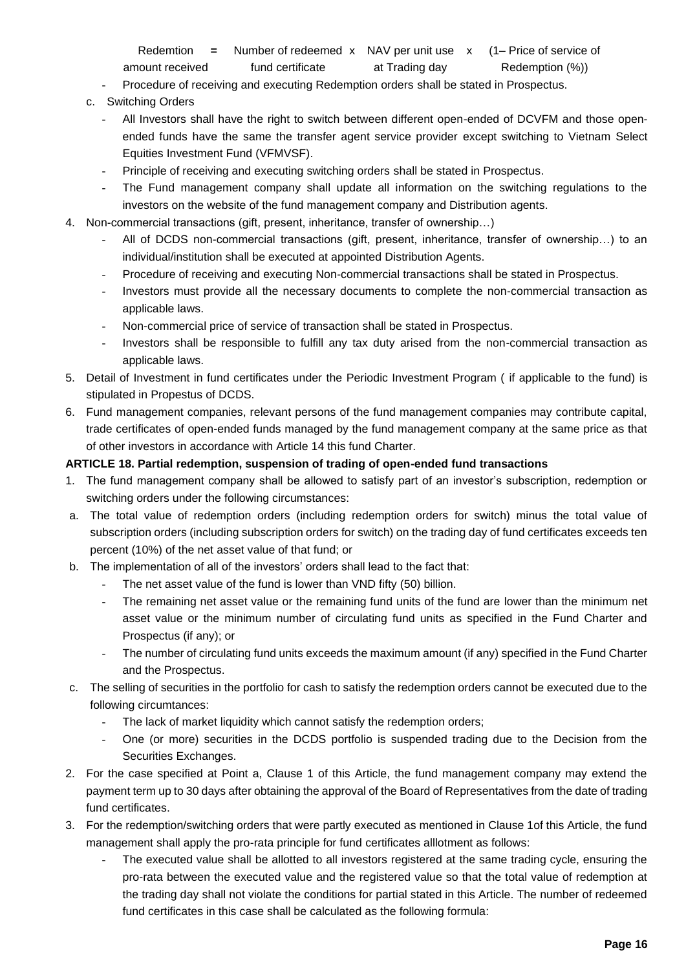Redemtion = Number of redeemed x NAV per unit use x (1– Price of service of amount received fund certificate at Trading day Redemption (%))

- Procedure of receiving and executing Redemption orders shall be stated in Prospectus.
- c. Switching Orders
	- All Investors shall have the right to switch between different open-ended of DCVFM and those openended funds have the same the transfer agent service provider except switching to Vietnam Select Equities Investment Fund (VFMVSF).
	- Principle of receiving and executing switching orders shall be stated in Prospectus.
	- The Fund management company shall update all information on the switching regulations to the investors on the website of the fund management company and Distribution agents.
- 4. Non-commercial transactions (gift, present, inheritance, transfer of ownership…)
	- All of DCDS non-commercial transactions (gift, present, inheritance, transfer of ownership...) to an individual/institution shall be executed at appointed Distribution Agents.
	- Procedure of receiving and executing Non-commercial transactions shall be stated in Prospectus.
	- Investors must provide all the necessary documents to complete the non-commercial transaction as applicable laws.
	- Non-commercial price of service of transaction shall be stated in Prospectus.
	- Investors shall be responsible to fulfill any tax duty arised from the non-commercial transaction as applicable laws.
- 5. Detail of Investment in fund certificates under the Periodic Investment Program ( if applicable to the fund) is stipulated in Propestus of DCDS.
- 6. Fund management companies, relevant persons of the fund management companies may contribute capital, trade certificates of open-ended funds managed by the fund management company at the same price as that of other investors in accordance with Article 14 this fund Charter.

#### **ARTICLE 18. Partial redemption, suspension of trading of open-ended fund transactions**

- 1. The fund management company shall be allowed to satisfy part of an investor's subscription, redemption or switching orders under the following circumstances:
- a. The total value of redemption orders (including redemption orders for switch) minus the total value of subscription orders (including subscription orders for switch) on the trading day of fund certificates exceeds ten percent (10%) of the net asset value of that fund; or
- b. The implementation of all of the investors' orders shall lead to the fact that:
	- The net asset value of the fund is lower than VND fifty (50) billion.
	- The remaining net asset value or the remaining fund units of the fund are lower than the minimum net asset value or the minimum number of circulating fund units as specified in the Fund Charter and Prospectus (if any); or
	- The number of circulating fund units exceeds the maximum amount (if any) specified in the Fund Charter and the Prospectus.
- c. The selling of securities in the portfolio for cash to satisfy the redemption orders cannot be executed due to the following circumtances:
	- The lack of market liquidity which cannot satisfy the redemption orders;
	- One (or more) securities in the DCDS portfolio is suspended trading due to the Decision from the Securities Exchanges.
- 2. For the case specified at Point a, Clause 1 of this Article, the fund management company may extend the payment term up to 30 days after obtaining the approval of the Board of Representatives from the date of trading fund certificates.
- 3. For the redemption/switching orders that were partly executed as mentioned in Clause 1of this Article, the fund management shall apply the pro-rata principle for fund certificates alllotment as follows:
	- The executed value shall be allotted to all investors registered at the same trading cycle, ensuring the pro-rata between the executed value and the registered value so that the total value of redemption at the trading day shall not violate the conditions for partial stated in this Article. The number of redeemed fund certificates in this case shall be calculated as the following formula: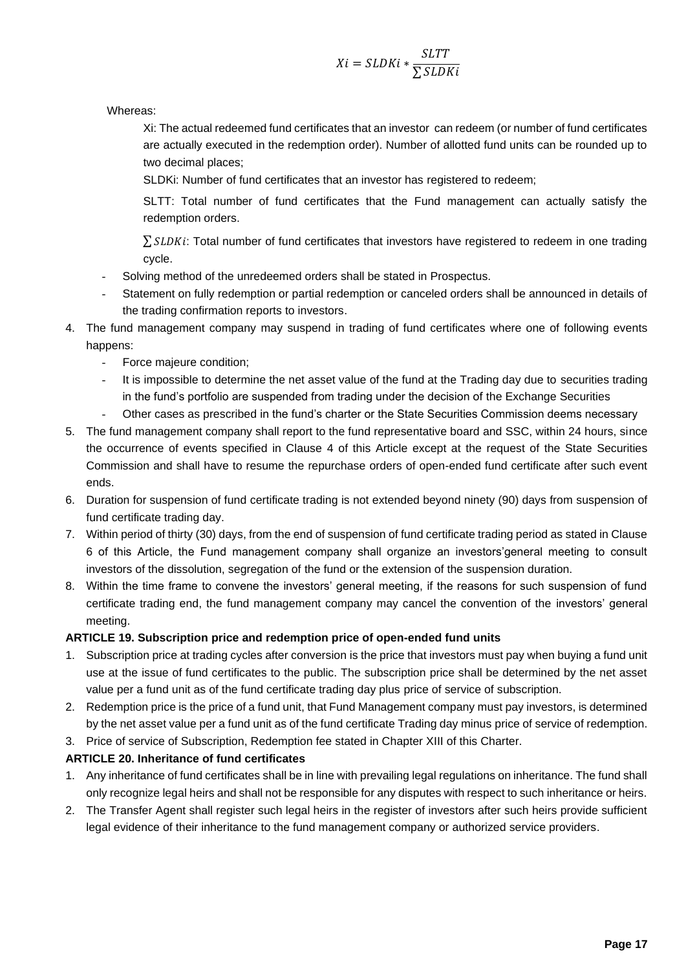$$
Xi = SLDKi * \frac{SLTT}{\sum SLDKi}
$$

Whereas:

Xi: The actual redeemed fund certificates that an investor can redeem (or number of fund certificates are actually executed in the redemption order). Number of allotted fund units can be rounded up to two decimal places;

SLDKi: Number of fund certificates that an investor has registered to redeem;

SLTT: Total number of fund certificates that the Fund management can actually satisfy the redemption orders.

 $\sum$  SLDKi: Total number of fund certificates that investors have registered to redeem in one trading cycle.

- Solving method of the unredeemed orders shall be stated in Prospectus.
- Statement on fully redemption or partial redemption or canceled orders shall be announced in details of the trading confirmation reports to investors.
- 4. The fund management company may suspend in trading of fund certificates where one of following events happens:
	- Force majeure condition;
	- It is impossible to determine the net asset value of the fund at the Trading day due to securities trading in the fund's portfolio are suspended from trading under the decision of the Exchange Securities
	- Other cases as prescribed in the fund's charter or the State Securities Commission deems necessary
- 5. The fund management company shall report to the fund representative board and SSC, within 24 hours, since the occurrence of events specified in Clause 4 of this Article except at the request of the State Securities Commission and shall have to resume the repurchase orders of open-ended fund certificate after such event ends.
- 6. Duration for suspension of fund certificate trading is not extended beyond ninety (90) days from suspension of fund certificate trading day.
- 7. Within period of thirty (30) days, from the end of suspension of fund certificate trading period as stated in Clause 6 of this Article, the Fund management company shall organize an investors'general meeting to consult investors of the dissolution, segregation of the fund or the extension of the suspension duration.
- 8. Within the time frame to convene the investors' general meeting, if the reasons for such suspension of fund certificate trading end, the fund management company may cancel the convention of the investors' general meeting.

#### **ARTICLE 19. Subscription price and redemption price of open-ended fund units**

- 1. Subscription price at trading cycles after conversion is the price that investors must pay when buying a fund unit use at the issue of fund certificates to the public. The subscription price shall be determined by the net asset value per a fund unit as of the fund certificate trading day plus price of service of subscription.
- 2. Redemption price is the price of a fund unit, that Fund Management company must pay investors, is determined by the net asset value per a fund unit as of the fund certificate Trading day minus price of service of redemption.
- 3. Price of service of Subscription, Redemption fee stated in Chapter XIII of this Charter.

# **ARTICLE 20. Inheritance of fund certificates**

- 1. Any inheritance of fund certificates shall be in line with prevailing legal regulations on inheritance. The fund shall only recognize legal heirs and shall not be responsible for any disputes with respect to such inheritance or heirs.
- 2. The Transfer Agent shall register such legal heirs in the register of investors after such heirs provide sufficient legal evidence of their inheritance to the fund management company or authorized service providers.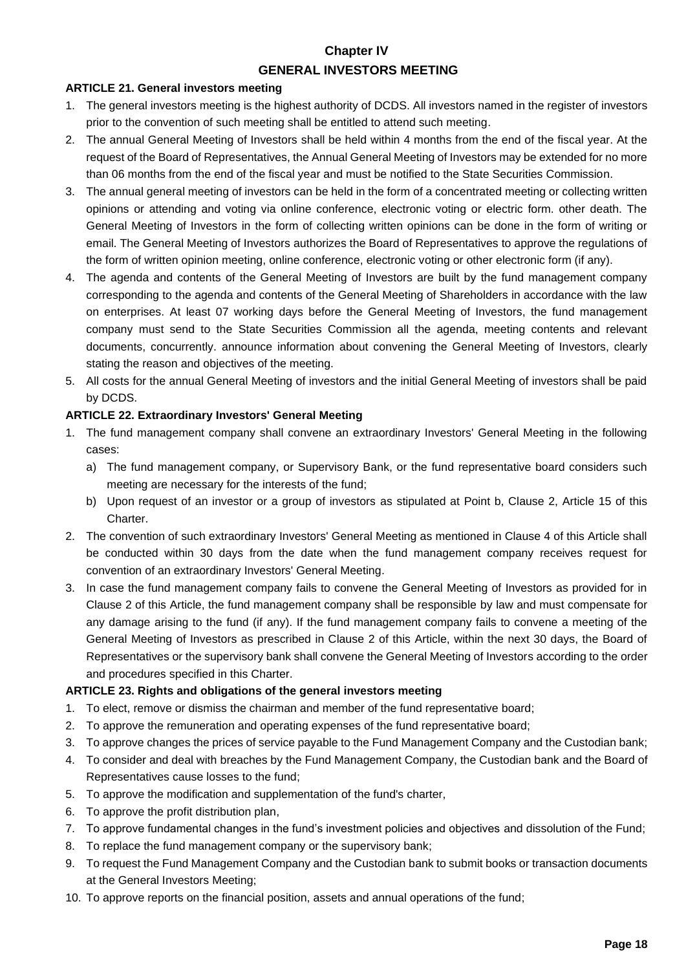# **Chapter IV GENERAL INVESTORS MEETING**

# **ARTICLE 21. General investors meeting**

- 1. The general investors meeting is the highest authority of DCDS. All investors named in the register of investors prior to the convention of such meeting shall be entitled to attend such meeting.
- 2. The annual General Meeting of Investors shall be held within 4 months from the end of the fiscal year. At the request of the Board of Representatives, the Annual General Meeting of Investors may be extended for no more than 06 months from the end of the fiscal year and must be notified to the State Securities Commission.
- 3. The annual general meeting of investors can be held in the form of a concentrated meeting or collecting written opinions or attending and voting via online conference, electronic voting or electric form. other death. The General Meeting of Investors in the form of collecting written opinions can be done in the form of writing or email. The General Meeting of Investors authorizes the Board of Representatives to approve the regulations of the form of written opinion meeting, online conference, electronic voting or other electronic form (if any).
- 4. The agenda and contents of the General Meeting of Investors are built by the fund management company corresponding to the agenda and contents of the General Meeting of Shareholders in accordance with the law on enterprises. At least 07 working days before the General Meeting of Investors, the fund management company must send to the State Securities Commission all the agenda, meeting contents and relevant documents, concurrently. announce information about convening the General Meeting of Investors, clearly stating the reason and objectives of the meeting.
- 5. All costs for the annual General Meeting of investors and the initial General Meeting of investors shall be paid by DCDS.

# **ARTICLE 22. Extraordinary Investors' General Meeting**

- 1. The fund management company shall convene an extraordinary Investors' General Meeting in the following cases:
	- a) The fund management company, or Supervisory Bank, or the fund representative board considers such meeting are necessary for the interests of the fund;
	- b) Upon request of an investor or a group of investors as stipulated at Point b, Clause 2, Article 15 of this Charter.
- 2. The convention of such extraordinary Investors' General Meeting as mentioned in Clause 4 of this Article shall be conducted within 30 days from the date when the fund management company receives request for convention of an extraordinary Investors' General Meeting.
- 3. In case the fund management company fails to convene the General Meeting of Investors as provided for in Clause 2 of this Article, the fund management company shall be responsible by law and must compensate for any damage arising to the fund (if any). If the fund management company fails to convene a meeting of the General Meeting of Investors as prescribed in Clause 2 of this Article, within the next 30 days, the Board of Representatives or the supervisory bank shall convene the General Meeting of Investors according to the order and procedures specified in this Charter.

# **ARTICLE 23. Rights and obligations of the general investors meeting**

- 1. To elect, remove or dismiss the chairman and member of the fund representative board;
- 2. To approve the remuneration and operating expenses of the fund representative board;
- 3. To approve changes the prices of service payable to the Fund Management Company and the Custodian bank;
- 4. To consider and deal with breaches by the Fund Management Company, the Custodian bank and the Board of Representatives cause losses to the fund;
- 5. To approve the modification and supplementation of the fund's charter,
- 6. To approve the profit distribution plan,
- 7. To approve fundamental changes in the fund's investment policies and objectives and dissolution of the Fund;
- 8. To replace the fund management company or the supervisory bank;
- 9. To request the Fund Management Company and the Custodian bank to submit books or transaction documents at the General Investors Meeting;
- 10. To approve reports on the financial position, assets and annual operations of the fund;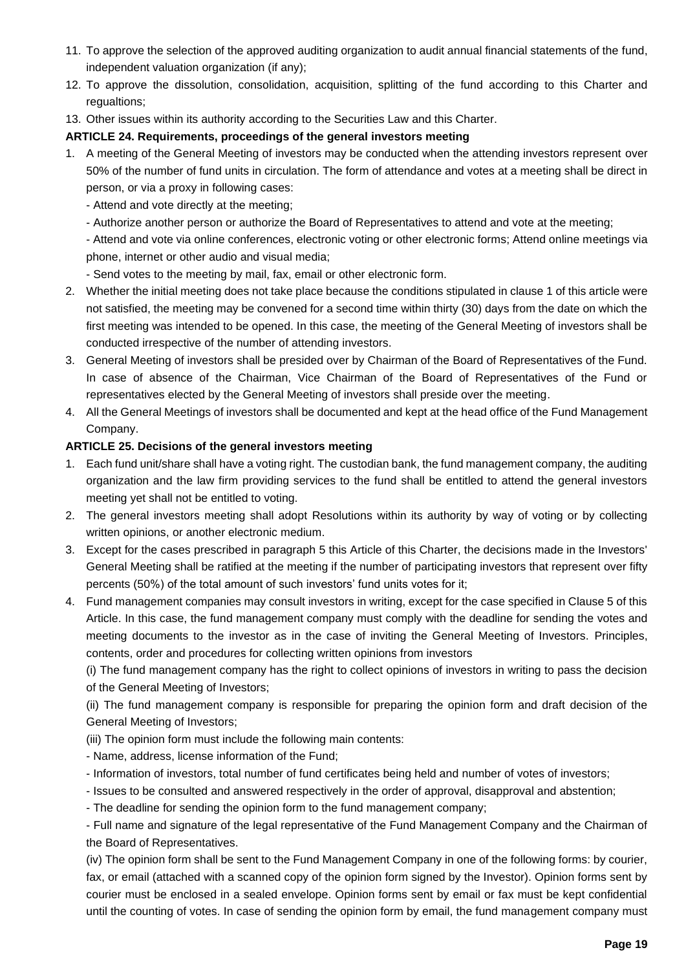- 11. To approve the selection of the approved auditing organization to audit annual financial statements of the fund, independent valuation organization (if any);
- 12. To approve the dissolution, consolidation, acquisition, splitting of the fund according to this Charter and regualtions;
- 13. Other issues within its authority according to the Securities Law and this Charter.

#### **ARTICLE 24. Requirements, proceedings of the general investors meeting**

- 1. A meeting of the General Meeting of investors may be conducted when the attending investors represent over 50% of the number of fund units in circulation. The form of attendance and votes at a meeting shall be direct in person, or via a proxy in following cases:
	- Attend and vote directly at the meeting;
	- Authorize another person or authorize the Board of Representatives to attend and vote at the meeting;
	- Attend and vote via online conferences, electronic voting or other electronic forms; Attend online meetings via phone, internet or other audio and visual media;
		- Send votes to the meeting by mail, fax, email or other electronic form.
- 2. Whether the initial meeting does not take place because the conditions stipulated in clause 1 of this article were not satisfied, the meeting may be convened for a second time within thirty (30) days from the date on which the first meeting was intended to be opened. In this case, the meeting of the General Meeting of investors shall be conducted irrespective of the number of attending investors.
- 3. General Meeting of investors shall be presided over by Chairman of the Board of Representatives of the Fund. In case of absence of the Chairman, Vice Chairman of the Board of Representatives of the Fund or representatives elected by the General Meeting of investors shall preside over the meeting.
- 4. All the General Meetings of investors shall be documented and kept at the head office of the Fund Management Company.

#### **ARTICLE 25. Decisions of the general investors meeting**

- 1. Each fund unit/share shall have a voting right. The custodian bank, the fund management company, the auditing organization and the law firm providing services to the fund shall be entitled to attend the general investors meeting yet shall not be entitled to voting.
- 2. The general investors meeting shall adopt Resolutions within its authority by way of voting or by collecting written opinions, or another electronic medium.
- 3. Except for the cases prescribed in paragraph 5 this Article of this Charter, the decisions made in the Investors' General Meeting shall be ratified at the meeting if the number of participating investors that represent over fifty percents (50%) of the total amount of such investors' fund units votes for it;
- 4. Fund management companies may consult investors in writing, except for the case specified in Clause 5 of this Article. In this case, the fund management company must comply with the deadline for sending the votes and meeting documents to the investor as in the case of inviting the General Meeting of Investors. Principles, contents, order and procedures for collecting written opinions from investors

(i) The fund management company has the right to collect opinions of investors in writing to pass the decision of the General Meeting of Investors;

(ii) The fund management company is responsible for preparing the opinion form and draft decision of the General Meeting of Investors;

- (iii) The opinion form must include the following main contents:
- Name, address, license information of the Fund;
- Information of investors, total number of fund certificates being held and number of votes of investors;
- Issues to be consulted and answered respectively in the order of approval, disapproval and abstention;
- The deadline for sending the opinion form to the fund management company;

- Full name and signature of the legal representative of the Fund Management Company and the Chairman of the Board of Representatives.

(iv) The opinion form shall be sent to the Fund Management Company in one of the following forms: by courier, fax, or email (attached with a scanned copy of the opinion form signed by the Investor). Opinion forms sent by courier must be enclosed in a sealed envelope. Opinion forms sent by email or fax must be kept confidential until the counting of votes. In case of sending the opinion form by email, the fund management company must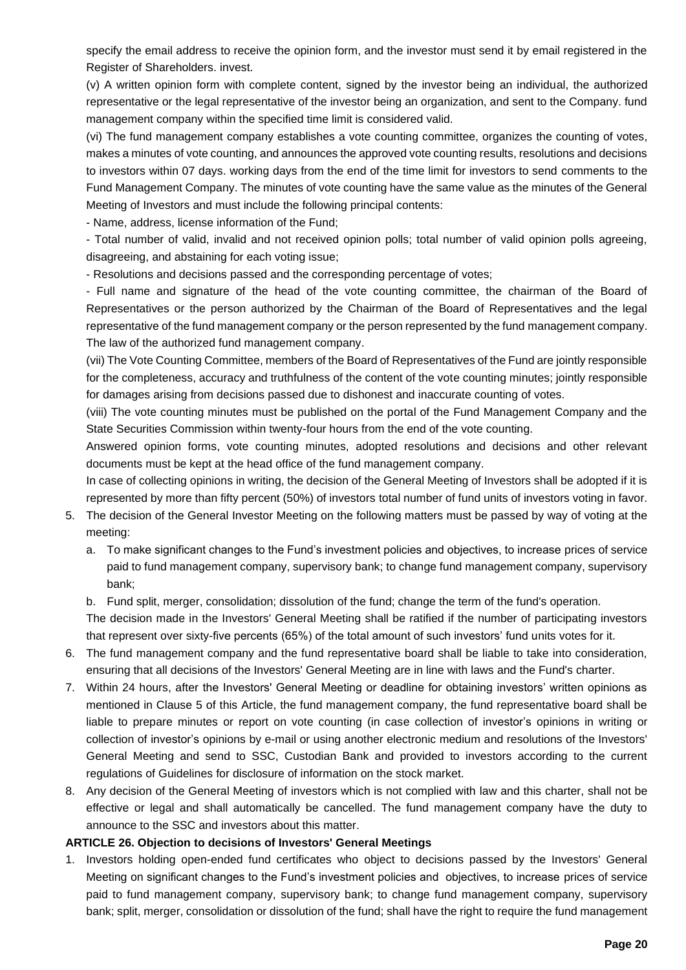specify the email address to receive the opinion form, and the investor must send it by email registered in the Register of Shareholders. invest.

(v) A written opinion form with complete content, signed by the investor being an individual, the authorized representative or the legal representative of the investor being an organization, and sent to the Company. fund management company within the specified time limit is considered valid.

(vi) The fund management company establishes a vote counting committee, organizes the counting of votes, makes a minutes of vote counting, and announces the approved vote counting results, resolutions and decisions to investors within 07 days. working days from the end of the time limit for investors to send comments to the Fund Management Company. The minutes of vote counting have the same value as the minutes of the General Meeting of Investors and must include the following principal contents:

- Name, address, license information of the Fund;

- Total number of valid, invalid and not received opinion polls; total number of valid opinion polls agreeing, disagreeing, and abstaining for each voting issue;

- Resolutions and decisions passed and the corresponding percentage of votes;

- Full name and signature of the head of the vote counting committee, the chairman of the Board of Representatives or the person authorized by the Chairman of the Board of Representatives and the legal representative of the fund management company or the person represented by the fund management company. The law of the authorized fund management company.

(vii) The Vote Counting Committee, members of the Board of Representatives of the Fund are jointly responsible for the completeness, accuracy and truthfulness of the content of the vote counting minutes; jointly responsible for damages arising from decisions passed due to dishonest and inaccurate counting of votes.

(viii) The vote counting minutes must be published on the portal of the Fund Management Company and the State Securities Commission within twenty-four hours from the end of the vote counting.

Answered opinion forms, vote counting minutes, adopted resolutions and decisions and other relevant documents must be kept at the head office of the fund management company.

In case of collecting opinions in writing, the decision of the General Meeting of Investors shall be adopted if it is represented by more than fifty percent (50%) of investors total number of fund units of investors voting in favor.

- 5. The decision of the General Investor Meeting on the following matters must be passed by way of voting at the meeting:
	- a. To make significant changes to the Fund's investment policies and objectives, to increase prices of service paid to fund management company, supervisory bank; to change fund management company, supervisory bank;

b. Fund split, merger, consolidation; dissolution of the fund; change the term of the fund's operation.

The decision made in the Investors' General Meeting shall be ratified if the number of participating investors that represent over sixty-five percents (65%) of the total amount of such investors' fund units votes for it.

- 6. The fund management company and the fund representative board shall be liable to take into consideration, ensuring that all decisions of the Investors' General Meeting are in line with laws and the Fund's charter.
- 7. Within 24 hours, after the Investors' General Meeting or deadline for obtaining investors' written opinions as mentioned in Clause 5 of this Article, the fund management company, the fund representative board shall be liable to prepare minutes or report on vote counting (in case collection of investor's opinions in writing or collection of investor's opinions by e-mail or using another electronic medium and resolutions of the Investors' General Meeting and send to SSC, Custodian Bank and provided to investors according to the current regulations of Guidelines for disclosure of information on the stock market.
- 8. Any decision of the General Meeting of investors which is not complied with law and this charter, shall not be effective or legal and shall automatically be cancelled. The fund management company have the duty to announce to the SSC and investors about this matter.

# **ARTICLE 26. Objection to decisions of Investors' General Meetings**

1. Investors holding open-ended fund certificates who object to decisions passed by the Investors' General Meeting on significant changes to the Fund's investment policies and objectives, to increase prices of service paid to fund management company, supervisory bank; to change fund management company, supervisory bank; split, merger, consolidation or dissolution of the fund; shall have the right to require the fund management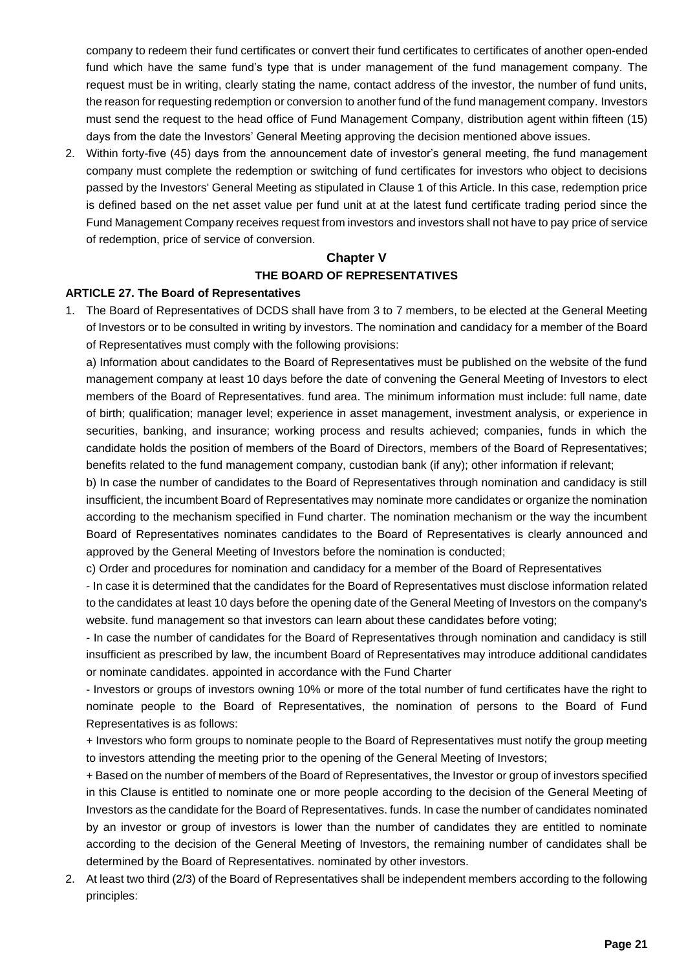company to redeem their fund certificates or convert their fund certificates to certificates of another open-ended fund which have the same fund's type that is under management of the fund management company. The request must be in writing, clearly stating the name, contact address of the investor, the number of fund units, the reason for requesting redemption or conversion to another fund of the fund management company. Investors must send the request to the head office of Fund Management Company, distribution agent within fifteen (15) days from the date the Investors' General Meeting approving the decision mentioned above issues.

2. Within forty-five (45) days from the announcement date of investor's general meeting, fhe fund management company must complete the redemption or switching of fund certificates for investors who object to decisions passed by the Investors' General Meeting as stipulated in Clause 1 of this Article. In this case, redemption price is defined based on the net asset value per fund unit at at the latest fund certificate trading period since the Fund Management Company receives request from investors and investors shall not have to pay price of service of redemption, price of service of conversion.

# **Chapter V THE BOARD OF REPRESENTATIVES**

#### **ARTICLE 27. The Board of Representatives**

1. The Board of Representatives of DCDS shall have from 3 to 7 members, to be elected at the General Meeting of Investors or to be consulted in writing by investors. The nomination and candidacy for a member of the Board of Representatives must comply with the following provisions:

a) Information about candidates to the Board of Representatives must be published on the website of the fund management company at least 10 days before the date of convening the General Meeting of Investors to elect members of the Board of Representatives. fund area. The minimum information must include: full name, date of birth; qualification; manager level; experience in asset management, investment analysis, or experience in securities, banking, and insurance; working process and results achieved; companies, funds in which the candidate holds the position of members of the Board of Directors, members of the Board of Representatives; benefits related to the fund management company, custodian bank (if any); other information if relevant;

b) In case the number of candidates to the Board of Representatives through nomination and candidacy is still insufficient, the incumbent Board of Representatives may nominate more candidates or organize the nomination according to the mechanism specified in Fund charter. The nomination mechanism or the way the incumbent Board of Representatives nominates candidates to the Board of Representatives is clearly announced and approved by the General Meeting of Investors before the nomination is conducted;

c) Order and procedures for nomination and candidacy for a member of the Board of Representatives

- In case it is determined that the candidates for the Board of Representatives must disclose information related to the candidates at least 10 days before the opening date of the General Meeting of Investors on the company's website. fund management so that investors can learn about these candidates before voting;

- In case the number of candidates for the Board of Representatives through nomination and candidacy is still insufficient as prescribed by law, the incumbent Board of Representatives may introduce additional candidates or nominate candidates. appointed in accordance with the Fund Charter

- Investors or groups of investors owning 10% or more of the total number of fund certificates have the right to nominate people to the Board of Representatives, the nomination of persons to the Board of Fund Representatives is as follows:

+ Investors who form groups to nominate people to the Board of Representatives must notify the group meeting to investors attending the meeting prior to the opening of the General Meeting of Investors;

+ Based on the number of members of the Board of Representatives, the Investor or group of investors specified in this Clause is entitled to nominate one or more people according to the decision of the General Meeting of Investors as the candidate for the Board of Representatives. funds. In case the number of candidates nominated by an investor or group of investors is lower than the number of candidates they are entitled to nominate according to the decision of the General Meeting of Investors, the remaining number of candidates shall be determined by the Board of Representatives. nominated by other investors.

2. At least two third (2/3) of the Board of Representatives shall be independent members according to the following principles: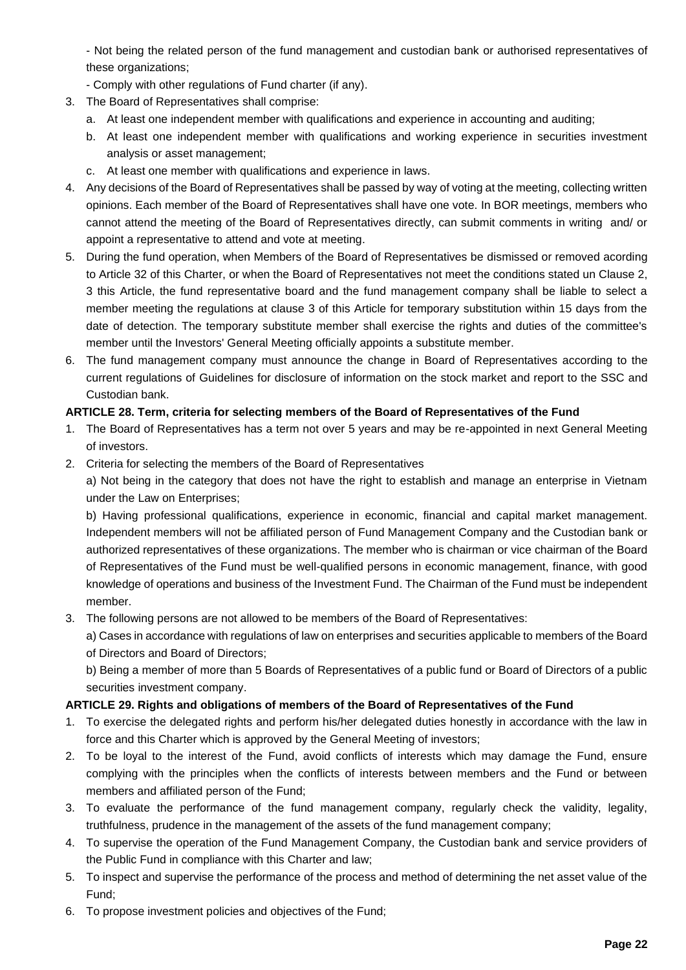- Not being the related person of the fund management and custodian bank or authorised representatives of these organizations;

- Comply with other regulations of Fund charter (if any).
- 3. The Board of Representatives shall comprise:
	- a. At least one independent member with qualifications and experience in accounting and auditing;
	- b. At least one independent member with qualifications and working experience in securities investment analysis or asset management;
	- c. At least one member with qualifications and experience in laws.
- 4. Any decisions of the Board of Representatives shall be passed by way of voting at the meeting, collecting written opinions. Each member of the Board of Representatives shall have one vote. In BOR meetings, members who cannot attend the meeting of the Board of Representatives directly, can submit comments in writing and/ or appoint a representative to attend and vote at meeting.
- 5. During the fund operation, when Members of the Board of Representatives be dismissed or removed acording to Article 32 of this Charter, or when the Board of Representatives not meet the conditions stated un Clause 2, 3 this Article, the fund representative board and the fund management company shall be liable to select a member meeting the regulations at clause 3 of this Article for temporary substitution within 15 days from the date of detection. The temporary substitute member shall exercise the rights and duties of the committee's member until the Investors' General Meeting officially appoints a substitute member.
- 6. The fund management company must announce the change in Board of Representatives according to the current regulations of Guidelines for disclosure of information on the stock market and report to the SSC and Custodian bank.

# **ARTICLE 28. Term, criteria for selecting members of the Board of Representatives of the Fund**

- 1. The Board of Representatives has a term not over 5 years and may be re-appointed in next General Meeting of investors.
- 2. Criteria for selecting the members of the Board of Representatives

a) Not being in the category that does not have the right to establish and manage an enterprise in Vietnam under the Law on Enterprises;

b) Having professional qualifications, experience in economic, financial and capital market management. Independent members will not be affiliated person of Fund Management Company and the Custodian bank or authorized representatives of these organizations. The member who is chairman or vice chairman of the Board of Representatives of the Fund must be well-qualified persons in economic management, finance, with good knowledge of operations and business of the Investment Fund. The Chairman of the Fund must be independent member.

3. The following persons are not allowed to be members of the Board of Representatives:

a) Cases in accordance with regulations of law on enterprises and securities applicable to members of the Board of Directors and Board of Directors;

b) Being a member of more than 5 Boards of Representatives of a public fund or Board of Directors of a public securities investment company.

# **ARTICLE 29. Rights and obligations of members of the Board of Representatives of the Fund**

- 1. To exercise the delegated rights and perform his/her delegated duties honestly in accordance with the law in force and this Charter which is approved by the General Meeting of investors;
- 2. To be loyal to the interest of the Fund, avoid conflicts of interests which may damage the Fund, ensure complying with the principles when the conflicts of interests between members and the Fund or between members and affiliated person of the Fund;
- 3. To evaluate the performance of the fund management company, regularly check the validity, legality, truthfulness, prudence in the management of the assets of the fund management company;
- 4. To supervise the operation of the Fund Management Company, the Custodian bank and service providers of the Public Fund in compliance with this Charter and law;
- 5. To inspect and supervise the performance of the process and method of determining the net asset value of the Fund;
- 6. To propose investment policies and objectives of the Fund;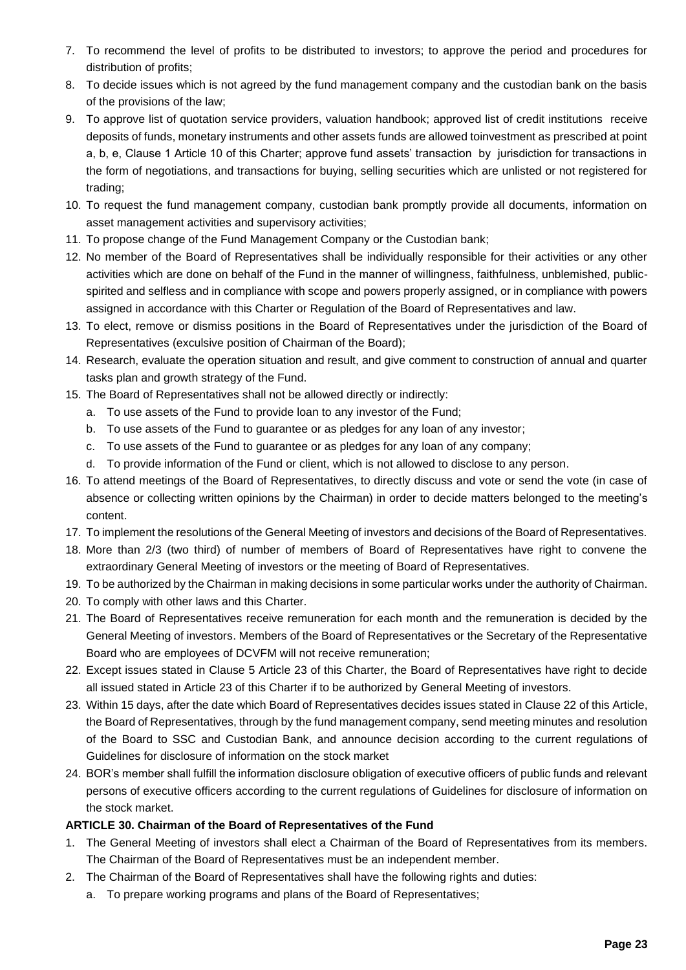- 7. To recommend the level of profits to be distributed to investors; to approve the period and procedures for distribution of profits;
- 8. To decide issues which is not agreed by the fund management company and the custodian bank on the basis of the provisions of the law;
- 9. To approve list of quotation service providers, valuation handbook; approved list of credit institutions receive deposits of funds, monetary instruments and other assets funds are allowed toinvestment as prescribed at point a, b, e, Clause 1 Article 10 of this Charter; approve fund assets' transaction by jurisdiction for transactions in the form of negotiations, and transactions for buying, selling securities which are unlisted or not registered for trading;
- 10. To request the fund management company, custodian bank promptly provide all documents, information on asset management activities and supervisory activities;
- 11. To propose change of the Fund Management Company or the Custodian bank;
- 12. No member of the Board of Representatives shall be individually responsible for their activities or any other activities which are done on behalf of the Fund in the manner of willingness, faithfulness, unblemished, publicspirited and selfless and in compliance with scope and powers properly assigned, or in compliance with powers assigned in accordance with this Charter or Regulation of the Board of Representatives and law.
- 13. To elect, remove or dismiss positions in the Board of Representatives under the jurisdiction of the Board of Representatives (exculsive position of Chairman of the Board);
- 14. Research, evaluate the operation situation and result, and give comment to construction of annual and quarter tasks plan and growth strategy of the Fund.
- 15. The Board of Representatives shall not be allowed directly or indirectly:
	- a. To use assets of the Fund to provide loan to any investor of the Fund;
	- b. To use assets of the Fund to guarantee or as pledges for any loan of any investor;
	- c. To use assets of the Fund to guarantee or as pledges for any loan of any company;
	- d. To provide information of the Fund or client, which is not allowed to disclose to any person.
- 16. To attend meetings of the Board of Representatives, to directly discuss and vote or send the vote (in case of absence or collecting written opinions by the Chairman) in order to decide matters belonged to the meeting's content.
- 17. To implement the resolutions of the General Meeting of investors and decisions of the Board of Representatives.
- 18. More than 2/3 (two third) of number of members of Board of Representatives have right to convene the extraordinary General Meeting of investors or the meeting of Board of Representatives.
- 19. To be authorized by the Chairman in making decisions in some particular works under the authority of Chairman.
- 20. To comply with other laws and this Charter.
- 21. The Board of Representatives receive remuneration for each month and the remuneration is decided by the General Meeting of investors. Members of the Board of Representatives or the Secretary of the Representative Board who are employees of DCVFM will not receive remuneration;
- 22. Except issues stated in Clause 5 Article 23 of this Charter, the Board of Representatives have right to decide all issued stated in Article 23 of this Charter if to be authorized by General Meeting of investors.
- 23. Within 15 days, after the date which Board of Representatives decides issues stated in Clause 22 of this Article, the Board of Representatives, through by the fund management company, send meeting minutes and resolution of the Board to SSC and Custodian Bank, and announce decision according to the current regulations of Guidelines for disclosure of information on the stock market
- 24. BOR's member shall fulfill the information disclosure obligation of executive officers of public funds and relevant persons of executive officers according to the current regulations of Guidelines for disclosure of information on the stock market.

# **ARTICLE 30. Chairman of the Board of Representatives of the Fund**

- 1. The General Meeting of investors shall elect a Chairman of the Board of Representatives from its members. The Chairman of the Board of Representatives must be an independent member.
- 2. The Chairman of the Board of Representatives shall have the following rights and duties:
	- a. To prepare working programs and plans of the Board of Representatives;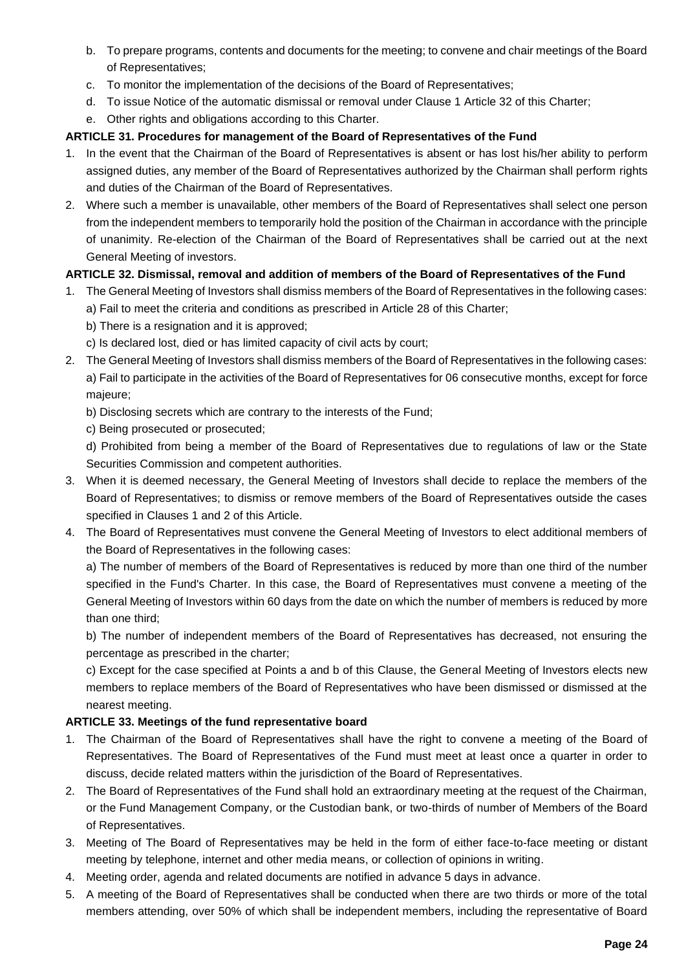- b. To prepare programs, contents and documents for the meeting; to convene and chair meetings of the Board of Representatives;
- c. To monitor the implementation of the decisions of the Board of Representatives;
- d. To issue Notice of the automatic dismissal or removal under Clause 1 Article 32 of this Charter;
- e. Other rights and obligations according to this Charter.

# **ARTICLE 31. Procedures for management of the Board of Representatives of the Fund**

- 1. In the event that the Chairman of the Board of Representatives is absent or has lost his/her ability to perform assigned duties, any member of the Board of Representatives authorized by the Chairman shall perform rights and duties of the Chairman of the Board of Representatives.
- 2. Where such a member is unavailable, other members of the Board of Representatives shall select one person from the independent members to temporarily hold the position of the Chairman in accordance with the principle of unanimity. Re-election of the Chairman of the Board of Representatives shall be carried out at the next General Meeting of investors.

# **ARTICLE 32. Dismissal, removal and addition of members of the Board of Representatives of the Fund**

- 1. The General Meeting of Investors shall dismiss members of the Board of Representatives in the following cases:
	- a) Fail to meet the criteria and conditions as prescribed in Article 28 of this Charter;
	- b) There is a resignation and it is approved;
	- c) Is declared lost, died or has limited capacity of civil acts by court;
- 2. The General Meeting of Investors shall dismiss members of the Board of Representatives in the following cases: a) Fail to participate in the activities of the Board of Representatives for 06 consecutive months, except for force majeure;
	- b) Disclosing secrets which are contrary to the interests of the Fund;
	- c) Being prosecuted or prosecuted;

d) Prohibited from being a member of the Board of Representatives due to regulations of law or the State Securities Commission and competent authorities.

- 3. When it is deemed necessary, the General Meeting of Investors shall decide to replace the members of the Board of Representatives; to dismiss or remove members of the Board of Representatives outside the cases specified in Clauses 1 and 2 of this Article.
- 4. The Board of Representatives must convene the General Meeting of Investors to elect additional members of the Board of Representatives in the following cases:

a) The number of members of the Board of Representatives is reduced by more than one third of the number specified in the Fund's Charter. In this case, the Board of Representatives must convene a meeting of the General Meeting of Investors within 60 days from the date on which the number of members is reduced by more than one third;

b) The number of independent members of the Board of Representatives has decreased, not ensuring the percentage as prescribed in the charter;

c) Except for the case specified at Points a and b of this Clause, the General Meeting of Investors elects new members to replace members of the Board of Representatives who have been dismissed or dismissed at the nearest meeting.

# **ARTICLE 33. Meetings of the fund representative board**

- 1. The Chairman of the Board of Representatives shall have the right to convene a meeting of the Board of Representatives. The Board of Representatives of the Fund must meet at least once a quarter in order to discuss, decide related matters within the jurisdiction of the Board of Representatives.
- 2. The Board of Representatives of the Fund shall hold an extraordinary meeting at the request of the Chairman, or the Fund Management Company, or the Custodian bank, or two-thirds of number of Members of the Board of Representatives.
- 3. Meeting of The Board of Representatives may be held in the form of either face-to-face meeting or distant meeting by telephone, internet and other media means, or collection of opinions in writing.
- 4. Meeting order, agenda and related documents are notified in advance 5 days in advance.
- 5. A meeting of the Board of Representatives shall be conducted when there are two thirds or more of the total members attending, over 50% of which shall be independent members, including the representative of Board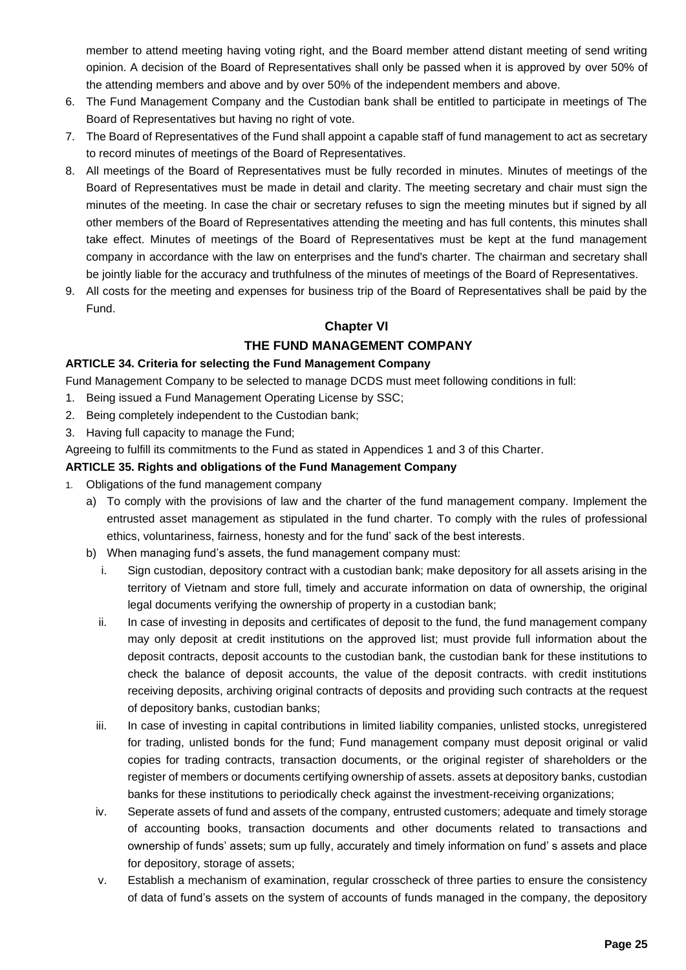member to attend meeting having voting right, and the Board member attend distant meeting of send writing opinion. A decision of the Board of Representatives shall only be passed when it is approved by over 50% of the attending members and above and by over 50% of the independent members and above.

- 6. The Fund Management Company and the Custodian bank shall be entitled to participate in meetings of The Board of Representatives but having no right of vote.
- 7. The Board of Representatives of the Fund shall appoint a capable staff of fund management to act as secretary to record minutes of meetings of the Board of Representatives.
- 8. All meetings of the Board of Representatives must be fully recorded in minutes. Minutes of meetings of the Board of Representatives must be made in detail and clarity. The meeting secretary and chair must sign the minutes of the meeting. In case the chair or secretary refuses to sign the meeting minutes but if signed by all other members of the Board of Representatives attending the meeting and has full contents, this minutes shall take effect. Minutes of meetings of the Board of Representatives must be kept at the fund management company in accordance with the law on enterprises and the fund's charter. The chairman and secretary shall be jointly liable for the accuracy and truthfulness of the minutes of meetings of the Board of Representatives.
- 9. All costs for the meeting and expenses for business trip of the Board of Representatives shall be paid by the Fund.

# **Chapter VI**

# **THE FUND MANAGEMENT COMPANY**

#### **ARTICLE 34. Criteria for selecting the Fund Management Company**

Fund Management Company to be selected to manage DCDS must meet following conditions in full:

- 1. Being issued a Fund Management Operating License by SSC;
- 2. Being completely independent to the Custodian bank;
- 3. Having full capacity to manage the Fund;

Agreeing to fulfill its commitments to the Fund as stated in Appendices 1 and 3 of this Charter.

#### **ARTICLE 35. Rights and obligations of the Fund Management Company**

- 1. Obligations of the fund management company
	- a) To comply with the provisions of law and the charter of the fund management company. Implement the entrusted asset management as stipulated in the fund charter. To comply with the rules of professional ethics, voluntariness, fairness, honesty and for the fund' sack of the best interests.
	- b) When managing fund's assets, the fund management company must:
		- i. Sign custodian, depository contract with a custodian bank; make depository for all assets arising in the territory of Vietnam and store full, timely and accurate information on data of ownership, the original legal documents verifying the ownership of property in a custodian bank;
		- ii. In case of investing in deposits and certificates of deposit to the fund, the fund management company may only deposit at credit institutions on the approved list; must provide full information about the deposit contracts, deposit accounts to the custodian bank, the custodian bank for these institutions to check the balance of deposit accounts, the value of the deposit contracts. with credit institutions receiving deposits, archiving original contracts of deposits and providing such contracts at the request of depository banks, custodian banks;
		- iii. In case of investing in capital contributions in limited liability companies, unlisted stocks, unregistered for trading, unlisted bonds for the fund; Fund management company must deposit original or valid copies for trading contracts, transaction documents, or the original register of shareholders or the register of members or documents certifying ownership of assets. assets at depository banks, custodian banks for these institutions to periodically check against the investment-receiving organizations;
		- iv. Seperate assets of fund and assets of the company, entrusted customers; adequate and timely storage of accounting books, transaction documents and other documents related to transactions and ownership of funds' assets; sum up fully, accurately and timely information on fund' s assets and place for depository, storage of assets;
		- v. Establish a mechanism of examination, regular crosscheck of three parties to ensure the consistency of data of fund's assets on the system of accounts of funds managed in the company, the depository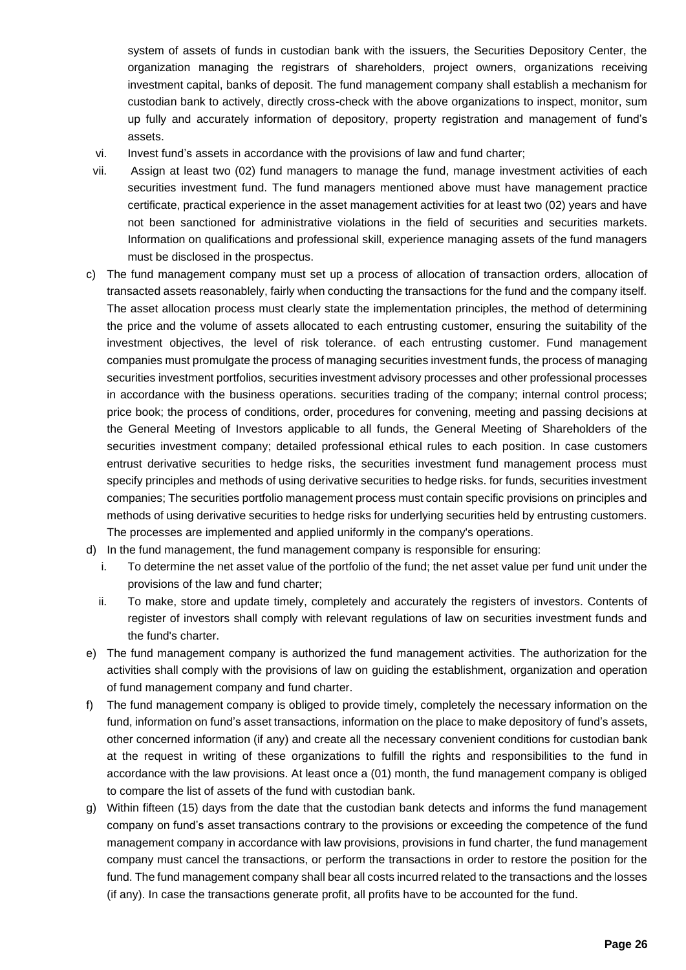system of assets of funds in custodian bank with the issuers, the Securities Depository Center, the organization managing the registrars of shareholders, project owners, organizations receiving investment capital, banks of deposit. The fund management company shall establish a mechanism for custodian bank to actively, directly cross-check with the above organizations to inspect, monitor, sum up fully and accurately information of depository, property registration and management of fund's assets.

- vi. Invest fund's assets in accordance with the provisions of law and fund charter;
- vii. Assign at least two (02) fund managers to manage the fund, manage investment activities of each securities investment fund. The fund managers mentioned above must have management practice certificate, practical experience in the asset management activities for at least two (02) years and have not been sanctioned for administrative violations in the field of securities and securities markets. Information on qualifications and professional skill, experience managing assets of the fund managers must be disclosed in the prospectus.
- c) The fund management company must set up a process of allocation of transaction orders, allocation of transacted assets reasonablely, fairly when conducting the transactions for the fund and the company itself. The asset allocation process must clearly state the implementation principles, the method of determining the price and the volume of assets allocated to each entrusting customer, ensuring the suitability of the investment objectives, the level of risk tolerance. of each entrusting customer. Fund management companies must promulgate the process of managing securities investment funds, the process of managing securities investment portfolios, securities investment advisory processes and other professional processes in accordance with the business operations. securities trading of the company; internal control process; price book; the process of conditions, order, procedures for convening, meeting and passing decisions at the General Meeting of Investors applicable to all funds, the General Meeting of Shareholders of the securities investment company; detailed professional ethical rules to each position. In case customers entrust derivative securities to hedge risks, the securities investment fund management process must specify principles and methods of using derivative securities to hedge risks. for funds, securities investment companies; The securities portfolio management process must contain specific provisions on principles and methods of using derivative securities to hedge risks for underlying securities held by entrusting customers. The processes are implemented and applied uniformly in the company's operations.
- d) In the fund management, the fund management company is responsible for ensuring:
	- i. To determine the net asset value of the portfolio of the fund; the net asset value per fund unit under the provisions of the law and fund charter;
	- ii. To make, store and update timely, completely and accurately the registers of investors. Contents of register of investors shall comply with relevant regulations of law on securities investment funds and the fund's charter.
- e) The fund management company is authorized the fund management activities. The authorization for the activities shall comply with the provisions of law on guiding the establishment, organization and operation of fund management company and fund charter.
- f) The fund management company is obliged to provide timely, completely the necessary information on the fund, information on fund's asset transactions, information on the place to make depository of fund's assets, other concerned information (if any) and create all the necessary convenient conditions for custodian bank at the request in writing of these organizations to fulfill the rights and responsibilities to the fund in accordance with the law provisions. At least once a (01) month, the fund management company is obliged to compare the list of assets of the fund with custodian bank.
- g) Within fifteen (15) days from the date that the custodian bank detects and informs the fund management company on fund's asset transactions contrary to the provisions or exceeding the competence of the fund management company in accordance with law provisions, provisions in fund charter, the fund management company must cancel the transactions, or perform the transactions in order to restore the position for the fund. The fund management company shall bear all costs incurred related to the transactions and the losses (if any). In case the transactions generate profit, all profits have to be accounted for the fund.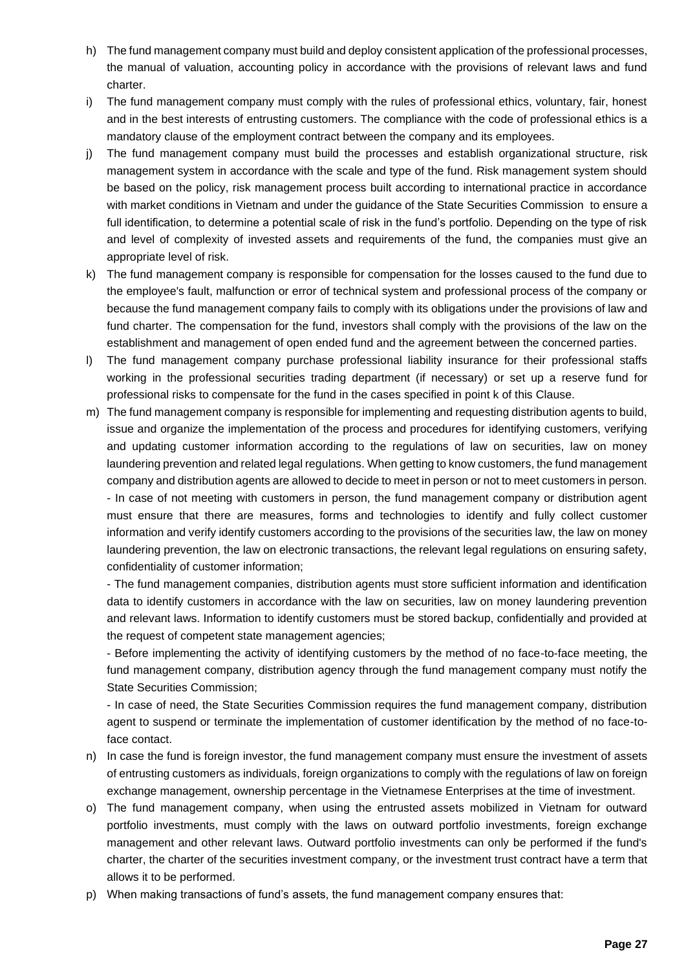- h) The fund management company must build and deploy consistent application of the professional processes, the manual of valuation, accounting policy in accordance with the provisions of relevant laws and fund charter.
- i) The fund management company must comply with the rules of professional ethics, voluntary, fair, honest and in the best interests of entrusting customers. The compliance with the code of professional ethics is a mandatory clause of the employment contract between the company and its employees.
- j) The fund management company must build the processes and establish organizational structure, risk management system in accordance with the scale and type of the fund. Risk management system should be based on the policy, risk management process built according to international practice in accordance with market conditions in Vietnam and under the guidance of the State Securities Commission to ensure a full identification, to determine a potential scale of risk in the fund's portfolio. Depending on the type of risk and level of complexity of invested assets and requirements of the fund, the companies must give an appropriate level of risk.
- k) The fund management company is responsible for compensation for the losses caused to the fund due to the employee's fault, malfunction or error of technical system and professional process of the company or because the fund management company fails to comply with its obligations under the provisions of law and fund charter. The compensation for the fund, investors shall comply with the provisions of the law on the establishment and management of open ended fund and the agreement between the concerned parties.
- l) The fund management company purchase professional liability insurance for their professional staffs working in the professional securities trading department (if necessary) or set up a reserve fund for professional risks to compensate for the fund in the cases specified in point k of this Clause.
- m) The fund management company is responsible for implementing and requesting distribution agents to build, issue and organize the implementation of the process and procedures for identifying customers, verifying and updating customer information according to the regulations of law on securities, law on money laundering prevention and related legal regulations. When getting to know customers, the fund management company and distribution agents are allowed to decide to meet in person or not to meet customers in person. - In case of not meeting with customers in person, the fund management company or distribution agent must ensure that there are measures, forms and technologies to identify and fully collect customer information and verify identify customers according to the provisions of the securities law, the law on money laundering prevention, the law on electronic transactions, the relevant legal regulations on ensuring safety, confidentiality of customer information;

- The fund management companies, distribution agents must store sufficient information and identification data to identify customers in accordance with the law on securities, law on money laundering prevention and relevant laws. Information to identify customers must be stored backup, confidentially and provided at the request of competent state management agencies;

- Before implementing the activity of identifying customers by the method of no face-to-face meeting, the fund management company, distribution agency through the fund management company must notify the State Securities Commission;

- In case of need, the State Securities Commission requires the fund management company, distribution agent to suspend or terminate the implementation of customer identification by the method of no face-toface contact.

- n) In case the fund is foreign investor, the fund management company must ensure the investment of assets of entrusting customers as individuals, foreign organizations to comply with the regulations of law on foreign exchange management, ownership percentage in the Vietnamese Enterprises at the time of investment.
- o) The fund management company, when using the entrusted assets mobilized in Vietnam for outward portfolio investments, must comply with the laws on outward portfolio investments, foreign exchange management and other relevant laws. Outward portfolio investments can only be performed if the fund's charter, the charter of the securities investment company, or the investment trust contract have a term that allows it to be performed.
- p) When making transactions of fund's assets, the fund management company ensures that: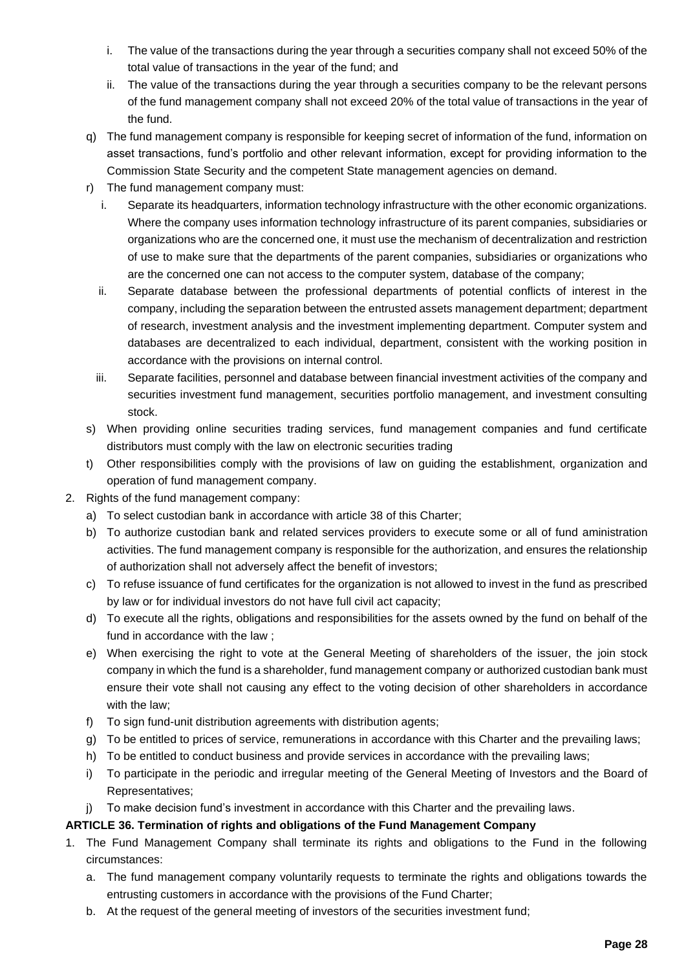- i. The value of the transactions during the year through a securities company shall not exceed 50% of the total value of transactions in the year of the fund; and
- ii. The value of the transactions during the year through a securities company to be the relevant persons of the fund management company shall not exceed 20% of the total value of transactions in the year of the fund.
- q) The fund management company is responsible for keeping secret of information of the fund, information on asset transactions, fund's portfolio and other relevant information, except for providing information to the Commission State Security and the competent State management agencies on demand.
- r) The fund management company must:
	- i. Separate its headquarters, information technology infrastructure with the other economic organizations. Where the company uses information technology infrastructure of its parent companies, subsidiaries or organizations who are the concerned one, it must use the mechanism of decentralization and restriction of use to make sure that the departments of the parent companies, subsidiaries or organizations who are the concerned one can not access to the computer system, database of the company;
	- ii. Separate database between the professional departments of potential conflicts of interest in the company, including the separation between the entrusted assets management department; department of research, investment analysis and the investment implementing department. Computer system and databases are decentralized to each individual, department, consistent with the working position in accordance with the provisions on internal control.
	- iii. Separate facilities, personnel and database between financial investment activities of the company and securities investment fund management, securities portfolio management, and investment consulting stock.
- s) When providing online securities trading services, fund management companies and fund certificate distributors must comply with the law on electronic securities trading
- t) Other responsibilities comply with the provisions of law on guiding the establishment, organization and operation of fund management company.
- 2. Rights of the fund management company:
	- a) To select custodian bank in accordance with article 38 of this Charter;
	- b) To authorize custodian bank and related services providers to execute some or all of fund aministration activities. The fund management company is responsible for the authorization, and ensures the relationship of authorization shall not adversely affect the benefit of investors;
	- c) To refuse issuance of fund certificates for the organization is not allowed to invest in the fund as prescribed by law or for individual investors do not have full civil act capacity;
	- d) To execute all the rights, obligations and responsibilities for the assets owned by the fund on behalf of the fund in accordance with the law ;
	- e) When exercising the right to vote at the General Meeting of shareholders of the issuer, the join stock company in which the fund is a shareholder, fund management company or authorized custodian bank must ensure their vote shall not causing any effect to the voting decision of other shareholders in accordance with the law;
	- f) To sign fund-unit distribution agreements with distribution agents;
	- g) To be entitled to prices of service, remunerations in accordance with this Charter and the prevailing laws;
	- h) To be entitled to conduct business and provide services in accordance with the prevailing laws;
	- i) To participate in the periodic and irregular meeting of the General Meeting of Investors and the Board of Representatives;
	- j) To make decision fund's investment in accordance with this Charter and the prevailing laws.

# **ARTICLE 36. Termination of rights and obligations of the Fund Management Company**

- 1. The Fund Management Company shall terminate its rights and obligations to the Fund in the following circumstances:
	- a. The fund management company voluntarily requests to terminate the rights and obligations towards the entrusting customers in accordance with the provisions of the Fund Charter;
	- b. At the request of the general meeting of investors of the securities investment fund;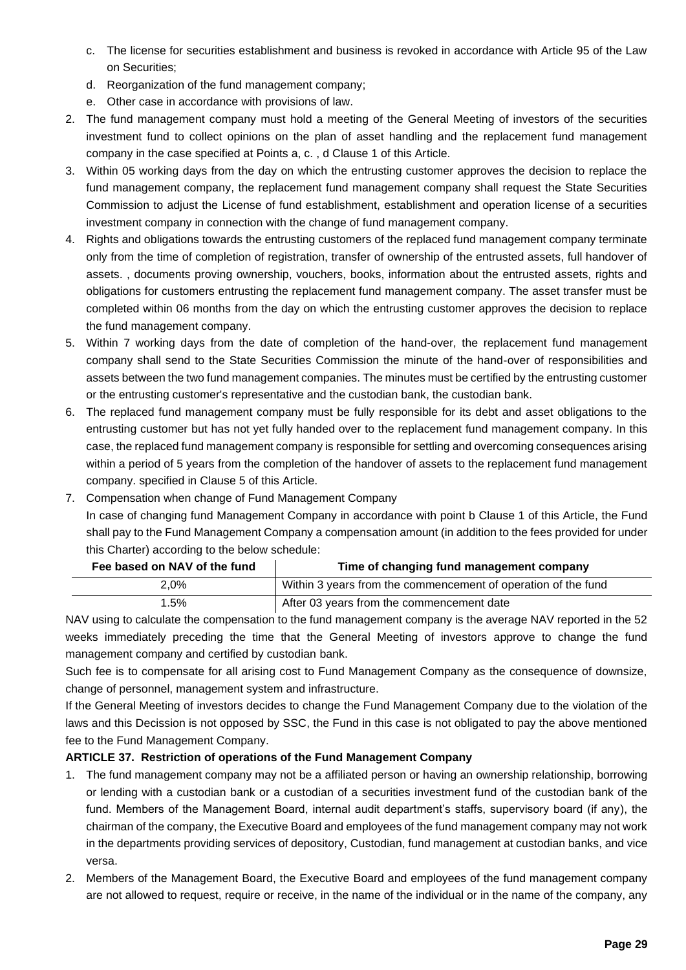- c. The license for securities establishment and business is revoked in accordance with Article 95 of the Law on Securities;
- d. Reorganization of the fund management company;
- e. Other case in accordance with provisions of law.
- 2. The fund management company must hold a meeting of the General Meeting of investors of the securities investment fund to collect opinions on the plan of asset handling and the replacement fund management company in the case specified at Points a, c. , d Clause 1 of this Article.
- 3. Within 05 working days from the day on which the entrusting customer approves the decision to replace the fund management company, the replacement fund management company shall request the State Securities Commission to adjust the License of fund establishment, establishment and operation license of a securities investment company in connection with the change of fund management company.
- 4. Rights and obligations towards the entrusting customers of the replaced fund management company terminate only from the time of completion of registration, transfer of ownership of the entrusted assets, full handover of assets. , documents proving ownership, vouchers, books, information about the entrusted assets, rights and obligations for customers entrusting the replacement fund management company. The asset transfer must be completed within 06 months from the day on which the entrusting customer approves the decision to replace the fund management company.
- 5. Within 7 working days from the date of completion of the hand-over, the replacement fund management company shall send to the State Securities Commission the minute of the hand-over of responsibilities and assets between the two fund management companies. The minutes must be certified by the entrusting customer or the entrusting customer's representative and the custodian bank, the custodian bank.
- 6. The replaced fund management company must be fully responsible for its debt and asset obligations to the entrusting customer but has not yet fully handed over to the replacement fund management company. In this case, the replaced fund management company is responsible for settling and overcoming consequences arising within a period of 5 years from the completion of the handover of assets to the replacement fund management company. specified in Clause 5 of this Article.
- 7. Compensation when change of Fund Management Company In case of changing fund Management Company in accordance with point b Clause 1 of this Article, the Fund shall pay to the Fund Management Company a compensation amount (in addition to the fees provided for under this Charter) according to the below schedule:

| Fee based on NAV of the fund | Time of changing fund management company                      |
|------------------------------|---------------------------------------------------------------|
| 2.0%                         | Within 3 years from the commencement of operation of the fund |
| 1.5%                         | After 03 years from the commencement date                     |

NAV using to calculate the compensation to the fund management company is the average NAV reported in the 52 weeks immediately preceding the time that the General Meeting of investors approve to change the fund management company and certified by custodian bank.

Such fee is to compensate for all arising cost to Fund Management Company as the consequence of downsize, change of personnel, management system and infrastructure.

If the General Meeting of investors decides to change the Fund Management Company due to the violation of the laws and this Decission is not opposed by SSC, the Fund in this case is not obligated to pay the above mentioned fee to the Fund Management Company.

# **ARTICLE 37. Restriction of operations of the Fund Management Company**

- 1. The fund management company may not be a affiliated person or having an ownership relationship, borrowing or lending with a custodian bank or a custodian of a securities investment fund of the custodian bank of the fund. Members of the Management Board, internal audit department's staffs, supervisory board (if any), the chairman of the company, the Executive Board and employees of the fund management company may not work in the departments providing services of depository, Custodian, fund management at custodian banks, and vice versa.
- 2. Members of the Management Board, the Executive Board and employees of the fund management company are not allowed to request, require or receive, in the name of the individual or in the name of the company, any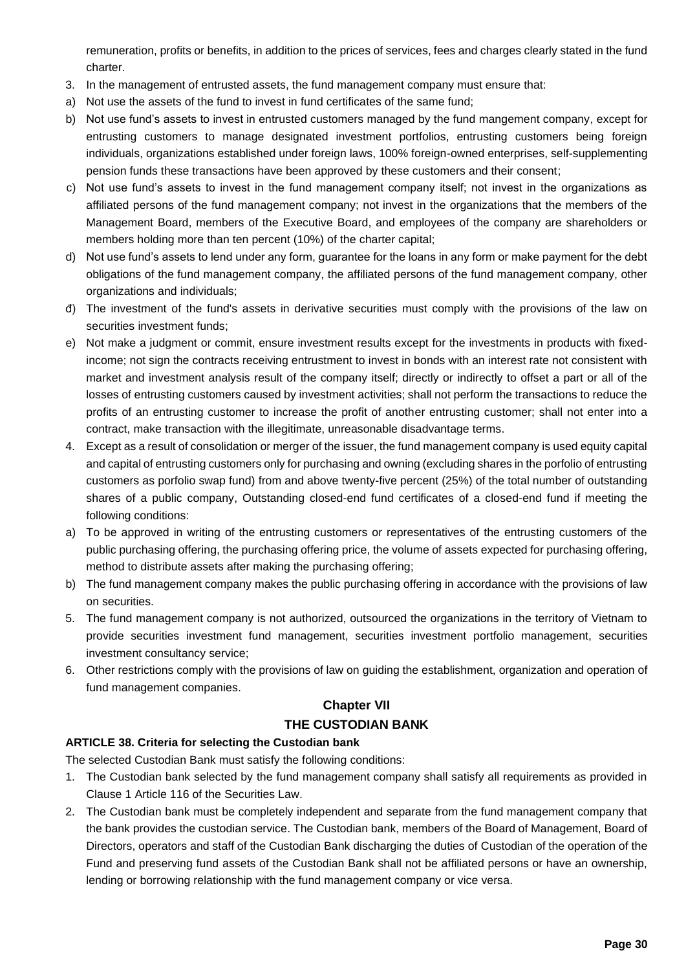remuneration, profits or benefits, in addition to the prices of services, fees and charges clearly stated in the fund charter.

- 3. In the management of entrusted assets, the fund management company must ensure that:
- a) Not use the assets of the fund to invest in fund certificates of the same fund;
- b) Not use fund's assets to invest in entrusted customers managed by the fund mangement company, except for entrusting customers to manage designated investment portfolios, entrusting customers being foreign individuals, organizations established under foreign laws, 100% foreign-owned enterprises, self-supplementing pension funds these transactions have been approved by these customers and their consent;
- c) Not use fund's assets to invest in the fund management company itself; not invest in the organizations as affiliated persons of the fund management company; not invest in the organizations that the members of the Management Board, members of the Executive Board, and employees of the company are shareholders or members holding more than ten percent (10%) of the charter capital;
- d) Not use fund's assets to lend under any form, guarantee for the loans in any form or make payment for the debt obligations of the fund management company, the affiliated persons of the fund management company, other organizations and individuals;
- đ) The investment of the fund's assets in derivative securities must comply with the provisions of the law on securities investment funds;
- e) Not make a judgment or commit, ensure investment results except for the investments in products with fixedincome; not sign the contracts receiving entrustment to invest in bonds with an interest rate not consistent with market and investment analysis result of the company itself; directly or indirectly to offset a part or all of the losses of entrusting customers caused by investment activities; shall not perform the transactions to reduce the profits of an entrusting customer to increase the profit of another entrusting customer; shall not enter into a contract, make transaction with the illegitimate, unreasonable disadvantage terms.
- 4. Except as a result of consolidation or merger of the issuer, the fund management company is used equity capital and capital of entrusting customers only for purchasing and owning (excluding shares in the porfolio of entrusting customers as porfolio swap fund) from and above twenty-five percent (25%) of the total number of outstanding shares of a public company, Outstanding closed-end fund certificates of a closed-end fund if meeting the following conditions:
- a) To be approved in writing of the entrusting customers or representatives of the entrusting customers of the public purchasing offering, the purchasing offering price, the volume of assets expected for purchasing offering, method to distribute assets after making the purchasing offering;
- b) The fund management company makes the public purchasing offering in accordance with the provisions of law on securities.
- 5. The fund management company is not authorized, outsourced the organizations in the territory of Vietnam to provide securities investment fund management, securities investment portfolio management, securities investment consultancy service;
- 6. Other restrictions comply with the provisions of law on guiding the establishment, organization and operation of fund management companies.

# **Chapter VII THE CUSTODIAN BANK**

# **ARTICLE 38. Criteria for selecting the Custodian bank**

The selected Custodian Bank must satisfy the following conditions:

- 1. The Custodian bank selected by the fund management company shall satisfy all requirements as provided in Clause 1 Article 116 of the Securities Law.
- 2. The Custodian bank must be completely independent and separate from the fund management company that the bank provides the custodian service. The Custodian bank, members of the Board of Management, Board of Directors, operators and staff of the Custodian Bank discharging the duties of Custodian of the operation of the Fund and preserving fund assets of the Custodian Bank shall not be affiliated persons or have an ownership, lending or borrowing relationship with the fund management company or vice versa.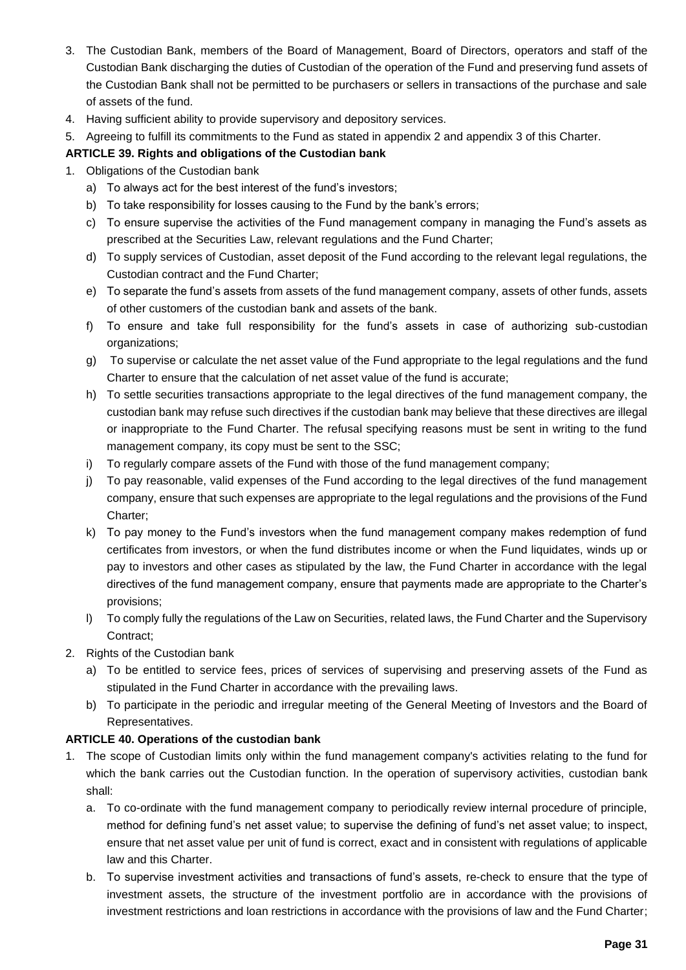- 3. The Custodian Bank, members of the Board of Management, Board of Directors, operators and staff of the Custodian Bank discharging the duties of Custodian of the operation of the Fund and preserving fund assets of the Custodian Bank shall not be permitted to be purchasers or sellers in transactions of the purchase and sale of assets of the fund.
- 4. Having sufficient ability to provide supervisory and depository services.
- 5. Agreeing to fulfill its commitments to the Fund as stated in appendix 2 and appendix 3 of this Charter.

#### **ARTICLE 39. Rights and obligations of the Custodian bank**

- 1. Obligations of the Custodian bank
	- a) To always act for the best interest of the fund's investors;
	- b) To take responsibility for losses causing to the Fund by the bank's errors;
	- c) To ensure supervise the activities of the Fund management company in managing the Fund's assets as prescribed at the Securities Law, relevant regulations and the Fund Charter;
	- d) To supply services of Custodian, asset deposit of the Fund according to the relevant legal regulations, the Custodian contract and the Fund Charter;
	- e) To separate the fund's assets from assets of the fund management company, assets of other funds, assets of other customers of the custodian bank and assets of the bank.
	- f) To ensure and take full responsibility for the fund's assets in case of authorizing sub-custodian organizations;
	- g) To supervise or calculate the net asset value of the Fund appropriate to the legal regulations and the fund Charter to ensure that the calculation of net asset value of the fund is accurate;
	- h) To settle securities transactions appropriate to the legal directives of the fund management company, the custodian bank may refuse such directives if the custodian bank may believe that these directives are illegal or inappropriate to the Fund Charter. The refusal specifying reasons must be sent in writing to the fund management company, its copy must be sent to the SSC;
	- i) To regularly compare assets of the Fund with those of the fund management company;
	- j) To pay reasonable, valid expenses of the Fund according to the legal directives of the fund management company, ensure that such expenses are appropriate to the legal regulations and the provisions of the Fund Charter;
	- k) To pay money to the Fund's investors when the fund management company makes redemption of fund certificates from investors, or when the fund distributes income or when the Fund liquidates, winds up or pay to investors and other cases as stipulated by the law, the Fund Charter in accordance with the legal directives of the fund management company, ensure that payments made are appropriate to the Charter's provisions;
	- l) To comply fully the regulations of the Law on Securities, related laws, the Fund Charter and the Supervisory Contract;
- 2. Rights of the Custodian bank
	- a) To be entitled to service fees, prices of services of supervising and preserving assets of the Fund as stipulated in the Fund Charter in accordance with the prevailing laws.
	- b) To participate in the periodic and irregular meeting of the General Meeting of Investors and the Board of Representatives.

#### **ARTICLE 40. Operations of the custodian bank**

- 1. The scope of Custodian limits only within the fund management company's activities relating to the fund for which the bank carries out the Custodian function. In the operation of supervisory activities, custodian bank shall:
	- a. To co-ordinate with the fund management company to periodically review internal procedure of principle, method for defining fund's net asset value; to supervise the defining of fund's net asset value; to inspect, ensure that net asset value per unit of fund is correct, exact and in consistent with regulations of applicable law and this Charter.
	- b. To supervise investment activities and transactions of fund's assets, re-check to ensure that the type of investment assets, the structure of the investment portfolio are in accordance with the provisions of investment restrictions and loan restrictions in accordance with the provisions of law and the Fund Charter;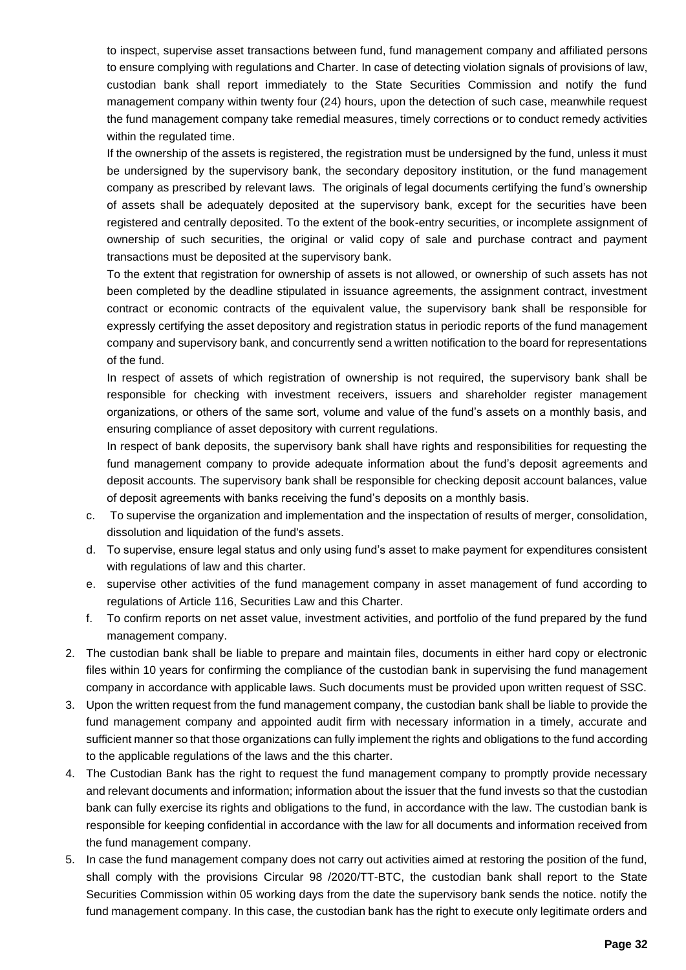to inspect, supervise asset transactions between fund, fund management company and affiliated persons to ensure complying with regulations and Charter. In case of detecting violation signals of provisions of law, custodian bank shall report immediately to the State Securities Commission and notify the fund management company within twenty four (24) hours, upon the detection of such case, meanwhile request the fund management company take remedial measures, timely corrections or to conduct remedy activities within the regulated time.

If the ownership of the assets is registered, the registration must be undersigned by the fund, unless it must be undersigned by the supervisory bank, the secondary depository institution, or the fund management company as prescribed by relevant laws. The originals of legal documents certifying the fund's ownership of assets shall be adequately deposited at the supervisory bank, except for the securities have been registered and centrally deposited. To the extent of the book-entry securities, or incomplete assignment of ownership of such securities, the original or valid copy of sale and purchase contract and payment transactions must be deposited at the supervisory bank.

To the extent that registration for ownership of assets is not allowed, or ownership of such assets has not been completed by the deadline stipulated in issuance agreements, the assignment contract, investment contract or economic contracts of the equivalent value, the supervisory bank shall be responsible for expressly certifying the asset depository and registration status in periodic reports of the fund management company and supervisory bank, and concurrently send a written notification to the board for representations of the fund.

In respect of assets of which registration of ownership is not required, the supervisory bank shall be responsible for checking with investment receivers, issuers and shareholder register management organizations, or others of the same sort, volume and value of the fund's assets on a monthly basis, and ensuring compliance of asset depository with current regulations.

In respect of bank deposits, the supervisory bank shall have rights and responsibilities for requesting the fund management company to provide adequate information about the fund's deposit agreements and deposit accounts. The supervisory bank shall be responsible for checking deposit account balances, value of deposit agreements with banks receiving the fund's deposits on a monthly basis.

- c. To supervise the organization and implementation and the inspectation of results of merger, consolidation, dissolution and liquidation of the fund's assets.
- d. To supervise, ensure legal status and only using fund's asset to make payment for expenditures consistent with regulations of law and this charter.
- e. supervise other activities of the fund management company in asset management of fund according to regulations of Article 116, Securities Law and this Charter.
- f. To confirm reports on net asset value, investment activities, and portfolio of the fund prepared by the fund management company.
- 2. The custodian bank shall be liable to prepare and maintain files, documents in either hard copy or electronic files within 10 years for confirming the compliance of the custodian bank in supervising the fund management company in accordance with applicable laws. Such documents must be provided upon written request of SSC.
- 3. Upon the written request from the fund management company, the custodian bank shall be liable to provide the fund management company and appointed audit firm with necessary information in a timely, accurate and sufficient manner so that those organizations can fully implement the rights and obligations to the fund according to the applicable regulations of the laws and the this charter.
- 4. The Custodian Bank has the right to request the fund management company to promptly provide necessary and relevant documents and information; information about the issuer that the fund invests so that the custodian bank can fully exercise its rights and obligations to the fund, in accordance with the law. The custodian bank is responsible for keeping confidential in accordance with the law for all documents and information received from the fund management company.
- 5. In case the fund management company does not carry out activities aimed at restoring the position of the fund, shall comply with the provisions Circular 98 /2020/TT-BTC, the custodian bank shall report to the State Securities Commission within 05 working days from the date the supervisory bank sends the notice. notify the fund management company. In this case, the custodian bank has the right to execute only legitimate orders and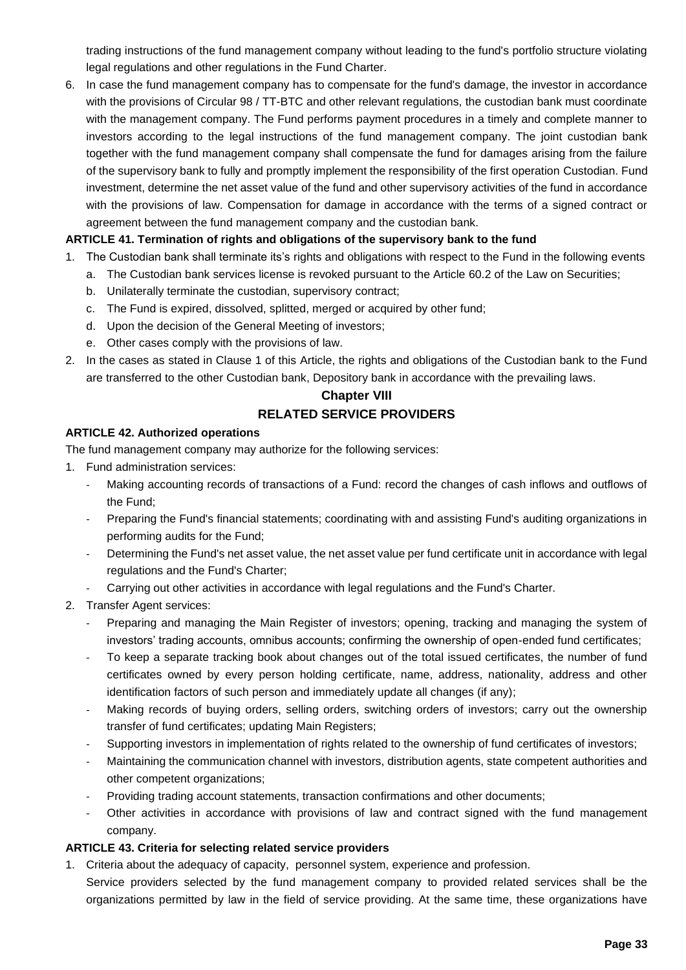trading instructions of the fund management company without leading to the fund's portfolio structure violating legal regulations and other regulations in the Fund Charter.

6. In case the fund management company has to compensate for the fund's damage, the investor in accordance with the provisions of Circular 98 / TT-BTC and other relevant regulations, the custodian bank must coordinate with the management company. The Fund performs payment procedures in a timely and complete manner to investors according to the legal instructions of the fund management company. The joint custodian bank together with the fund management company shall compensate the fund for damages arising from the failure of the supervisory bank to fully and promptly implement the responsibility of the first operation Custodian. Fund investment, determine the net asset value of the fund and other supervisory activities of the fund in accordance with the provisions of law. Compensation for damage in accordance with the terms of a signed contract or agreement between the fund management company and the custodian bank.

# **ARTICLE 41. Termination of rights and obligations of the supervisory bank to the fund**

- 1. The Custodian bank shall terminate its's rights and obligations with respect to the Fund in the following events
	- a. The Custodian bank services license is revoked pursuant to the Article 60.2 of the Law on Securities;
	- b. Unilaterally terminate the custodian, supervisory contract;
	- c. The Fund is expired, dissolved, splitted, merged or acquired by other fund;
	- d. Upon the decision of the General Meeting of investors;
	- e. Other cases comply with the provisions of law.
- 2. In the cases as stated in Clause 1 of this Article, the rights and obligations of the Custodian bank to the Fund are transferred to the other Custodian bank, Depository bank in accordance with the prevailing laws.

#### **Chapter VIII**

# **RELATED SERVICE PROVIDERS**

#### **ARTICLE 42. Authorized operations**

The fund management company may authorize for the following services:

- 1. Fund administration services:
	- Making accounting records of transactions of a Fund: record the changes of cash inflows and outflows of the Fund;
	- Preparing the Fund's financial statements; coordinating with and assisting Fund's auditing organizations in performing audits for the Fund;
	- Determining the Fund's net asset value, the net asset value per fund certificate unit in accordance with legal regulations and the Fund's Charter;
	- Carrying out other activities in accordance with legal regulations and the Fund's Charter.
- 2. Transfer Agent services:
	- Preparing and managing the Main Register of investors; opening, tracking and managing the system of investors' trading accounts, omnibus accounts; confirming the ownership of open-ended fund certificates;
	- To keep a separate tracking book about changes out of the total issued certificates, the number of fund certificates owned by every person holding certificate, name, address, nationality, address and other identification factors of such person and immediately update all changes (if any);
	- Making records of buying orders, selling orders, switching orders of investors; carry out the ownership transfer of fund certificates; updating Main Registers;
	- Supporting investors in implementation of rights related to the ownership of fund certificates of investors;
	- Maintaining the communication channel with investors, distribution agents, state competent authorities and other competent organizations;
	- Providing trading account statements, transaction confirmations and other documents;
	- Other activities in accordance with provisions of law and contract signed with the fund management company.

organizations permitted by law in the field of service providing. At the same time, these organizations have

# **ARTICLE 43. Criteria for selecting related service providers**

1. Criteria about the adequacy of capacity, personnel system, experience and profession. Service providers selected by the fund management company to provided related services shall be the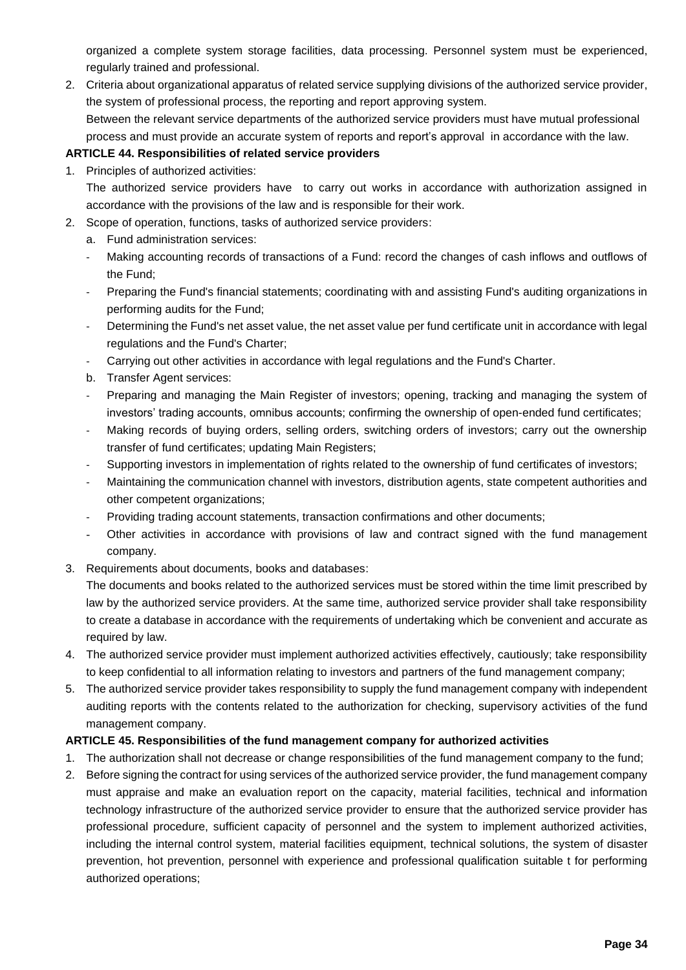organized a complete system storage facilities, data processing. Personnel system must be experienced, regularly trained and professional.

2. Criteria about organizational apparatus of related service supplying divisions of the authorized service provider, the system of professional process, the reporting and report approving system. Between the relevant service departments of the authorized service providers must have mutual professional process and must provide an accurate system of reports and report's approval in accordance with the law.

#### **ARTICLE 44. Responsibilities of related service providers**

1. Principles of authorized activities:

The authorized service providers have to carry out works in accordance with authorization assigned in accordance with the provisions of the law and is responsible for their work.

- 2. Scope of operation, functions, tasks of authorized service providers:
	- a. Fund administration services:
	- Making accounting records of transactions of a Fund: record the changes of cash inflows and outflows of the Fund;
	- Preparing the Fund's financial statements; coordinating with and assisting Fund's auditing organizations in performing audits for the Fund;
	- Determining the Fund's net asset value, the net asset value per fund certificate unit in accordance with legal regulations and the Fund's Charter;
	- Carrying out other activities in accordance with legal regulations and the Fund's Charter.
	- b. Transfer Agent services:
	- Preparing and managing the Main Register of investors; opening, tracking and managing the system of investors' trading accounts, omnibus accounts; confirming the ownership of open-ended fund certificates;
	- Making records of buying orders, selling orders, switching orders of investors; carry out the ownership transfer of fund certificates; updating Main Registers;
	- Supporting investors in implementation of rights related to the ownership of fund certificates of investors;
	- Maintaining the communication channel with investors, distribution agents, state competent authorities and other competent organizations;
	- Providing trading account statements, transaction confirmations and other documents;
	- Other activities in accordance with provisions of law and contract signed with the fund management company.
- 3. Requirements about documents, books and databases:

The documents and books related to the authorized services must be stored within the time limit prescribed by law by the authorized service providers. At the same time, authorized service provider shall take responsibility to create a database in accordance with the requirements of undertaking which be convenient and accurate as required by law.

- 4. The authorized service provider must implement authorized activities effectively, cautiously; take responsibility to keep confidential to all information relating to investors and partners of the fund management company;
- 5. The authorized service provider takes responsibility to supply the fund management company with independent auditing reports with the contents related to the authorization for checking, supervisory activities of the fund management company.

#### **ARTICLE 45. Responsibilities of the fund management company for authorized activities**

- 1. The authorization shall not decrease or change responsibilities of the fund management company to the fund;
- 2. Before signing the contract for using services of the authorized service provider, the fund management company must appraise and make an evaluation report on the capacity, material facilities, technical and information technology infrastructure of the authorized service provider to ensure that the authorized service provider has professional procedure, sufficient capacity of personnel and the system to implement authorized activities, including the internal control system, material facilities equipment, technical solutions, the system of disaster prevention, hot prevention, personnel with experience and professional qualification suitable t for performing authorized operations;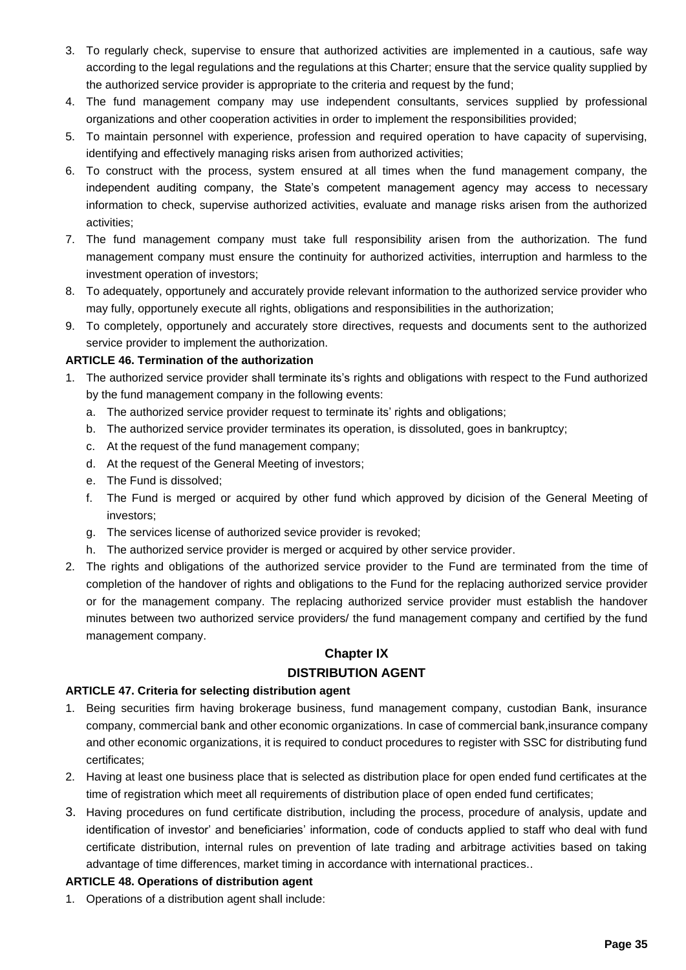- 3. To regularly check, supervise to ensure that authorized activities are implemented in a cautious, safe way according to the legal regulations and the regulations at this Charter; ensure that the service quality supplied by the authorized service provider is appropriate to the criteria and request by the fund;
- 4. The fund management company may use independent consultants, services supplied by professional organizations and other cooperation activities in order to implement the responsibilities provided;
- 5. To maintain personnel with experience, profession and required operation to have capacity of supervising, identifying and effectively managing risks arisen from authorized activities;
- 6. To construct with the process, system ensured at all times when the fund management company, the independent auditing company, the State's competent management agency may access to necessary information to check, supervise authorized activities, evaluate and manage risks arisen from the authorized activities;
- 7. The fund management company must take full responsibility arisen from the authorization. The fund management company must ensure the continuity for authorized activities, interruption and harmless to the investment operation of investors;
- 8. To adequately, opportunely and accurately provide relevant information to the authorized service provider who may fully, opportunely execute all rights, obligations and responsibilities in the authorization;
- 9. To completely, opportunely and accurately store directives, requests and documents sent to the authorized service provider to implement the authorization.

# **ARTICLE 46. Termination of the authorization**

- 1. The authorized service provider shall terminate its's rights and obligations with respect to the Fund authorized by the fund management company in the following events:
	- a. The authorized service provider request to terminate its' rights and obligations;
	- b. The authorized service provider terminates its operation, is dissoluted, goes in bankruptcy;
	- c. At the request of the fund management company;
	- d. At the request of the General Meeting of investors;
	- e. The Fund is dissolved;
	- f. The Fund is merged or acquired by other fund which approved by dicision of the General Meeting of investors;
	- g. The services license of authorized sevice provider is revoked;
	- h. The authorized service provider is merged or acquired by other service provider.
- 2. The rights and obligations of the authorized service provider to the Fund are terminated from the time of completion of the handover of rights and obligations to the Fund for the replacing authorized service provider or for the management company. The replacing authorized service provider must establish the handover minutes between two authorized service providers/ the fund management company and certified by the fund management company.

# **Chapter IX DISTRIBUTION AGENT**

# **ARTICLE 47. Criteria for selecting distribution agent**

- 1. Being securities firm having brokerage business, fund management company, custodian Bank, insurance company, commercial bank and other economic organizations. In case of commercial bank,insurance company and other economic organizations, it is required to conduct procedures to register with SSC for distributing fund certificates;
- 2. Having at least one business place that is selected as distribution place for open ended fund certificates at the time of registration which meet all requirements of distribution place of open ended fund certificates;
- 3. Having procedures on fund certificate distribution, including the process, procedure of analysis, update and identification of investor' and beneficiaries' information, code of conducts applied to staff who deal with fund certificate distribution, internal rules on prevention of late trading and arbitrage activities based on taking advantage of time differences, market timing in accordance with international practices..

# **ARTICLE 48. Operations of distribution agent**

1. Operations of a distribution agent shall include: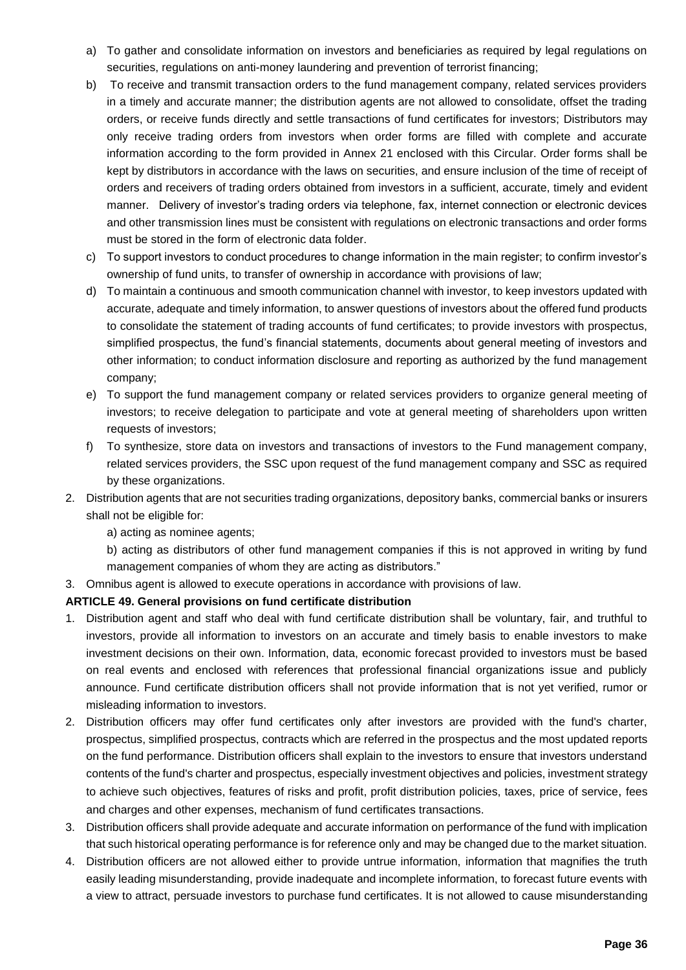- a) To gather and consolidate information on investors and beneficiaries as required by legal regulations on securities, regulations on anti-money laundering and prevention of terrorist financing;
- b) To receive and transmit transaction orders to the fund management company, related services providers in a timely and accurate manner; the distribution agents are not allowed to consolidate, offset the trading orders, or receive funds directly and settle transactions of fund certificates for investors; Distributors may only receive trading orders from investors when order forms are filled with complete and accurate information according to the form provided in Annex 21 enclosed with this Circular. Order forms shall be kept by distributors in accordance with the laws on securities, and ensure inclusion of the time of receipt of orders and receivers of trading orders obtained from investors in a sufficient, accurate, timely and evident manner. Delivery of investor's trading orders via telephone, fax, internet connection or electronic devices and other transmission lines must be consistent with regulations on electronic transactions and order forms must be stored in the form of electronic data folder.
- c) To support investors to conduct procedures to change information in the main register; to confirm investor's ownership of fund units, to transfer of ownership in accordance with provisions of law;
- d) To maintain a continuous and smooth communication channel with investor, to keep investors updated with accurate, adequate and timely information, to answer questions of investors about the offered fund products to consolidate the statement of trading accounts of fund certificates; to provide investors with prospectus, simplified prospectus, the fund's financial statements, documents about general meeting of investors and other information; to conduct information disclosure and reporting as authorized by the fund management company;
- e) To support the fund management company or related services providers to organize general meeting of investors; to receive delegation to participate and vote at general meeting of shareholders upon written requests of investors;
- f) To synthesize, store data on investors and transactions of investors to the Fund management company, related services providers, the SSC upon request of the fund management company and SSC as required by these organizations.
- 2. Distribution agents that are not securities trading organizations, depository banks, commercial banks or insurers shall not be eligible for:
	- a) acting as nominee agents;
	- b) acting as distributors of other fund management companies if this is not approved in writing by fund management companies of whom they are acting as distributors."
- 3. Omnibus agent is allowed to execute operations in accordance with provisions of law.

# **ARTICLE 49. General provisions on fund certificate distribution**

- 1. Distribution agent and staff who deal with fund certificate distribution shall be voluntary, fair, and truthful to investors, provide all information to investors on an accurate and timely basis to enable investors to make investment decisions on their own. Information, data, economic forecast provided to investors must be based on real events and enclosed with references that professional financial organizations issue and publicly announce. Fund certificate distribution officers shall not provide information that is not yet verified, rumor or misleading information to investors.
- 2. Distribution officers may offer fund certificates only after investors are provided with the fund's charter, prospectus, simplified prospectus, contracts which are referred in the prospectus and the most updated reports on the fund performance. Distribution officers shall explain to the investors to ensure that investors understand contents of the fund's charter and prospectus, especially investment objectives and policies, investment strategy to achieve such objectives, features of risks and profit, profit distribution policies, taxes, price of service, fees and charges and other expenses, mechanism of fund certificates transactions.
- 3. Distribution officers shall provide adequate and accurate information on performance of the fund with implication that such historical operating performance is for reference only and may be changed due to the market situation.
- 4. Distribution officers are not allowed either to provide untrue information, information that magnifies the truth easily leading misunderstanding, provide inadequate and incomplete information, to forecast future events with a view to attract, persuade investors to purchase fund certificates. It is not allowed to cause misunderstanding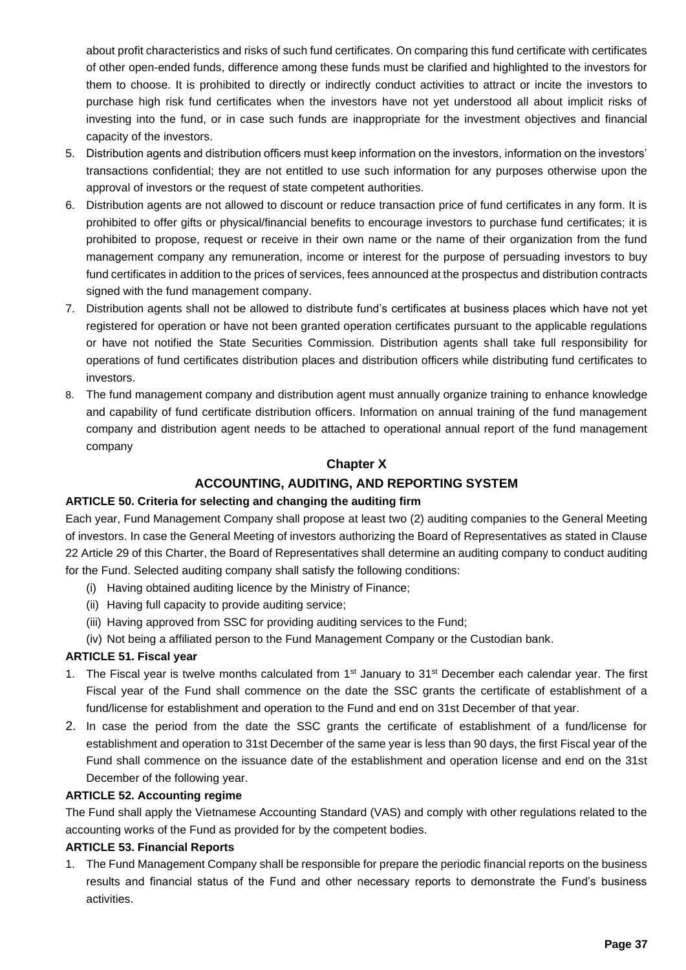about profit characteristics and risks of such fund certificates. On comparing this fund certificate with certificates of other open-ended funds, difference among these funds must be clarified and highlighted to the investors for them to choose. It is prohibited to directly or indirectly conduct activities to attract or incite the investors to purchase high risk fund certificates when the investors have not yet understood all about implicit risks of investing into the fund, or in case such funds are inappropriate for the investment objectives and financial capacity of the investors.

- 5. Distribution agents and distribution officers must keep information on the investors, information on the investors' transactions confidential; they are not entitled to use such information for any purposes otherwise upon the approval of investors or the request of state competent authorities.
- 6. Distribution agents are not allowed to discount or reduce transaction price of fund certificates in any form. It is prohibited to offer gifts or physical/financial benefits to encourage investors to purchase fund certificates; it is prohibited to propose, request or receive in their own name or the name of their organization from the fund management company any remuneration, income or interest for the purpose of persuading investors to buy fund certificates in addition to the prices of services, fees announced at the prospectus and distribution contracts signed with the fund management company.
- 7. Distribution agents shall not be allowed to distribute fund's certificates at business places which have not yet registered for operation or have not been granted operation certificates pursuant to the applicable regulations or have not notified the State Securities Commission. Distribution agents shall take full responsibility for operations of fund certificates distribution places and distribution officers while distributing fund certificates to investors.
- 8. The fund management company and distribution agent must annually organize training to enhance knowledge and capability of fund certificate distribution officers. Information on annual training of the fund management company and distribution agent needs to be attached to operational annual report of the fund management company

# **Chapter X**

# **ACCOUNTING, AUDITING, AND REPORTING SYSTEM**

# **ARTICLE 50. Criteria for selecting and changing the auditing firm**

Each year, Fund Management Company shall propose at least two (2) auditing companies to the General Meeting of investors. In case the General Meeting of investors authorizing the Board of Representatives as stated in Clause 22 Article 29 of this Charter, the Board of Representatives shall determine an auditing company to conduct auditing for the Fund. Selected auditing company shall satisfy the following conditions:

- (i) Having obtained auditing licence by the Ministry of Finance;
- (ii) Having full capacity to provide auditing service;
- (iii) Having approved from SSC for providing auditing services to the Fund;
- (iv) Not being a affiliated person to the Fund Management Company or the Custodian bank.

#### **ARTICLE 51. Fiscal year**

- 1. The Fiscal year is twelve months calculated from 1<sup>st</sup> January to 31<sup>st</sup> December each calendar year. The first Fiscal year of the Fund shall commence on the date the SSC grants the certificate of establishment of a fund/license for establishment and operation to the Fund and end on 31st December of that year.
- 2. In case the period from the date the SSC grants the certificate of establishment of a fund/license for establishment and operation to 31st December of the same year is less than 90 days, the first Fiscal year of the Fund shall commence on the issuance date of the establishment and operation license and end on the 31st December of the following year.

#### **ARTICLE 52. Accounting regime**

The Fund shall apply the Vietnamese Accounting Standard (VAS) and comply with other regulations related to the accounting works of the Fund as provided for by the competent bodies.

#### **ARTICLE 53. Financial Reports**

1. The Fund Management Company shall be responsible for prepare the periodic financial reports on the business results and financial status of the Fund and other necessary reports to demonstrate the Fund's business activities.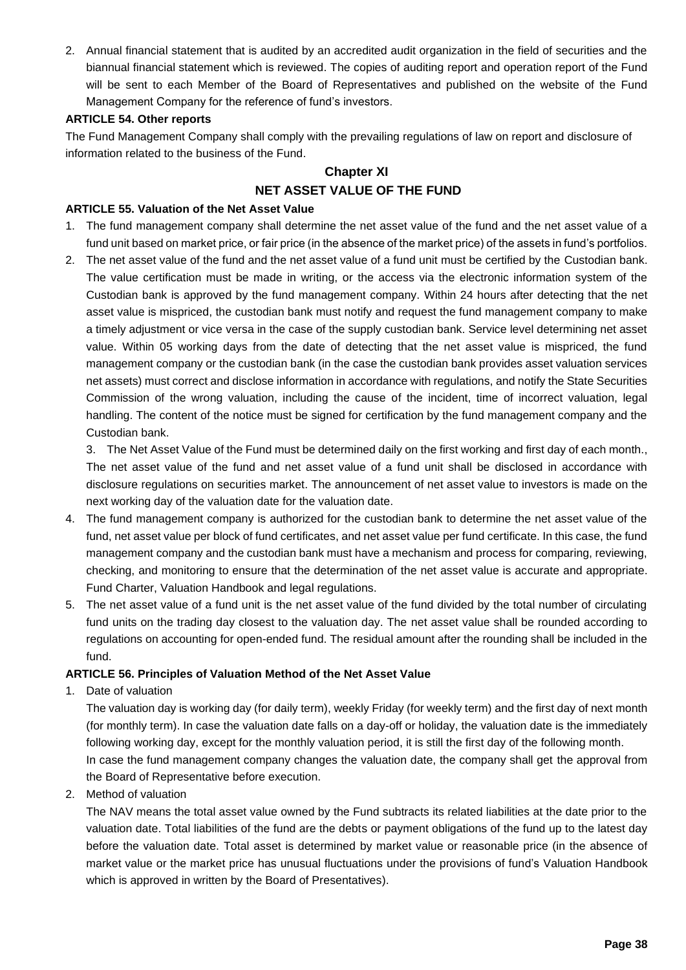2. Annual financial statement that is audited by an accredited audit organization in the field of securities and the biannual financial statement which is reviewed. The copies of auditing report and operation report of the Fund will be sent to each Member of the Board of Representatives and published on the website of the Fund Management Company for the reference of fund's investors.

#### **ARTICLE 54. Other reports**

The Fund Management Company shall comply with the prevailing regulations of law on report and disclosure of information related to the business of the Fund.

# **Chapter XI**

# **NET ASSET VALUE OF THE FUND**

#### **ARTICLE 55. Valuation of the Net Asset Value**

- 1. The fund management company shall determine the net asset value of the fund and the net asset value of a fund unit based on market price, or fair price (in the absence of the market price) of the assets in fund's portfolios.
- 2. The net asset value of the fund and the net asset value of a fund unit must be certified by the Custodian bank. The value certification must be made in writing, or the access via the electronic information system of the Custodian bank is approved by the fund management company. Within 24 hours after detecting that the net asset value is mispriced, the custodian bank must notify and request the fund management company to make a timely adjustment or vice versa in the case of the supply custodian bank. Service level determining net asset value. Within 05 working days from the date of detecting that the net asset value is mispriced, the fund management company or the custodian bank (in the case the custodian bank provides asset valuation services net assets) must correct and disclose information in accordance with regulations, and notify the State Securities Commission of the wrong valuation, including the cause of the incident, time of incorrect valuation, legal handling. The content of the notice must be signed for certification by the fund management company and the Custodian bank.

3. The Net Asset Value of the Fund must be determined daily on the first working and first day of each month., The net asset value of the fund and net asset value of a fund unit shall be disclosed in accordance with disclosure regulations on securities market. The announcement of net asset value to investors is made on the next working day of the valuation date for the valuation date.

- 4. The fund management company is authorized for the custodian bank to determine the net asset value of the fund, net asset value per block of fund certificates, and net asset value per fund certificate. In this case, the fund management company and the custodian bank must have a mechanism and process for comparing, reviewing, checking, and monitoring to ensure that the determination of the net asset value is accurate and appropriate. Fund Charter, Valuation Handbook and legal regulations.
- 5. The net asset value of a fund unit is the net asset value of the fund divided by the total number of circulating fund units on the trading day closest to the valuation day. The net asset value shall be rounded according to regulations on accounting for open-ended fund. The residual amount after the rounding shall be included in the fund.

#### **ARTICLE 56. Principles of Valuation Method of the Net Asset Value**

1. Date of valuation

The valuation day is working day (for daily term), weekly Friday (for weekly term) and the first day of next month (for monthly term). In case the valuation date falls on a day-off or holiday, the valuation date is the immediately following working day, except for the monthly valuation period, it is still the first day of the following month. In case the fund management company changes the valuation date, the company shall get the approval from the Board of Representative before execution.

2. Method of valuation

The NAV means the total asset value owned by the Fund subtracts its related liabilities at the date prior to the valuation date. Total liabilities of the fund are the debts or payment obligations of the fund up to the latest day before the valuation date. Total asset is determined by market value or reasonable price (in the absence of market value or the market price has unusual fluctuations under the provisions of fund's Valuation Handbook which is approved in written by the Board of Presentatives).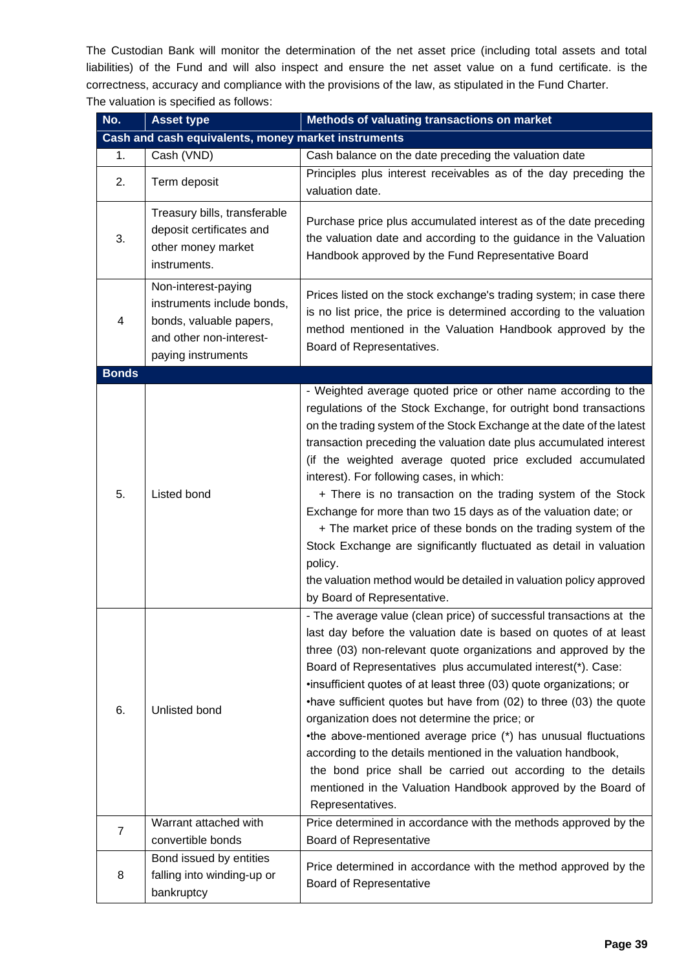The Custodian Bank will monitor the determination of the net asset price (including total assets and total liabilities) of the Fund and will also inspect and ensure the net asset value on a fund certificate. is the correctness, accuracy and compliance with the provisions of the law, as stipulated in the Fund Charter. The valuation is specified as follows:

| No.                                                 | <b>Asset type</b>                                                                                                             | <b>Methods of valuating transactions on market</b>                                                                                                                                                                                                                                                                                                                                                                                                                                                                                                                                                                                                                                                                                                                                        |
|-----------------------------------------------------|-------------------------------------------------------------------------------------------------------------------------------|-------------------------------------------------------------------------------------------------------------------------------------------------------------------------------------------------------------------------------------------------------------------------------------------------------------------------------------------------------------------------------------------------------------------------------------------------------------------------------------------------------------------------------------------------------------------------------------------------------------------------------------------------------------------------------------------------------------------------------------------------------------------------------------------|
| Cash and cash equivalents, money market instruments |                                                                                                                               |                                                                                                                                                                                                                                                                                                                                                                                                                                                                                                                                                                                                                                                                                                                                                                                           |
| 1.                                                  | Cash (VND)                                                                                                                    | Cash balance on the date preceding the valuation date                                                                                                                                                                                                                                                                                                                                                                                                                                                                                                                                                                                                                                                                                                                                     |
| 2.                                                  | Term deposit                                                                                                                  | Principles plus interest receivables as of the day preceding the<br>valuation date.                                                                                                                                                                                                                                                                                                                                                                                                                                                                                                                                                                                                                                                                                                       |
| 3.                                                  | Treasury bills, transferable<br>deposit certificates and<br>other money market<br>instruments.                                | Purchase price plus accumulated interest as of the date preceding<br>the valuation date and according to the guidance in the Valuation<br>Handbook approved by the Fund Representative Board                                                                                                                                                                                                                                                                                                                                                                                                                                                                                                                                                                                              |
| 4                                                   | Non-interest-paying<br>instruments include bonds,<br>bonds, valuable papers,<br>and other non-interest-<br>paying instruments | Prices listed on the stock exchange's trading system; in case there<br>is no list price, the price is determined according to the valuation<br>method mentioned in the Valuation Handbook approved by the<br>Board of Representatives.                                                                                                                                                                                                                                                                                                                                                                                                                                                                                                                                                    |
| <b>Bonds</b>                                        |                                                                                                                               |                                                                                                                                                                                                                                                                                                                                                                                                                                                                                                                                                                                                                                                                                                                                                                                           |
| 5.                                                  | Listed bond                                                                                                                   | - Weighted average quoted price or other name according to the<br>regulations of the Stock Exchange, for outright bond transactions<br>on the trading system of the Stock Exchange at the date of the latest<br>transaction preceding the valuation date plus accumulated interest<br>(if the weighted average quoted price excluded accumulated<br>interest). For following cases, in which:<br>+ There is no transaction on the trading system of the Stock<br>Exchange for more than two 15 days as of the valuation date; or<br>+ The market price of these bonds on the trading system of the<br>Stock Exchange are significantly fluctuated as detail in valuation<br>policy.<br>the valuation method would be detailed in valuation policy approved<br>by Board of Representative. |
| 6.                                                  | Unlisted bond                                                                                                                 | - The average value (clean price) of successful transactions at the<br>last day before the valuation date is based on quotes of at least<br>three (03) non-relevant quote organizations and approved by the<br>Board of Representatives plus accumulated interest(*). Case:<br>.insufficient quotes of at least three (03) quote organizations; or<br>•have sufficient quotes but have from (02) to three (03) the quote<br>organization does not determine the price; or<br>•the above-mentioned average price (*) has unusual fluctuations<br>according to the details mentioned in the valuation handbook,<br>the bond price shall be carried out according to the details<br>mentioned in the Valuation Handbook approved by the Board of<br>Representatives.                         |
| $\overline{7}$                                      | Warrant attached with                                                                                                         | Price determined in accordance with the methods approved by the                                                                                                                                                                                                                                                                                                                                                                                                                                                                                                                                                                                                                                                                                                                           |
|                                                     | convertible bonds                                                                                                             | <b>Board of Representative</b>                                                                                                                                                                                                                                                                                                                                                                                                                                                                                                                                                                                                                                                                                                                                                            |
| 8                                                   | Bond issued by entities<br>falling into winding-up or<br>bankruptcy                                                           | Price determined in accordance with the method approved by the<br><b>Board of Representative</b>                                                                                                                                                                                                                                                                                                                                                                                                                                                                                                                                                                                                                                                                                          |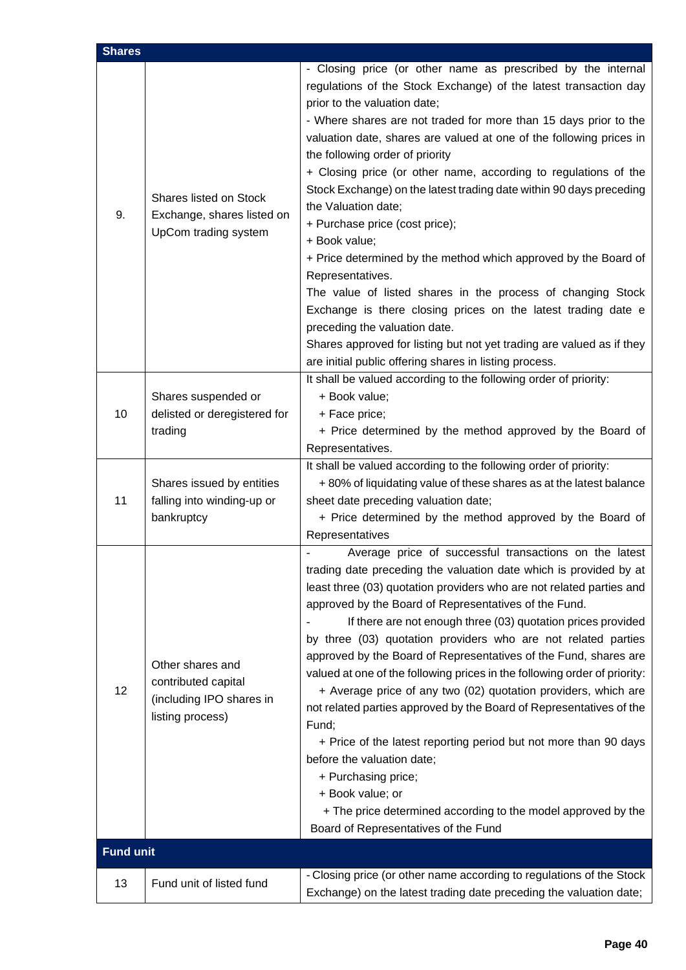| <b>Shares</b>    |                                                                                         |                                                                                                                                                                                                                                                                                                                                                                                                                                                                                                                                                                                                                                                                                                                                                                                                                                                                                                                                                               |
|------------------|-----------------------------------------------------------------------------------------|---------------------------------------------------------------------------------------------------------------------------------------------------------------------------------------------------------------------------------------------------------------------------------------------------------------------------------------------------------------------------------------------------------------------------------------------------------------------------------------------------------------------------------------------------------------------------------------------------------------------------------------------------------------------------------------------------------------------------------------------------------------------------------------------------------------------------------------------------------------------------------------------------------------------------------------------------------------|
| 9.               | Shares listed on Stock<br>Exchange, shares listed on<br>UpCom trading system            | - Closing price (or other name as prescribed by the internal<br>regulations of the Stock Exchange) of the latest transaction day<br>prior to the valuation date;<br>- Where shares are not traded for more than 15 days prior to the<br>valuation date, shares are valued at one of the following prices in<br>the following order of priority<br>+ Closing price (or other name, according to regulations of the<br>Stock Exchange) on the latest trading date within 90 days preceding<br>the Valuation date;<br>+ Purchase price (cost price);<br>+ Book value;<br>+ Price determined by the method which approved by the Board of<br>Representatives.<br>The value of listed shares in the process of changing Stock<br>Exchange is there closing prices on the latest trading date e<br>preceding the valuation date.<br>Shares approved for listing but not yet trading are valued as if they<br>are initial public offering shares in listing process. |
| 10               | Shares suspended or<br>delisted or deregistered for<br>trading                          | It shall be valued according to the following order of priority:<br>+ Book value;<br>+ Face price;<br>+ Price determined by the method approved by the Board of<br>Representatives.                                                                                                                                                                                                                                                                                                                                                                                                                                                                                                                                                                                                                                                                                                                                                                           |
| 11               | Shares issued by entities<br>falling into winding-up or<br>bankruptcy                   | It shall be valued according to the following order of priority:<br>+80% of liquidating value of these shares as at the latest balance<br>sheet date preceding valuation date;<br>+ Price determined by the method approved by the Board of<br>Representatives                                                                                                                                                                                                                                                                                                                                                                                                                                                                                                                                                                                                                                                                                                |
| 12               | Other shares and<br>contributed capital<br>(including IPO shares in<br>listing process) | Average price of successful transactions on the latest<br>trading date preceding the valuation date which is provided by at<br>least three (03) quotation providers who are not related parties and<br>approved by the Board of Representatives of the Fund.<br>If there are not enough three (03) quotation prices provided<br>by three (03) quotation providers who are not related parties<br>approved by the Board of Representatives of the Fund, shares are<br>valued at one of the following prices in the following order of priority:<br>+ Average price of any two (02) quotation providers, which are<br>not related parties approved by the Board of Representatives of the<br>Fund;<br>+ Price of the latest reporting period but not more than 90 days<br>before the valuation date;<br>+ Purchasing price;<br>+ Book value; or<br>+ The price determined according to the model approved by the<br>Board of Representatives of the Fund        |
| <b>Fund unit</b> |                                                                                         |                                                                                                                                                                                                                                                                                                                                                                                                                                                                                                                                                                                                                                                                                                                                                                                                                                                                                                                                                               |
| 13               | Fund unit of listed fund                                                                | - Closing price (or other name according to regulations of the Stock<br>Exchange) on the latest trading date preceding the valuation date;                                                                                                                                                                                                                                                                                                                                                                                                                                                                                                                                                                                                                                                                                                                                                                                                                    |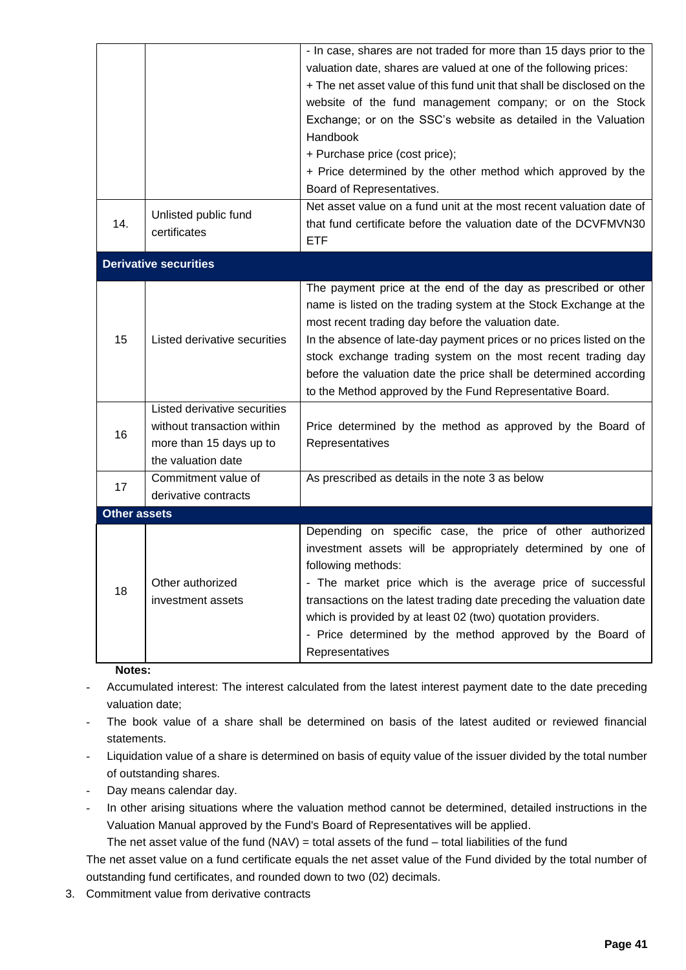|                     |                              | - In case, shares are not traded for more than 15 days prior to the    |
|---------------------|------------------------------|------------------------------------------------------------------------|
|                     |                              | valuation date, shares are valued at one of the following prices:      |
|                     |                              | + The net asset value of this fund unit that shall be disclosed on the |
|                     |                              | website of the fund management company; or on the Stock                |
|                     |                              | Exchange; or on the SSC's website as detailed in the Valuation         |
|                     |                              | Handbook                                                               |
|                     |                              | + Purchase price (cost price);                                         |
|                     |                              | + Price determined by the other method which approved by the           |
|                     |                              | Board of Representatives.                                              |
|                     |                              | Net asset value on a fund unit at the most recent valuation date of    |
| 14.                 | Unlisted public fund         | that fund certificate before the valuation date of the DCVFMVN30       |
|                     | certificates                 | <b>ETF</b>                                                             |
|                     | <b>Derivative securities</b> |                                                                        |
|                     |                              | The payment price at the end of the day as prescribed or other         |
|                     |                              | name is listed on the trading system at the Stock Exchange at the      |
|                     | Listed derivative securities | most recent trading day before the valuation date.                     |
| 15                  |                              | In the absence of late-day payment prices or no prices listed on the   |
|                     |                              | stock exchange trading system on the most recent trading day           |
|                     |                              | before the valuation date the price shall be determined according      |
|                     |                              | to the Method approved by the Fund Representative Board.               |
|                     | Listed derivative securities |                                                                        |
|                     | without transaction within   | Price determined by the method as approved by the Board of             |
| 16                  | more than 15 days up to      | Representatives                                                        |
|                     | the valuation date           |                                                                        |
|                     | Commitment value of          | As prescribed as details in the note 3 as below                        |
| 17                  | derivative contracts         |                                                                        |
| <b>Other assets</b> |                              |                                                                        |
|                     |                              | Depending on specific case, the price of other authorized              |
|                     |                              | investment assets will be appropriately determined by one of           |
|                     |                              | following methods:                                                     |
| 18                  | Other authorized             | - The market price which is the average price of successful            |
|                     | investment assets            | transactions on the latest trading date preceding the valuation date   |
|                     |                              | which is provided by at least 02 (two) quotation providers.            |
|                     |                              | - Price determined by the method approved by the Board of              |
|                     |                              | Representatives                                                        |
|                     |                              |                                                                        |

#### **Notes:**

- Accumulated interest: The interest calculated from the latest interest payment date to the date preceding valuation date;
- The book value of a share shall be determined on basis of the latest audited or reviewed financial statements.
- Liquidation value of a share is determined on basis of equity value of the issuer divided by the total number of outstanding shares.
- Day means calendar day.
- In other arising situations where the valuation method cannot be determined, detailed instructions in the Valuation Manual approved by the Fund's Board of Representatives will be applied.

The net asset value of the fund  $(NAV) =$  total assets of the fund – total liabilities of the fund

The net asset value on a fund certificate equals the net asset value of the Fund divided by the total number of outstanding fund certificates, and rounded down to two (02) decimals.

3. Commitment value from derivative contracts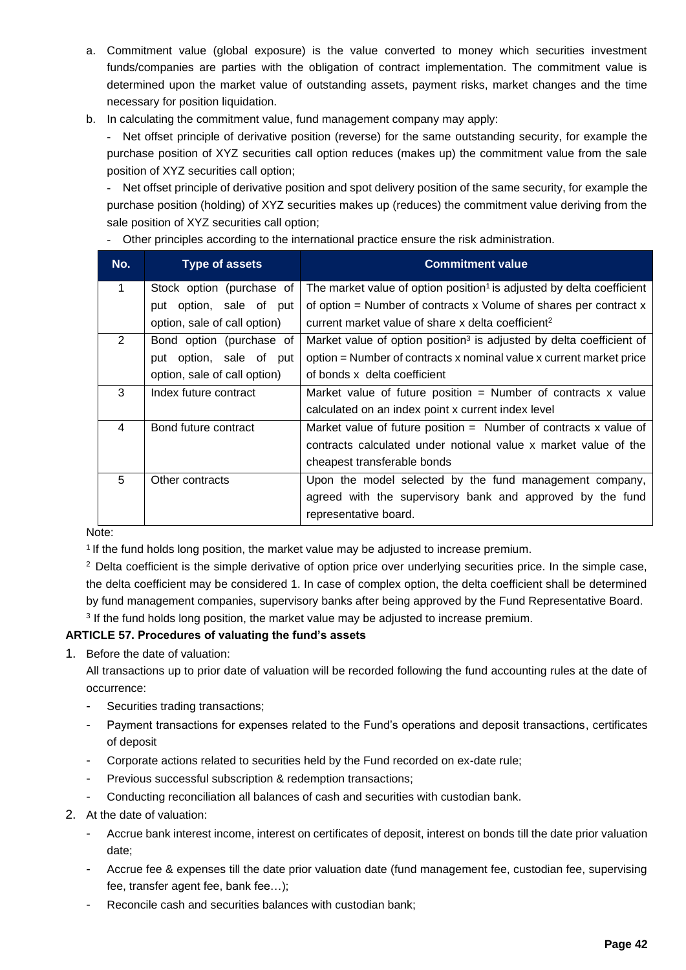- a. Commitment value (global exposure) is the value converted to money which securities investment funds/companies are parties with the obligation of contract implementation. The commitment value is determined upon the market value of outstanding assets, payment risks, market changes and the time necessary for position liquidation.
- b. In calculating the commitment value, fund management company may apply:

- Net offset principle of derivative position (reverse) for the same outstanding security, for example the purchase position of XYZ securities call option reduces (makes up) the commitment value from the sale position of XYZ securities call option;

- Net offset principle of derivative position and spot delivery position of the same security, for example the purchase position (holding) of XYZ securities makes up (reduces) the commitment value deriving from the sale position of XYZ securities call option;

- Other principles according to the international practice ensure the risk administration.

| No. | Type of assets               | <b>Commitment value</b>                                                           |
|-----|------------------------------|-----------------------------------------------------------------------------------|
| 1   | Stock option (purchase of    | The market value of option position <sup>1</sup> is adjusted by delta coefficient |
|     | put option, sale of put      | of option $=$ Number of contracts x Volume of shares per contract x               |
|     | option, sale of call option) | current market value of share x delta coefficient <sup>2</sup>                    |
| 2   | Bond option (purchase of     | Market value of option position <sup>3</sup> is adjusted by delta coefficient of  |
|     | put option, sale of put      | option = Number of contracts x nominal value x current market price               |
|     | option, sale of call option) | of bonds x delta coefficient                                                      |
| 3   | Index future contract        | Market value of future position = Number of contracts $x$ value                   |
|     |                              | calculated on an index point x current index level                                |
| 4   | Bond future contract         | Market value of future position $=$ Number of contracts x value of                |
|     |                              | contracts calculated under notional value x market value of the                   |
|     |                              | cheapest transferable bonds                                                       |
| 5   | Other contracts              | Upon the model selected by the fund management company,                           |
|     |                              | agreed with the supervisory bank and approved by the fund                         |
|     |                              | representative board.                                                             |

Note:

<sup>1</sup> If the fund holds long position, the market value may be adjusted to increase premium.

<sup>2</sup> Delta coefficient is the simple derivative of option price over underlying securities price. In the simple case, the delta coefficient may be considered 1. In case of complex option, the delta coefficient shall be determined by fund management companies, supervisory banks after being approved by the Fund Representative Board. <sup>3</sup> If the fund holds long position, the market value may be adjusted to increase premium.

# **ARTICLE 57. Procedures of valuating the fund's assets**

1. Before the date of valuation:

All transactions up to prior date of valuation will be recorded following the fund accounting rules at the date of occurrence:

- Securities trading transactions;
- Payment transactions for expenses related to the Fund's operations and deposit transactions, certificates of deposit
- Corporate actions related to securities held by the Fund recorded on ex-date rule;
- Previous successful subscription & redemption transactions;
- Conducting reconciliation all balances of cash and securities with custodian bank.
- 2. At the date of valuation:
	- Accrue bank interest income, interest on certificates of deposit, interest on bonds till the date prior valuation date;
	- Accrue fee & expenses till the date prior valuation date (fund management fee, custodian fee, supervising fee, transfer agent fee, bank fee…);
	- Reconcile cash and securities balances with custodian bank;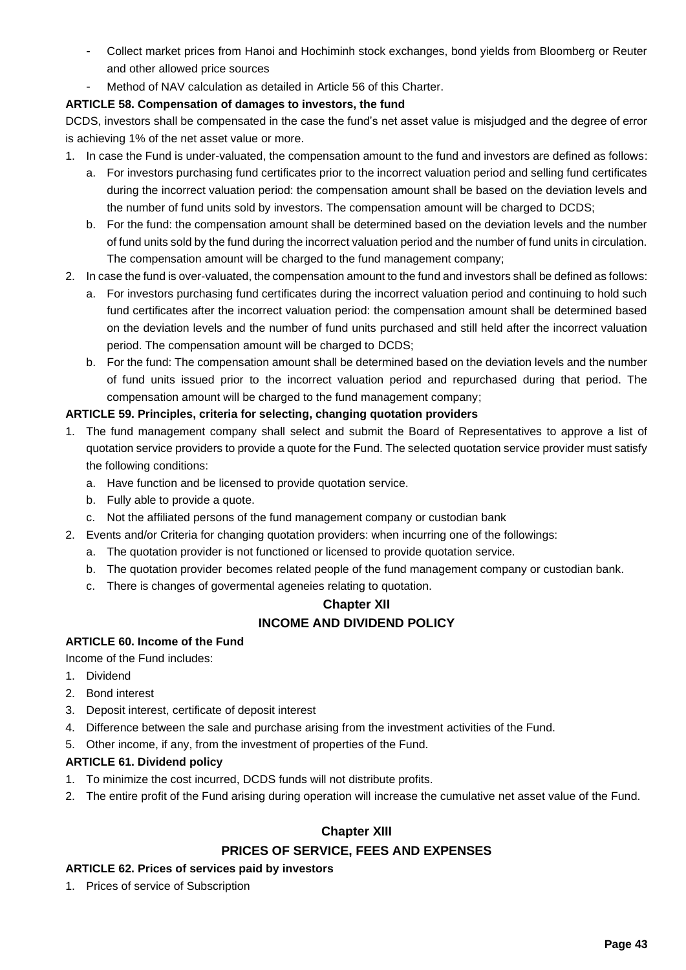- Collect market prices from Hanoi and Hochiminh stock exchanges, bond yields from Bloomberg or Reuter and other allowed price sources
- Method of NAV calculation as detailed in Article 56 of this Charter.

# **ARTICLE 58. Compensation of damages to investors, the fund**

DCDS, investors shall be compensated in the case the fund's net asset value is misjudged and the degree of error is achieving 1% of the net asset value or more.

- 1. In case the Fund is under-valuated, the compensation amount to the fund and investors are defined as follows:
	- a. For investors purchasing fund certificates prior to the incorrect valuation period and selling fund certificates during the incorrect valuation period: the compensation amount shall be based on the deviation levels and the number of fund units sold by investors. The compensation amount will be charged to DCDS;
	- b. For the fund: the compensation amount shall be determined based on the deviation levels and the number of fund units sold by the fund during the incorrect valuation period and the number of fund units in circulation. The compensation amount will be charged to the fund management company;
- 2. In case the fund is over-valuated, the compensation amount to the fund and investors shall be defined as follows:
	- a. For investors purchasing fund certificates during the incorrect valuation period and continuing to hold such fund certificates after the incorrect valuation period: the compensation amount shall be determined based on the deviation levels and the number of fund units purchased and still held after the incorrect valuation period. The compensation amount will be charged to DCDS;
	- b. For the fund: The compensation amount shall be determined based on the deviation levels and the number of fund units issued prior to the incorrect valuation period and repurchased during that period. The compensation amount will be charged to the fund management company;

# **ARTICLE 59. Principles, criteria for selecting, changing quotation providers**

- 1. The fund management company shall select and submit the Board of Representatives to approve a list of quotation service providers to provide a quote for the Fund. The selected quotation service provider must satisfy the following conditions:
	- a. Have function and be licensed to provide quotation service.
	- b. Fully able to provide a quote.
	- c. Not the affiliated persons of the fund management company or custodian bank
- 2. Events and/or Criteria for changing quotation providers: when incurring one of the followings:
	- a. The quotation provider is not functioned or licensed to provide quotation service.
	- b. The quotation provider becomes related people of the fund management company or custodian bank.
	- c. There is changes of govermental ageneies relating to quotation.

# **Chapter XII INCOME AND DIVIDEND POLICY**

#### **ARTICLE 60. Income of the Fund**

Income of the Fund includes:

- 1. Dividend
- 2. Bond interest
- 3. Deposit interest, certificate of deposit interest
- 4. Difference between the sale and purchase arising from the investment activities of the Fund.
- 5. Other income, if any, from the investment of properties of the Fund.

# **ARTICLE 61. Dividend policy**

- 1. To minimize the cost incurred, DCDS funds will not distribute profits.
- 2. The entire profit of the Fund arising during operation will increase the cumulative net asset value of the Fund.

# **Chapter XIII**

#### **PRICES OF SERVICE, FEES AND EXPENSES**

#### **ARTICLE 62. Prices of services paid by investors**

1. Prices of service of Subscription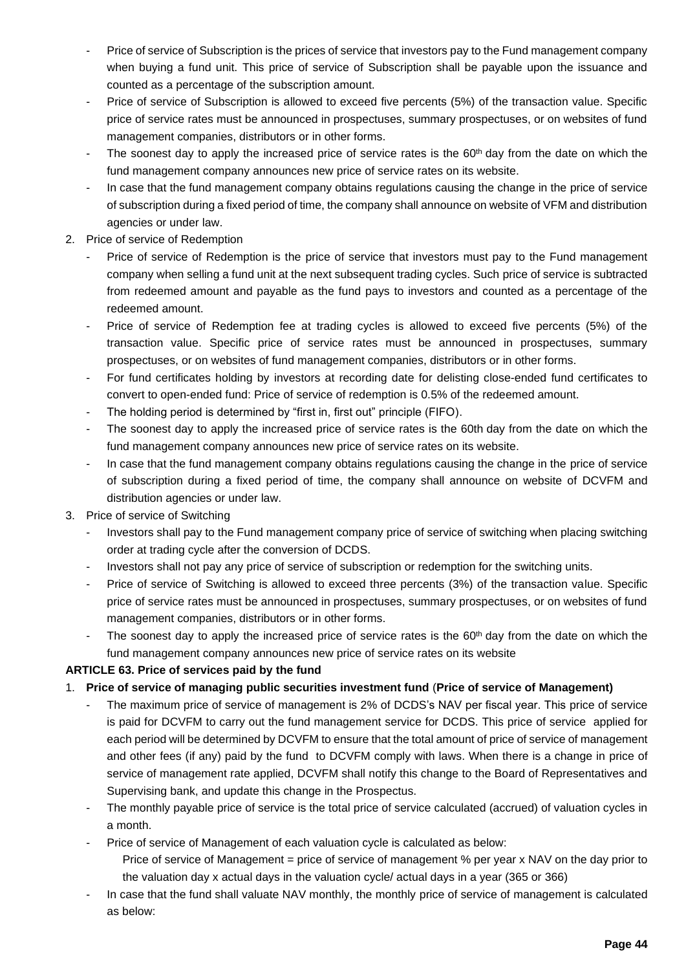- Price of service of Subscription is the prices of service that investors pay to the Fund management company when buying a fund unit. This price of service of Subscription shall be payable upon the issuance and counted as a percentage of the subscription amount.
- Price of service of Subscription is allowed to exceed five percents (5%) of the transaction value. Specific price of service rates must be announced in prospectuses, summary prospectuses, or on websites of fund management companies, distributors or in other forms.
- The soonest day to apply the increased price of service rates is the 60<sup>th</sup> day from the date on which the fund management company announces new price of service rates on its website.
- In case that the fund management company obtains regulations causing the change in the price of service of subscription during a fixed period of time, the company shall announce on website of VFM and distribution agencies or under law.
- 2. Price of service of Redemption
	- Price of service of Redemption is the price of service that investors must pay to the Fund management company when selling a fund unit at the next subsequent trading cycles. Such price of service is subtracted from redeemed amount and payable as the fund pays to investors and counted as a percentage of the redeemed amount.
	- Price of service of Redemption fee at trading cycles is allowed to exceed five percents (5%) of the transaction value. Specific price of service rates must be announced in prospectuses, summary prospectuses, or on websites of fund management companies, distributors or in other forms.
	- For fund certificates holding by investors at recording date for delisting close-ended fund certificates to convert to open-ended fund: Price of service of redemption is 0.5% of the redeemed amount.
	- The holding period is determined by "first in, first out" principle (FIFO).
	- The soonest day to apply the increased price of service rates is the 60th day from the date on which the fund management company announces new price of service rates on its website.
	- In case that the fund management company obtains regulations causing the change in the price of service of subscription during a fixed period of time, the company shall announce on website of DCVFM and distribution agencies or under law.
- 3. Price of service of Switching
	- Investors shall pay to the Fund management company price of service of switching when placing switching order at trading cycle after the conversion of DCDS.
	- Investors shall not pay any price of service of subscription or redemption for the switching units.
	- Price of service of Switching is allowed to exceed three percents (3%) of the transaction value. Specific price of service rates must be announced in prospectuses, summary prospectuses, or on websites of fund management companies, distributors or in other forms.
	- The soonest day to apply the increased price of service rates is the  $60<sup>th</sup>$  day from the date on which the fund management company announces new price of service rates on its website

# **ARTICLE 63. Price of services paid by the fund**

# 1. **Price of service of managing public securities investment fund** (**Price of service of Management)**

- The maximum price of service of management is 2% of DCDS's NAV per fiscal year. This price of service is paid for DCVFM to carry out the fund management service for DCDS. This price of service applied for each period will be determined by DCVFM to ensure that the total amount of price of service of management and other fees (if any) paid by the fund to DCVFM comply with laws. When there is a change in price of service of management rate applied, DCVFM shall notify this change to the Board of Representatives and Supervising bank, and update this change in the Prospectus.
- The monthly payable price of service is the total price of service calculated (accrued) of valuation cycles in a month.
- Price of service of Management of each valuation cycle is calculated as below:
	- Price of service of Management = price of service of management % per year x NAV on the day prior to the valuation day x actual days in the valuation cycle/ actual days in a year (365 or 366)
- In case that the fund shall valuate NAV monthly, the monthly price of service of management is calculated as below: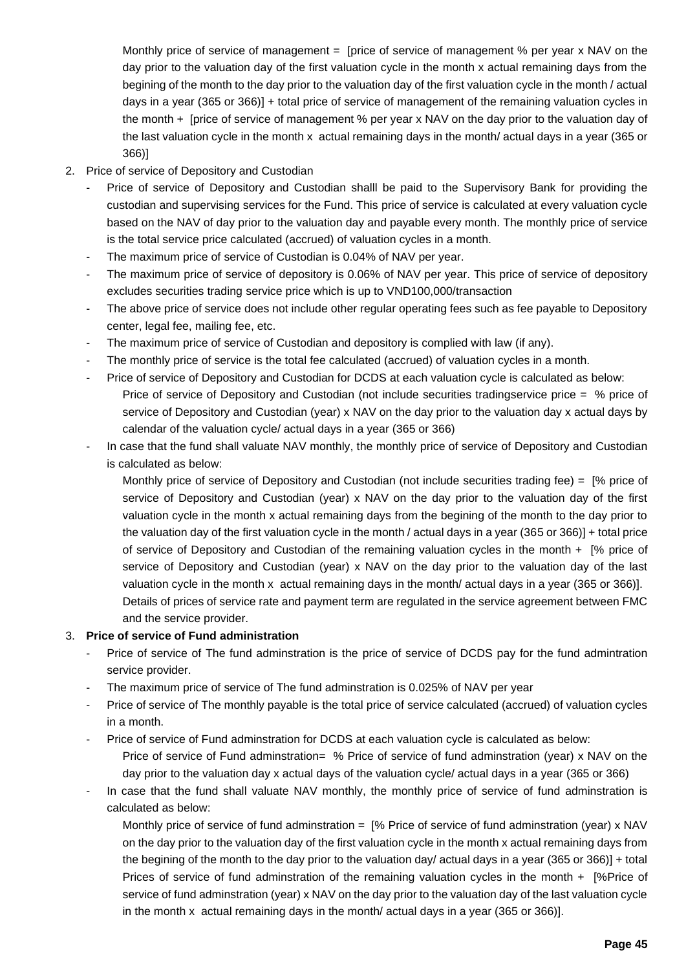Monthly price of service of management = [price of service of management % per year x NAV on the day prior to the valuation day of the first valuation cycle in the month x actual remaining days from the begining of the month to the day prior to the valuation day of the first valuation cycle in the month / actual days in a year (365 or 366)] + total price of service of management of the remaining valuation cycles in the month + [price of service of management % per year x NAV on the day prior to the valuation day of the last valuation cycle in the month x actual remaining days in the month/ actual days in a year (365 or 366)]

- 2. Price of service of Depository and Custodian
	- Price of service of Depository and Custodian shalll be paid to the Supervisory Bank for providing the custodian and supervising services for the Fund. This price of service is calculated at every valuation cycle based on the NAV of day prior to the valuation day and payable every month. The monthly price of service is the total service price calculated (accrued) of valuation cycles in a month.
	- The maximum price of service of Custodian is 0.04% of NAV per year.
	- The maximum price of service of depository is 0.06% of NAV per year. This price of service of depository excludes securities trading service price which is up to VND100,000/transaction
	- The above price of service does not include other regular operating fees such as fee payable to Depository center, legal fee, mailing fee, etc.
	- The maximum price of service of Custodian and depository is complied with law (if any).
	- The monthly price of service is the total fee calculated (accrued) of valuation cycles in a month.
	- Price of service of Depository and Custodian for DCDS at each valuation cycle is calculated as below: Price of service of Depository and Custodian (not include securities tradingservice price = % price of service of Depository and Custodian (year) x NAV on the day prior to the valuation day x actual days by calendar of the valuation cycle/ actual days in a year (365 or 366)
	- In case that the fund shall valuate NAV monthly, the monthly price of service of Depository and Custodian is calculated as below:

Monthly price of service of Depository and Custodian (not include securities trading fee) = [% price of service of Depository and Custodian (year) x NAV on the day prior to the valuation day of the first valuation cycle in the month x actual remaining days from the begining of the month to the day prior to the valuation day of the first valuation cycle in the month / actual days in a year (365 or 366)] + total price of service of Depository and Custodian of the remaining valuation cycles in the month + [% price of service of Depository and Custodian (year) x NAV on the day prior to the valuation day of the last valuation cycle in the month x actual remaining days in the month/ actual days in a year (365 or 366)]. Details of prices of service rate and payment term are regulated in the service agreement between FMC and the service provider.

#### 3. **Price of service of Fund administration**

- Price of service of The fund adminstration is the price of service of DCDS pay for the fund admintration service provider.
- The maximum price of service of The fund adminstration is 0.025% of NAV per year
- Price of service of The monthly payable is the total price of service calculated (accrued) of valuation cycles in a month.
- Price of service of Fund adminstration for DCDS at each valuation cycle is calculated as below: Price of service of Fund adminstration= % Price of service of fund adminstration (year) x NAV on the day prior to the valuation day x actual days of the valuation cycle/ actual days in a year (365 or 366)
- In case that the fund shall valuate NAV monthly, the monthly price of service of fund adminstration is calculated as below:

Monthly price of service of fund adminstration = [% Price of service of fund adminstration (year) x NAV on the day prior to the valuation day of the first valuation cycle in the month x actual remaining days from the begining of the month to the day prior to the valuation day/ actual days in a year (365 or 366)] + total Prices of service of fund adminstration of the remaining valuation cycles in the month + [%Price of service of fund adminstration (year) x NAV on the day prior to the valuation day of the last valuation cycle in the month x actual remaining days in the month/ actual days in a year (365 or 366)].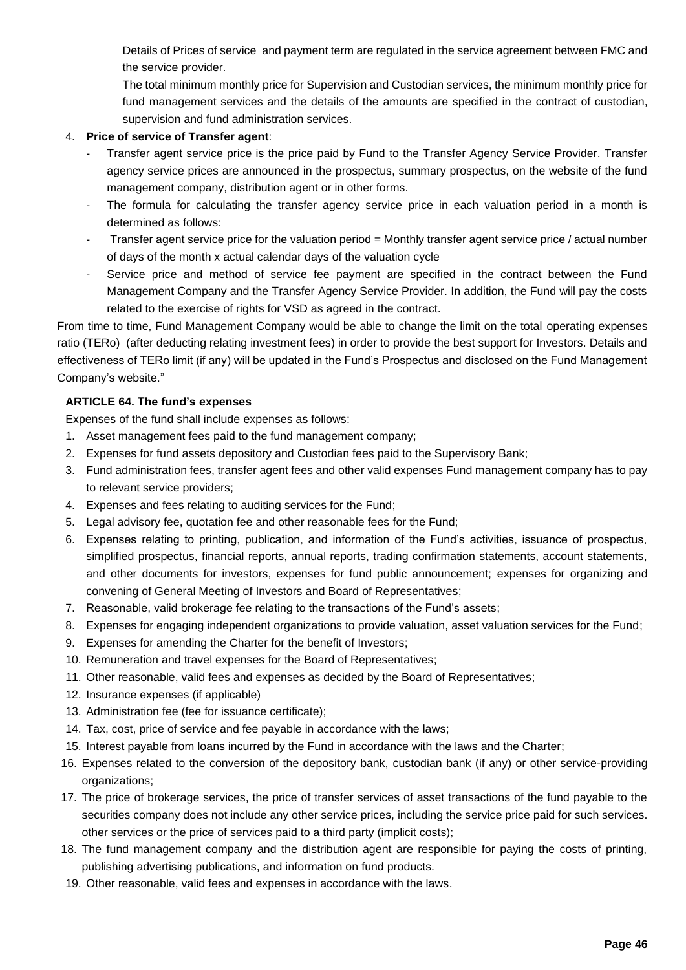Details of Prices of service and payment term are regulated in the service agreement between FMC and the service provider.

The total minimum monthly price for Supervision and Custodian services, the minimum monthly price for fund management services and the details of the amounts are specified in the contract of custodian, supervision and fund administration services.

# 4. **Price of service of Transfer agent**:

- Transfer agent service price is the price paid by Fund to the Transfer Agency Service Provider. Transfer agency service prices are announced in the prospectus, summary prospectus, on the website of the fund management company, distribution agent or in other forms.
- The formula for calculating the transfer agency service price in each valuation period in a month is determined as follows:
- Transfer agent service price for the valuation period = Monthly transfer agent service price / actual number of days of the month x actual calendar days of the valuation cycle
- Service price and method of service fee payment are specified in the contract between the Fund Management Company and the Transfer Agency Service Provider. In addition, the Fund will pay the costs related to the exercise of rights for VSD as agreed in the contract.

From time to time, Fund Management Company would be able to change the limit on the total operating expenses ratio (TERo) (after deducting relating investment fees) in order to provide the best support for Investors. Details and effectiveness of TERo limit (if any) will be updated in the Fund's Prospectus and disclosed on the Fund Management Company's website."

# **ARTICLE 64. The fund's expenses**

Expenses of the fund shall include expenses as follows:

- 1. Asset management fees paid to the fund management company;
- 2. Expenses for fund assets depository and Custodian fees paid to the Supervisory Bank;
- 3. Fund administration fees, transfer agent fees and other valid expenses Fund management company has to pay to relevant service providers;
- 4. Expenses and fees relating to auditing services for the Fund;
- 5. Legal advisory fee, quotation fee and other reasonable fees for the Fund;
- 6. Expenses relating to printing, publication, and information of the Fund's activities, issuance of prospectus, simplified prospectus, financial reports, annual reports, trading confirmation statements, account statements, and other documents for investors, expenses for fund public announcement; expenses for organizing and convening of General Meeting of Investors and Board of Representatives;
- 7. Reasonable, valid brokerage fee relating to the transactions of the Fund's assets;
- 8. Expenses for engaging independent organizations to provide valuation, asset valuation services for the Fund;
- 9. Expenses for amending the Charter for the benefit of Investors;
- 10. Remuneration and travel expenses for the Board of Representatives;
- 11. Other reasonable, valid fees and expenses as decided by the Board of Representatives;
- 12. Insurance expenses (if applicable)
- 13. Administration fee (fee for issuance certificate);
- 14. Tax, cost, price of service and fee payable in accordance with the laws;
- 15. Interest payable from loans incurred by the Fund in accordance with the laws and the Charter;
- 16. Expenses related to the conversion of the depository bank, custodian bank (if any) or other service-providing organizations;
- 17. The price of brokerage services, the price of transfer services of asset transactions of the fund payable to the securities company does not include any other service prices, including the service price paid for such services. other services or the price of services paid to a third party (implicit costs);
- 18. The fund management company and the distribution agent are responsible for paying the costs of printing, publishing advertising publications, and information on fund products.
- 19. Other reasonable, valid fees and expenses in accordance with the laws.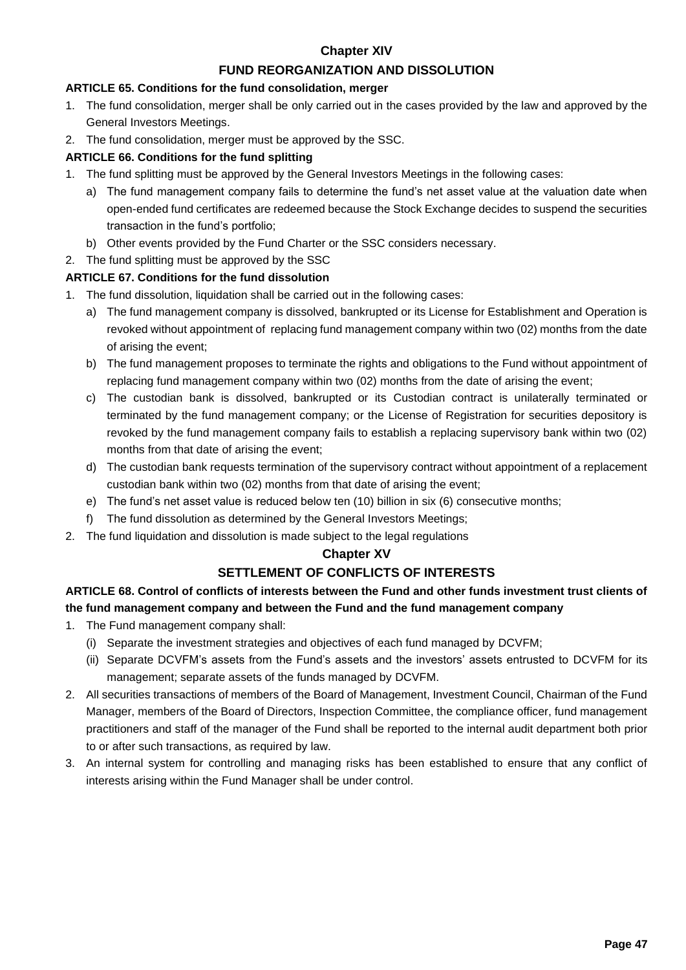# **Chapter XIV**

# **FUND REORGANIZATION AND DISSOLUTION**

#### **ARTICLE 65. Conditions for the fund consolidation, merger**

- 1. The fund consolidation, merger shall be only carried out in the cases provided by the law and approved by the General Investors Meetings.
- 2. The fund consolidation, merger must be approved by the SSC.

# **ARTICLE 66. Conditions for the fund splitting**

- 1. The fund splitting must be approved by the General Investors Meetings in the following cases:
	- a) The fund management company fails to determine the fund's net asset value at the valuation date when open-ended fund certificates are redeemed because the Stock Exchange decides to suspend the securities transaction in the fund's portfolio;
	- b) Other events provided by the Fund Charter or the SSC considers necessary.

# 2. The fund splitting must be approved by the SSC

# **ARTICLE 67. Conditions for the fund dissolution**

- 1. The fund dissolution, liquidation shall be carried out in the following cases:
	- a) The fund management company is dissolved, bankrupted or its License for Establishment and Operation is revoked without appointment of replacing fund management company within two (02) months from the date of arising the event;
	- b) The fund management proposes to terminate the rights and obligations to the Fund without appointment of replacing fund management company within two (02) months from the date of arising the event;
	- c) The custodian bank is dissolved, bankrupted or its Custodian contract is unilaterally terminated or terminated by the fund management company; or the License of Registration for securities depository is revoked by the fund management company fails to establish a replacing supervisory bank within two (02) months from that date of arising the event;
	- d) The custodian bank requests termination of the supervisory contract without appointment of a replacement custodian bank within two (02) months from that date of arising the event;
	- e) The fund's net asset value is reduced below ten (10) billion in six (6) consecutive months;
	- f) The fund dissolution as determined by the General Investors Meetings;
- 2. The fund liquidation and dissolution is made subject to the legal regulations

# **Chapter XV**

# **SETTLEMENT OF CONFLICTS OF INTERESTS**

# **ARTICLE 68. Control of conflicts of interests between the Fund and other funds investment trust clients of the fund management company and between the Fund and the fund management company**

- 1. The Fund management company shall:
	- (i) Separate the investment strategies and objectives of each fund managed by DCVFM;
	- (ii) Separate DCVFM's assets from the Fund's assets and the investors' assets entrusted to DCVFM for its management; separate assets of the funds managed by DCVFM.
- 2. All securities transactions of members of the Board of Management, Investment Council, Chairman of the Fund Manager, members of the Board of Directors, Inspection Committee, the compliance officer, fund management practitioners and staff of the manager of the Fund shall be reported to the internal audit department both prior to or after such transactions, as required by law.
- 3. An internal system for controlling and managing risks has been established to ensure that any conflict of interests arising within the Fund Manager shall be under control.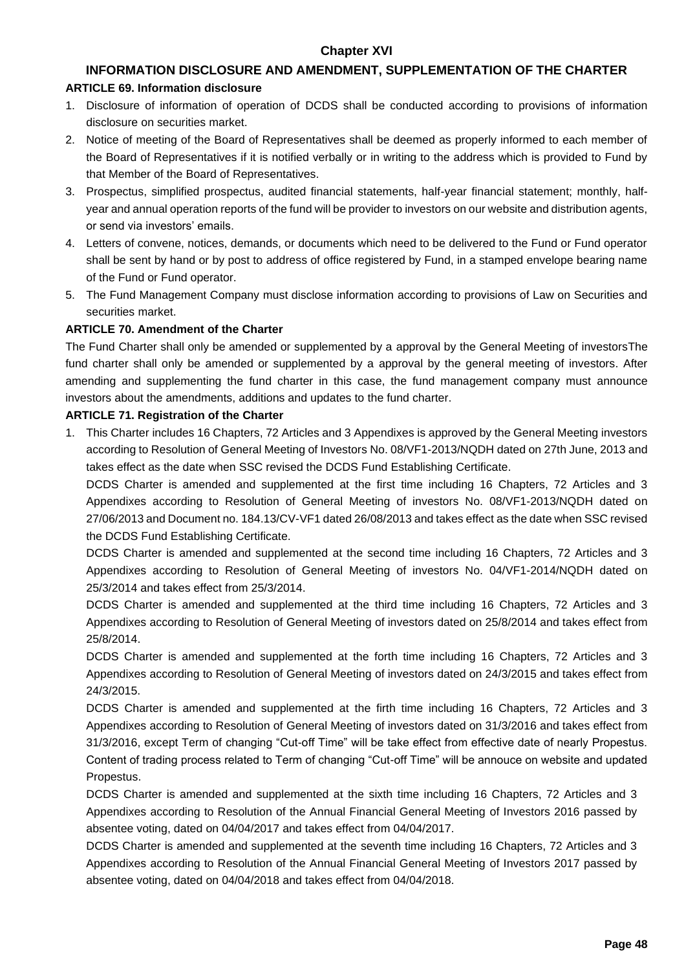# **Chapter XVI**

# **INFORMATION DISCLOSURE AND AMENDMENT, SUPPLEMENTATION OF THE CHARTER**

#### **ARTICLE 69. Information disclosure**

- 1. Disclosure of information of operation of DCDS shall be conducted according to provisions of information disclosure on securities market.
- 2. Notice of meeting of the Board of Representatives shall be deemed as properly informed to each member of the Board of Representatives if it is notified verbally or in writing to the address which is provided to Fund by that Member of the Board of Representatives.
- 3. Prospectus, simplified prospectus, audited financial statements, half-year financial statement; monthly, halfyear and annual operation reports of the fund will be provider to investors on our website and distribution agents, or send via investors' emails.
- 4. Letters of convene, notices, demands, or documents which need to be delivered to the Fund or Fund operator shall be sent by hand or by post to address of office registered by Fund, in a stamped envelope bearing name of the Fund or Fund operator.
- 5. The Fund Management Company must disclose information according to provisions of Law on Securities and securities market.

#### **ARTICLE 70. Amendment of the Charter**

The Fund Charter shall only be amended or supplemented by a approval by the General Meeting of investorsThe fund charter shall only be amended or supplemented by a approval by the general meeting of investors. After amending and supplementing the fund charter in this case, the fund management company must announce investors about the amendments, additions and updates to the fund charter.

#### **ARTICLE 71. Registration of the Charter**

1. This Charter includes 16 Chapters, 72 Articles and 3 Appendixes is approved by the General Meeting investors according to Resolution of General Meeting of Investors No. 08/VF1-2013/NQDH dated on 27th June, 2013 and takes effect as the date when SSC revised the DCDS Fund Establishing Certificate.

DCDS Charter is amended and supplemented at the first time including 16 Chapters, 72 Articles and 3 Appendixes according to Resolution of General Meeting of investors No. 08/VF1-2013/NQDH dated on 27/06/2013 and Document no. 184.13/CV-VF1 dated 26/08/2013 and takes effect as the date when SSC revised the DCDS Fund Establishing Certificate.

DCDS Charter is amended and supplemented at the second time including 16 Chapters, 72 Articles and 3 Appendixes according to Resolution of General Meeting of investors No. 04/VF1-2014/NQDH dated on 25/3/2014 and takes effect from 25/3/2014.

DCDS Charter is amended and supplemented at the third time including 16 Chapters, 72 Articles and 3 Appendixes according to Resolution of General Meeting of investors dated on 25/8/2014 and takes effect from 25/8/2014.

DCDS Charter is amended and supplemented at the forth time including 16 Chapters, 72 Articles and 3 Appendixes according to Resolution of General Meeting of investors dated on 24/3/2015 and takes effect from 24/3/2015.

DCDS Charter is amended and supplemented at the firth time including 16 Chapters, 72 Articles and 3 Appendixes according to Resolution of General Meeting of investors dated on 31/3/2016 and takes effect from 31/3/2016, except Term of changing "Cut-off Time" will be take effect from effective date of nearly Propestus. Content of trading process related to Term of changing "Cut-off Time" will be annouce on website and updated Propestus.

DCDS Charter is amended and supplemented at the sixth time including 16 Chapters, 72 Articles and 3 Appendixes according to Resolution of the Annual Financial General Meeting of Investors 2016 passed by absentee voting, dated on 04/04/2017 and takes effect from 04/04/2017.

DCDS Charter is amended and supplemented at the seventh time including 16 Chapters, 72 Articles and 3 Appendixes according to Resolution of the Annual Financial General Meeting of Investors 2017 passed by absentee voting, dated on 04/04/2018 and takes effect from 04/04/2018.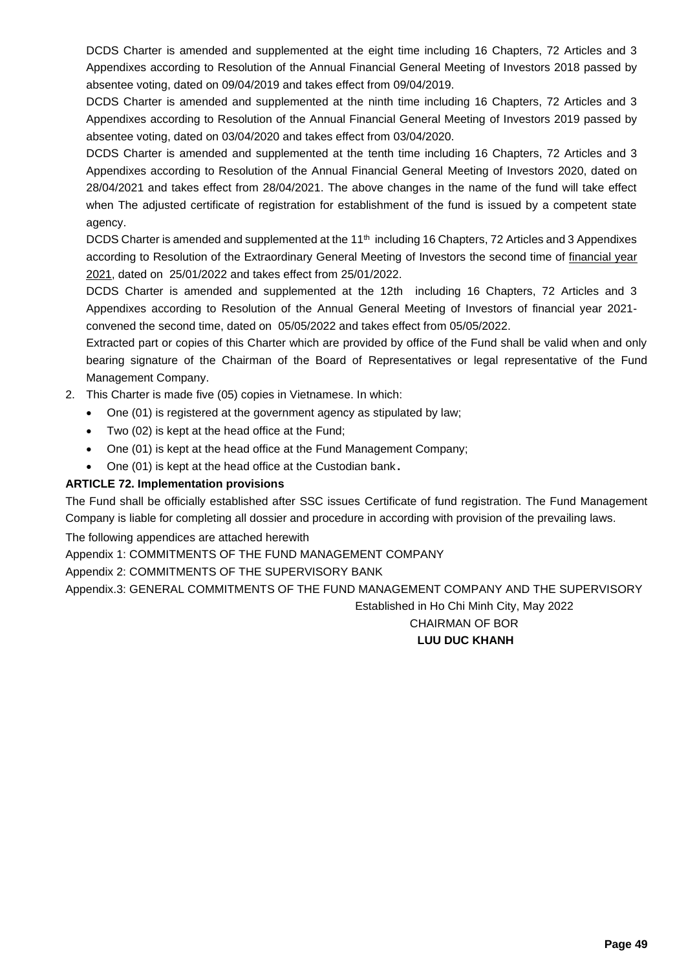DCDS Charter is amended and supplemented at the eight time including 16 Chapters, 72 Articles and 3 Appendixes according to Resolution of the Annual Financial General Meeting of Investors 2018 passed by absentee voting, dated on 09/04/2019 and takes effect from 09/04/2019.

DCDS Charter is amended and supplemented at the ninth time including 16 Chapters, 72 Articles and 3 Appendixes according to Resolution of the Annual Financial General Meeting of Investors 2019 passed by absentee voting, dated on 03/04/2020 and takes effect from 03/04/2020.

DCDS Charter is amended and supplemented at the tenth time including 16 Chapters, 72 Articles and 3 Appendixes according to Resolution of the Annual Financial General Meeting of Investors 2020, dated on 28/04/2021 and takes effect from 28/04/2021. The above changes in the name of the fund will take effect when The adjusted certificate of registration for establishment of the fund is issued by a competent state agency.

DCDS Charter is amended and supplemented at the 11<sup>th</sup> including 16 Chapters, 72 Articles and 3 Appendixes according to Resolution of the Extraordinary General Meeting of Investors the second time of financial year 2021, dated on 25/01/2022 and takes effect from 25/01/2022.

DCDS Charter is amended and supplemented at the 12th including 16 Chapters, 72 Articles and 3 Appendixes according to Resolution of the Annual General Meeting of Investors of financial year 2021 convened the second time, dated on 05/05/2022 and takes effect from 05/05/2022.

Extracted part or copies of this Charter which are provided by office of the Fund shall be valid when and only bearing signature of the Chairman of the Board of Representatives or legal representative of the Fund Management Company.

- 2. This Charter is made five (05) copies in Vietnamese. In which:
	- One (01) is registered at the government agency as stipulated by law;
	- Two (02) is kept at the head office at the Fund;
	- One (01) is kept at the head office at the Fund Management Company;
	- One (01) is kept at the head office at the Custodian bank **.**

#### **ARTICLE 72. Implementation provisions**

The Fund shall be officially established after SSC issues Certificate of fund registration. The Fund Management Company is liable for completing all dossier and procedure in according with provision of the prevailing laws.

The following appendices are attached herewith

Appendix 1: COMMITMENTS OF THE FUND MANAGEMENT COMPANY

Appendix 2: COMMITMENTS OF THE SUPERVISORY BANK

Appendix.3: GENERAL COMMITMENTS OF THE FUND MANAGEMENT COMPANY AND THE SUPERVISORY

Established in Ho Chi Minh City, May 2022

# CHAIRMAN OF BOR **LUU DUC KHANH**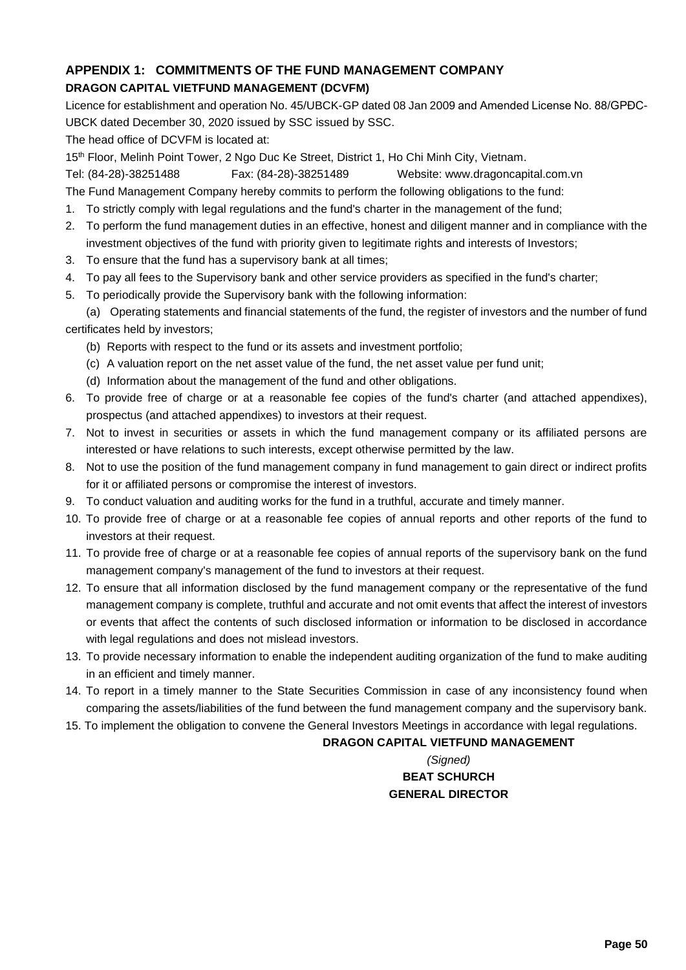# **APPENDIX 1: COMMITMENTS OF THE FUND MANAGEMENT COMPANY DRAGON CAPITAL VIETFUND MANAGEMENT (DCVFM)**

Licence for establishment and operation No. 45/UBCK-GP dated 08 Jan 2009 and Amended License No. 88/GPĐC-UBCK dated December 30, 2020 issued by SSC issued by SSC.

The head office of DCVFM is located at:

15th Floor, Melinh Point Tower, 2 Ngo Duc Ke Street, District 1, Ho Chi Minh City, Vietnam.

Tel: (84-28)-38251488 Fax: (84-28)-38251489 Website: www.dragoncapital.com.vn

The Fund Management Company hereby commits to perform the following obligations to the fund:

- 1. To strictly comply with legal regulations and the fund's charter in the management of the fund;
- 2. To perform the fund management duties in an effective, honest and diligent manner and in compliance with the investment objectives of the fund with priority given to legitimate rights and interests of Investors;
- 3. To ensure that the fund has a supervisory bank at all times;
- 4. To pay all fees to the Supervisory bank and other service providers as specified in the fund's charter;
- 5. To periodically provide the Supervisory bank with the following information:

(a) Operating statements and financial statements of the fund, the register of investors and the number of fund certificates held by investors;

- (b) Reports with respect to the fund or its assets and investment portfolio;
- (c) A valuation report on the net asset value of the fund, the net asset value per fund unit;
- (d) Information about the management of the fund and other obligations.
- 6. To provide free of charge or at a reasonable fee copies of the fund's charter (and attached appendixes), prospectus (and attached appendixes) to investors at their request.
- 7. Not to invest in securities or assets in which the fund management company or its affiliated persons are interested or have relations to such interests, except otherwise permitted by the law.
- 8. Not to use the position of the fund management company in fund management to gain direct or indirect profits for it or affiliated persons or compromise the interest of investors.
- 9. To conduct valuation and auditing works for the fund in a truthful, accurate and timely manner.
- 10. To provide free of charge or at a reasonable fee copies of annual reports and other reports of the fund to investors at their request.
- 11. To provide free of charge or at a reasonable fee copies of annual reports of the supervisory bank on the fund management company's management of the fund to investors at their request.
- 12. To ensure that all information disclosed by the fund management company or the representative of the fund management company is complete, truthful and accurate and not omit events that affect the interest of investors or events that affect the contents of such disclosed information or information to be disclosed in accordance with legal regulations and does not mislead investors.
- 13. To provide necessary information to enable the independent auditing organization of the fund to make auditing in an efficient and timely manner.
- 14. To report in a timely manner to the State Securities Commission in case of any inconsistency found when comparing the assets/liabilities of the fund between the fund management company and the supervisory bank.
- 15. To implement the obligation to convene the General Investors Meetings in accordance with legal regulations.

# **DRAGON CAPITAL VIETFUND MANAGEMENT**

*(Signed)* **BEAT SCHURCH GENERAL DIRECTOR**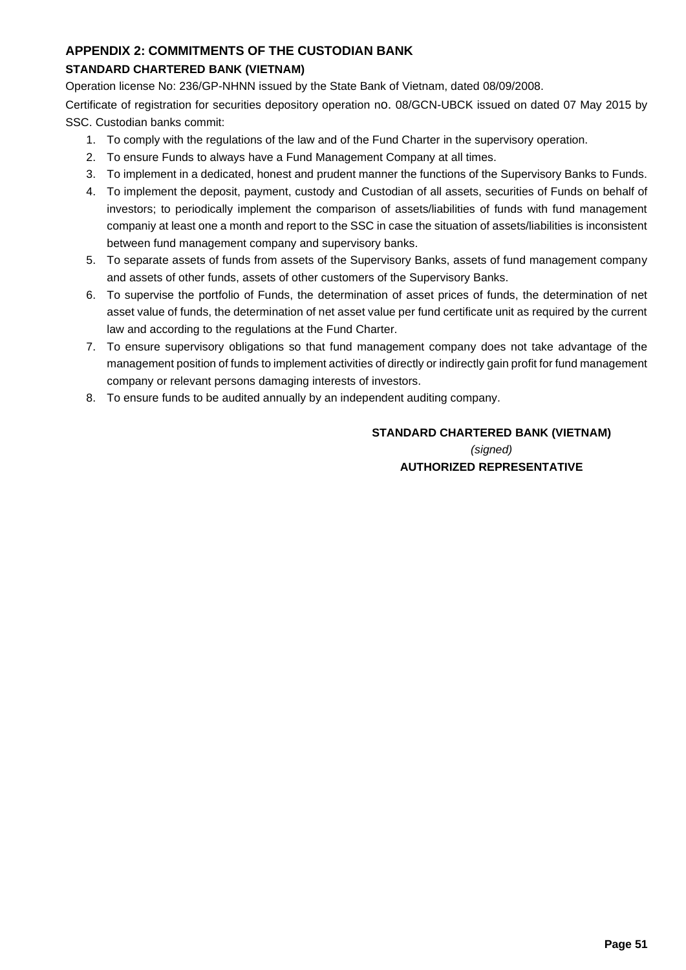# **APPENDIX 2: COMMITMENTS OF THE CUSTODIAN BANK**

# **STANDARD CHARTERED BANK (VIETNAM)**

Operation license No: 236/GP-NHNN issued by the State Bank of Vietnam, dated 08/09/2008.

Certificate of registration for securities depository operation no. 08/GCN-UBCK issued on dated 07 May 2015 by SSC. Custodian banks commit:

- 1. To comply with the regulations of the law and of the Fund Charter in the supervisory operation.
- 2. To ensure Funds to always have a Fund Management Company at all times.
- 3. To implement in a dedicated, honest and prudent manner the functions of the Supervisory Banks to Funds.
- 4. To implement the deposit, payment, custody and Custodian of all assets, securities of Funds on behalf of investors; to periodically implement the comparison of assets/liabilities of funds with fund management companiy at least one a month and report to the SSC in case the situation of assets/liabilities is inconsistent between fund management company and supervisory banks.
- 5. To separate assets of funds from assets of the Supervisory Banks, assets of fund management company and assets of other funds, assets of other customers of the Supervisory Banks.
- 6. To supervise the portfolio of Funds, the determination of asset prices of funds, the determination of net asset value of funds, the determination of net asset value per fund certificate unit as required by the current law and according to the regulations at the Fund Charter.
- 7. To ensure supervisory obligations so that fund management company does not take advantage of the management position of funds to implement activities of directly or indirectly gain profit for fund management company or relevant persons damaging interests of investors.
- 8. To ensure funds to be audited annually by an independent auditing company.

# **STANDARD CHARTERED BANK (VIETNAM)** *(signed)* **AUTHORIZED REPRESENTATIVE**